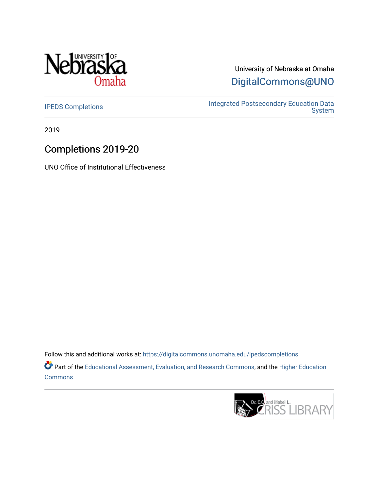

# University of Nebraska at Omaha [DigitalCommons@UNO](https://digitalcommons.unomaha.edu/)

[IPEDS Completions](https://digitalcommons.unomaha.edu/ipedscompletions) **IPEDS** Completions **IPEDS** Completions [System](https://digitalcommons.unomaha.edu/oieipeds) 

2019

# Completions 2019-20

UNO Office of Institutional Effectiveness

Follow this and additional works at: [https://digitalcommons.unomaha.edu/ipedscompletions](https://digitalcommons.unomaha.edu/ipedscompletions?utm_source=digitalcommons.unomaha.edu%2Fipedscompletions%2F61&utm_medium=PDF&utm_campaign=PDFCoverPages) Part of the [Educational Assessment, Evaluation, and Research Commons](http://network.bepress.com/hgg/discipline/796?utm_source=digitalcommons.unomaha.edu%2Fipedscompletions%2F61&utm_medium=PDF&utm_campaign=PDFCoverPages), and the [Higher Education](http://network.bepress.com/hgg/discipline/1245?utm_source=digitalcommons.unomaha.edu%2Fipedscompletions%2F61&utm_medium=PDF&utm_campaign=PDFCoverPages) **[Commons](http://network.bepress.com/hgg/discipline/1245?utm_source=digitalcommons.unomaha.edu%2Fipedscompletions%2F61&utm_medium=PDF&utm_campaign=PDFCoverPages)** 

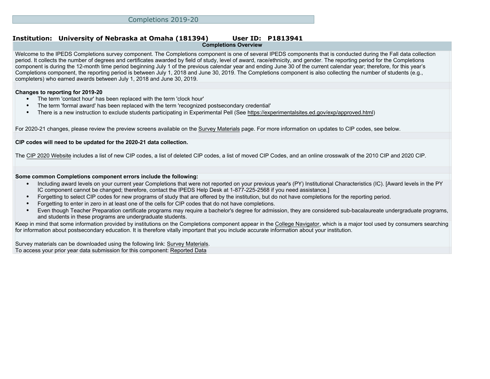#### **Institution: University of Nebraska at Omaha (181394) User ID: P1813941 Completions Overview**

Welcome to the IPEDS Completions survey component. The Completions component is one of several IPEDS components that is conducted during the Fall data collection period. It collects the number of degrees and certificates awarded by field of study, level of award, race/ethnicity, and gender. The reporting period for the Completions component is during the 12-month time period beginning July 1 of the previous calendar year and ending June 30 of the current calendar year; therefore, for this year's Completions component, the reporting period is between July 1, 2018 and June 30, 2019. The Completions component is also collecting the number of students (e.g., completers) who earned awards between July 1, 2018 and June 30, 2019.

### **Changes to reporting for 2019-20**

- The term 'contact hour' has been replaced with the term 'clock hour'
- The term 'formal award' has been replaced with the term 'recognized postsecondary credential'
- There is a new instruction to exclude students participating in Experimental Pell (See<https://experimentalsites.ed.gov/exp/approved.html>)

For 2020-21 changes, please review the preview screens available on the [Survey Materials](https://surveys.nces.ed.gov/ipeds/VisIndex.aspx) page. For more information on updates to CIP codes, see below.

### **CIP codes will need to be updated for the 2020-21 data collection.**

The [CIP 2020 Website](https://nces.ed.gov/ipeds/cipcode/Default.aspx?y=55) includes a list of new CIP codes, a list of deleted CIP codes, a list of moved CIP Codes, and an online crosswalk of the 2010 CIP and 2020 CIP.

#### **Some common Completions component errors include the following:**

- Including award levels on your current year Completions that were not reported on your previous year's (PY) Institutional Characteristics (IC). [Award levels in the PY IC component cannot be changed; therefore, contact the IPEDS Help Desk at 1-877-225-2568 if you need assistance.]
- Forgetting to select CIP codes for new programs of study that are offered by the institution, but do not have completions for the reporting period.
- Forgetting to enter in zero in at least one of the cells for CIP codes that do not have completions.
- Even though Teacher Preparation certificate programs may require a bachelor's degree for admission, they are considered sub-bacalaureate undergraduate programs, and students in these programs are undergraduate students.

Keep in mind that some information provided by institutions on the Completions component appear in the [College Navigator](http://collegenavigator.ed.gov), which is a major tool used by consumers searching for information about postsecondary education. It is therefore vitally important that you include accurate information about your institution.

Survey materials can be downloaded using the following link: [Survey Materials.](https://surveys.nces.ed.gov/ipeds/VisIndex.aspx) To access your prior year data submission for this component: [Reported Data](http://192.168.102.89/ipeds/PriorYearDataRedirect.aspx?survey_id=10)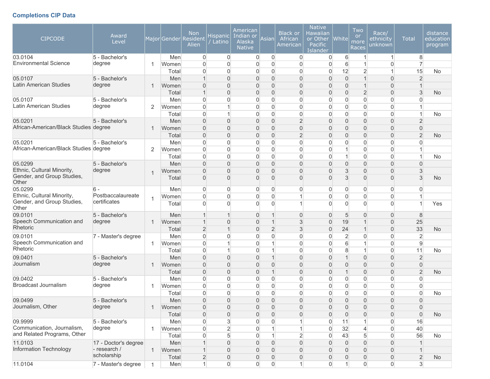# **Completions CIP Data**

| <b>CIPCODE</b>                                   | Award<br>Level           |   |              | <b>Non</b><br>Major Gender Resident<br>Alien | <b>Hispanic</b><br>Latino     | American<br>Indian or<br>Alaska<br><b>Native</b> | Asian                            | <b>Black or</b><br>African<br>American | <b>Native</b><br>Hawaiian<br>or Other<br>Pacific<br>Islander | $ $ White $ $                | Two<br>or<br>more<br>Races       | Race/<br>ethnicity<br>unknown      | <b>Total</b>                   | distance<br>education<br>program |
|--------------------------------------------------|--------------------------|---|--------------|----------------------------------------------|-------------------------------|--------------------------------------------------|----------------------------------|----------------------------------------|--------------------------------------------------------------|------------------------------|----------------------------------|------------------------------------|--------------------------------|----------------------------------|
| 03.0104                                          | 5 - Bachelor's           |   | Men          | $\boldsymbol{0}$                             | $\overline{0}$                | $\overline{0}$                                   | $\overline{0}$                   | 0                                      | 0                                                            | 6                            |                                  | $\mathbf{1}$                       | 8                              |                                  |
| <b>Environmental Science</b>                     | degree                   |   | Women        | $\mathbf 0$                                  | $\mathbf 0$                   | $\overline{0}$                                   | $\Omega$                         | 0                                      | 0                                                            | 6                            | $\overline{1}$                   | 0                                  | $\overline{7}$                 |                                  |
|                                                  |                          |   | Total        | $\overline{0}$                               | $\overline{0}$                | $\overline{0}$                                   | $\overline{0}$                   | 0                                      | 0                                                            | 12                           | $\overline{2}$                   | $\mathbf{1}$                       | 15                             | No                               |
| 05.0107<br>Latin American Studies                | 5 - Bachelor's           |   | Men          | $\mathbf{1}$                                 | $\overline{0}$                | $\mathbf{0}$                                     | $\overline{0}$                   | $\overline{0}$                         | 0                                                            | $\overline{0}$               | $\mathbf{1}$                     | $\overline{0}$                     | $\overline{2}$                 |                                  |
|                                                  | degree                   |   | Women        | $\overline{0}$                               | $\mathbf 0$                   | $\overline{0}$                                   | $\mathbf{0}$                     | $\overline{0}$                         | 0                                                            | $\overline{0}$               | $\mathbf 1$                      | $\overline{0}$                     | -1                             |                                  |
|                                                  |                          |   | Total        | $\mathbf{1}$                                 | $\overline{0}$                | $\overline{0}$                                   | $\mathbf{0}$                     | $\overline{0}$                         | 0                                                            | $\overline{0}$               | $\overline{2}$                   | $\overline{0}$                     | 3                              | <b>No</b>                        |
| 05.0107<br>Latin American Studies                | 5 - Bachelor's<br>degree |   | Men          | $\mathbf 0$                                  | $\mathbf 0$<br>$\overline{1}$ | $\Omega$                                         | $\overline{0}$                   | $\overline{0}$                         | $\overline{0}$                                               | $\Omega$                     | $\Omega$                         | $\overline{0}$                     | $\Omega$                       |                                  |
|                                                  |                          | 2 | Women        | $\overline{0}$                               | $\mathbf{1}$                  | $\overline{0}$                                   | $\overline{0}$                   | 0                                      | 0                                                            | $\overline{0}$               | $\overline{0}$                   | $\overline{0}$                     | 1<br>$\mathbf{1}$              |                                  |
|                                                  |                          |   | Total        | $\boldsymbol{0}$                             |                               | $\overline{0}$                                   | $\overline{0}$                   | 0                                      | 0                                                            | $\overline{0}$               | $\overline{0}$                   | $\boldsymbol{0}$                   |                                | No                               |
| 05.0201<br>African-American/Black Studies degree | 5 - Bachelor's           |   | Men          | $\boldsymbol{0}$                             | $\overline{0}$                | $\boldsymbol{0}$                                 | $\overline{0}$<br>$\overline{0}$ | $\overline{2}$                         | 0<br>0                                                       | $\mathbf{0}$<br>$\mathbf{0}$ | $\overline{0}$<br>$\overline{0}$ | $\boldsymbol{0}$                   | $\overline{2}$                 |                                  |
|                                                  |                          |   | Women        | $\mathbf 0$                                  | $\mathbf 0$                   | $\mathbf 0$                                      |                                  | 0<br>$\overline{2}$                    | 0                                                            | 0                            | $\mathbf{0}$                     | $\boldsymbol{0}$<br>$\overline{0}$ | $\boldsymbol{0}$               |                                  |
| 05.0201                                          | 5 - Bachelor's           |   | Total<br>Men | $\mathbf 0$<br>$\mathbf 0$                   | $\mathbf 0$<br>$\mathbf{0}$   | $\mathbf 0$<br>$\mathbf 0$                       | $\mathbf 0$<br>$\overline{0}$    | $\overline{0}$                         | 0                                                            | 0                            | $\Omega$                         | $\overline{0}$                     | $\overline{2}$<br>$\mathbf{0}$ | <b>No</b>                        |
| African-American/Black Studies degree            |                          | 2 | Women        | $\mathbf 0$                                  | $\mathbf{0}$                  | $\mathbf 0$                                      | $\overline{0}$                   | 0                                      | 0                                                            | 1                            | 0                                | $\overline{0}$                     | $\overline{1}$                 |                                  |
|                                                  |                          |   | Total        | $\overline{0}$                               | $\mathbf{0}$                  | $\overline{0}$                                   | $\overline{0}$                   | 0                                      | 0                                                            | 1                            | $\overline{0}$                   | $\overline{0}$                     | $\mathbf{1}$                   | No                               |
| 05.0299                                          | 5 - Bachelor's           |   | Men          | $\overline{0}$                               | $\overline{0}$                | $\overline{0}$                                   | $\overline{0}$                   | $\overline{0}$                         | 0                                                            | $\mathbf{0}$                 | $\overline{0}$                   | $\overline{0}$                     | $\Omega$                       |                                  |
| Ethnic, Cultural Minority,                       | degree                   |   | Women        | $\overline{0}$                               | $\overline{0}$                | $\mathbf{0}$                                     | $\mathbf{0}$                     | $\overline{0}$                         | 0                                                            | 3                            | $\mathbf{0}$                     | $\overline{0}$                     | $\mathbf{3}$                   |                                  |
| Gender, and Group Studies,                       |                          |   | Total        | $\overline{0}$                               | $\Omega$                      | $\Omega$                                         | $\mathbf{0}$                     | $\Omega$                               | $\overline{0}$                                               | 3                            | $\Omega$                         | $\mathbf{0}$                       | 3                              | <b>No</b>                        |
| Other                                            |                          |   |              |                                              |                               |                                                  |                                  |                                        |                                                              |                              |                                  |                                    |                                |                                  |
| 05.0299                                          | $6 -$                    |   | Men          | $\overline{0}$                               | $\mathbf 0$                   | $\overline{0}$                                   | $\mathbf{0}$                     | 0                                      | 0                                                            | 0                            | $\overline{0}$                   | $\overline{0}$                     | $\Omega$                       |                                  |
| Ethnic, Cultural Minority,                       | Postbaccalaureate        |   | Women        | $\mathbf 0$                                  | $\mathbf 0$                   | $\overline{0}$                                   | $\overline{0}$                   | 1                                      | 0                                                            | 0                            | $\Omega$                         | $\overline{0}$                     |                                |                                  |
| Gender, and Group Studies,<br>Other              | certificates             |   | Total        | $\Omega$                                     | $\Omega$                      | $\Omega$                                         | $\Omega$                         | 1                                      | $\overline{0}$                                               | $\Omega$                     | $\Omega$                         | $\overline{0}$                     |                                | Yes                              |
| 09.0101                                          | 5 - Bachelor's           |   | Men          | $\mathbf{1}$                                 | $\overline{1}$                | $\mathbf{0}$                                     | 1                                | $\overline{0}$                         | 0                                                            | 5                            | $\Omega$                         | $\mathbf{0}$                       | 8                              |                                  |
| Speech Communication and                         | degree                   | 1 | Women        | $\mathbf{1}$                                 | $\overline{0}$                | $\mathbf{0}$                                     | $\mathbf 1$                      | 3                                      | 0                                                            | 19                           |                                  | $\mathbf{0}$                       | 25                             |                                  |
| Rhetoric                                         |                          |   | Total        | $\overline{2}$                               | $\overline{1}$                | $\mathbf 0$                                      | $\overline{2}$                   | 3                                      | 0                                                            | 24                           | $\overline{1}$                   | 0                                  | 33                             | <b>No</b>                        |
| 09.0101                                          | 7 - Master's degree      |   | Men          | $\overline{0}$                               | $\overline{0}$                | $\overline{0}$                                   | $\overline{0}$                   | 0                                      | 0                                                            | $\overline{2}$               | $\overline{0}$                   | 0                                  | $\overline{2}$                 |                                  |
| Speech Communication and                         |                          |   | Women        | $\overline{0}$                               | $\mathbf{1}$                  | $\overline{0}$                                   | $\mathbf{1}$                     | 0                                      | 0                                                            | 6                            | 1                                | $\overline{0}$                     | $\overline{9}$                 |                                  |
| Rhetoric                                         |                          |   | Total        | $\mathbf 0$                                  | $\mathbf{1}$                  | $\mathbf 0$                                      | $\mathbf{1}$                     | 0                                      | 0                                                            | 8                            | 1                                | $\overline{0}$                     | 11                             | No                               |
| 09.0401                                          | 5 - Bachelor's           |   | Men          | $\overline{0}$                               | $\overline{0}$                | $\Omega$                                         | $\mathbf{1}$                     | $\overline{0}$                         | $\overline{0}$                                               | 1                            | $\Omega$                         | $\overline{0}$                     | $\overline{2}$                 |                                  |
| Journalism                                       | degree                   | 1 | Women        | $\overline{0}$                               | $\overline{0}$                | $\Omega$                                         | $\overline{0}$                   | $\overline{0}$                         | 0                                                            | $\mathbf{0}$                 | $\mathbf{0}$                     | $\overline{0}$                     | $\overline{0}$                 |                                  |
|                                                  |                          |   | Total        | $\mathbf 0$                                  | $\mathbf 0$                   | $\overline{0}$                                   | $\mathbf{1}$                     | $\overline{0}$                         | 0                                                            | $\mathbf{1}$                 | $\mathbf 0$                      | $\boldsymbol{0}$                   | $\overline{2}$                 | <b>No</b>                        |
| 09.0402                                          | 5 - Bachelor's           |   | Men          | $\overline{0}$                               | $\overline{0}$                | $\overline{0}$                                   | $\overline{0}$                   | $\overline{0}$                         | 0                                                            | $\Omega$                     | $\overline{0}$                   | 0                                  | $\Omega$                       |                                  |
| Broadcast Journalism                             | degree                   |   | Women        | $\overline{0}$                               | $\overline{0}$                | $\overline{0}$                                   | $\overline{0}$                   | $\Omega$                               | 0                                                            | $\Omega$                     | $\Omega$                         | $\overline{0}$                     | $\Omega$                       |                                  |
|                                                  |                          |   | Total        | $\mathbf 0$                                  | $\Omega$                      | $\mathbf 0$                                      | $\Omega$                         | $\overline{0}$                         | 0                                                            | $\Omega$                     | $\Omega$                         | 0                                  | $\Omega$                       | No                               |
| 09.0499                                          | 5 - Bachelor's           |   | Men          | $\Omega$                                     | $\Omega$                      | $\Omega$                                         | $\Omega$                         | $\Omega$                               | $\Omega$                                                     | $\Omega$                     | $\Omega$                         | 0                                  | $\Omega$                       |                                  |
| Journalism, Other                                | degree                   |   | Women        | $\mathbf 0$                                  | $\overline{0}$                | $\overline{0}$                                   | $\overline{0}$                   | 0                                      | 0                                                            | $\overline{0}$               | 0                                | $\mathbf 0$                        | $\overline{0}$                 |                                  |
|                                                  |                          |   | Total        | $\boldsymbol{0}$                             | $\overline{0}$                | $\boldsymbol{0}$                                 | $\overline{0}$                   | 0                                      | 0                                                            | $\overline{0}$               | $\boldsymbol{0}$                 | $\boldsymbol{0}$                   | $\mathsf{O}\xspace$            | No                               |
| 09.9999                                          | 5 - Bachelor's           |   | Men          | $\overline{0}$                               | $\sqrt{3}$                    | $\mathbf 0$                                      | $\overline{0}$                   | 1                                      | 0                                                            | 11                           | $\mathbf{1}$                     | $\mathsf{O}\xspace$                | 16                             |                                  |
| Communication, Journalism,                       | degree                   |   | Women        | $\boldsymbol{0}$                             | $\overline{2}$                | $\boldsymbol{0}$                                 | $\mathbf{1}$                     | 1                                      | $\overline{0}$                                               | 32                           | $\overline{4}$                   | $\boldsymbol{0}$                   | 40                             |                                  |
| and Related Programs, Other                      |                          |   | Total        | $\boldsymbol{0}$                             | $\sqrt{5}$                    | $\boldsymbol{0}$                                 | $\mathbf{1}$                     | $\overline{2}$                         | 0                                                            | 43                           | 5                                | $\boldsymbol{0}$                   | 56                             | No                               |
| 11.0103                                          | 17 - Doctor's degree     |   | Men          | $\mathbf{1}$                                 | $\mathbf 0$                   | $\mathbf{0}$                                     | $\overline{0}$                   | $\overline{0}$                         | 0                                                            | $\overline{0}$               | $\overline{0}$                   | $\boldsymbol{0}$                   |                                |                                  |
| Information Technology                           | - research /             | 1 | Women        | $\mathbf{1}$                                 | $\overline{0}$                | $\mathbf{0}$                                     | $\overline{0}$                   | 0                                      | 0                                                            | $\overline{0}$               | $\mathbf 0$                      | $\boldsymbol{0}$                   | $\mathbf{1}$                   |                                  |
|                                                  | scholarship              |   | Total        | $\overline{2}$                               | $\overline{0}$                | $\mathbf 0$                                      | $\overline{0}$                   | 0                                      | 0                                                            | $\overline{0}$               | 0                                | $\mathsf{O}\xspace$                | $\overline{2}$                 | No                               |
| 11.0104                                          | 7 - Master's degree      |   | Men          | $\mathbf{1}$                                 | $\overline{0}$                | $\overline{0}$                                   | $\overline{0}$                   | 1                                      | $\overline{0}$                                               | $\mathbf{1}$                 | $\overline{0}$                   | $\overline{0}$                     | 3                              |                                  |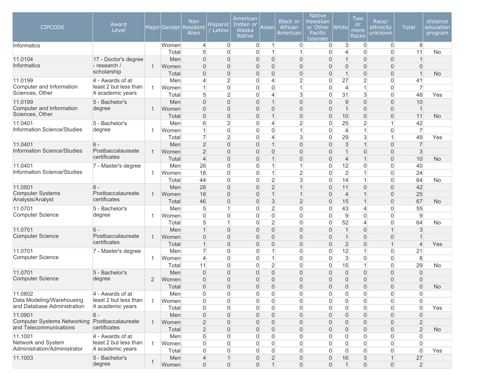| <b>CIPCODE</b>                              | Award<br>Level                            |                |              | <b>Non</b><br>Major Gender Resident<br>Alien | Hispanic<br>Latino               | American<br>Indian or<br>Alaska<br><b>Native</b> | Asian                            | <b>Black or</b><br>African<br>American | <b>Native</b><br>Hawaiian<br>or Other<br>Pacific<br>Islander | <b>White</b>        | Two<br><b>or</b><br>more<br>Races | Race/<br>ethnicity<br>unknown    | <b>Total</b>                     | distance<br>education<br>program |
|---------------------------------------------|-------------------------------------------|----------------|--------------|----------------------------------------------|----------------------------------|--------------------------------------------------|----------------------------------|----------------------------------------|--------------------------------------------------------------|---------------------|-----------------------------------|----------------------------------|----------------------------------|----------------------------------|
| Informatics                                 |                                           |                | Women        | $\overline{4}$                               | $\overline{0}$                   | $\overline{0}$                                   | $\mathbf{1}$                     | 0                                      | 0                                                            | 3                   | $\Omega$                          | $\overline{0}$                   | 8                                |                                  |
| 11.0104                                     | 17 - Doctor's degree                      |                | Total<br>Men | 5<br>$\overline{0}$                          | $\mathbf 0$<br>$\overline{0}$    | $\overline{0}$<br>$\mathbf{0}$                   | $\mathbf{1}$<br>0                | 1<br>0                                 | $\overline{0}$<br>$\overline{0}$                             | 4                   | $\Omega$<br>0                     | $\overline{0}$<br>$\overline{0}$ | 11                               | <b>No</b>                        |
| <b>Informatics</b>                          | - research /                              | 1              | Women        | $\overline{0}$                               | $\mathbf 0$                      | $\mathbf{0}$                                     | 0                                | $\overline{0}$                         | 0                                                            | $\Omega$            | 0                                 | $\overline{0}$                   | $\mathbf{0}$                     |                                  |
|                                             | scholarship                               |                | Total        | $\overline{0}$                               | $\mathbf 0$                      | $\mathbf{0}$                                     | 0                                | $\overline{0}$                         | $\overline{0}$                                               |                     | 0                                 | $\overline{0}$                   | $\overline{1}$                   | <b>No</b>                        |
| 11.0199                                     | 4 - Awards of at                          |                | Men          | $\overline{4}$                               | $\overline{2}$                   | $\overline{0}$                                   | 4                                | $\overline{2}$                         | $\mathbf{0}$                                                 | 27                  | $\overline{2}$                    | $\overline{0}$                   | 41                               |                                  |
| Computer and Information                    | least 2 but less than                     | 1              | Women        | $\mathbf 1$                                  | $\mathbf 0$                      | $\Omega$                                         | $\overline{0}$                   | $\overline{1}$                         | $\overline{0}$                                               | $\overline{4}$      | 1                                 | $\Omega$                         | $\overline{7}$                   |                                  |
| Sciences, Other                             | 4 academic years                          |                | Total        | 5                                            | $\overline{2}$                   | $\overline{0}$                                   | $\overline{4}$                   | 3                                      | 0                                                            | 31                  | 3                                 | $\overline{0}$                   | 48                               | Yes                              |
| 11.0199                                     | 5 - Bachelor's                            |                | Men          | $\mathbf 0$                                  | $\mathbf 0$                      | $\overline{0}$                                   | $\mathbf{1}$                     | 0                                      | $\overline{0}$                                               | 9                   | 0                                 | $\overline{0}$                   | 10                               |                                  |
| Computer and Information<br>Sciences, Other | degree                                    | $\mathbf 1$    | Women        | $\boldsymbol{0}$                             | $\mathbf 0$                      | $\mathbf{0}$                                     | 0                                | 0                                      | $\overline{0}$                                               | $\overline{1}$      | 0                                 | $\boldsymbol{0}$                 | $\mathbf{1}$                     |                                  |
|                                             | 5 - Bachelor's                            |                | Total        | $\boldsymbol{0}$<br>6                        | $\mathbf 0$<br>$\overline{2}$    | $\mathbf 0$                                      | $\mathbf{1}$                     | $\overline{0}$<br>$\overline{2}$       | $\overline{0}$<br>$\mathbf{0}$                               | 10<br>25            | 0<br>$\overline{2}$               | $\mathsf{O}\xspace$<br>1         | 11<br>42                         | <b>No</b>                        |
| 11.0401<br>Information Science/Studies      | degree                                    | 1              | Men<br>Women | $\mathbf{1}$                                 | $\mathbf 0$                      | $\mathbf 0$<br>$\mathbf{0}$                      | 4<br>0                           | 1                                      | $\overline{0}$                                               | $\overline{4}$      | 1                                 | $\overline{0}$                   | $\overline{7}$                   |                                  |
|                                             |                                           |                | Total        | $\overline{7}$                               | $\overline{2}$                   | $\mathbf 0$                                      | 4                                | 3                                      | 0                                                            | 29                  | 3                                 | 1                                | 49                               | Yes                              |
| 11.0401                                     | $6 -$                                     |                | Men          | $\overline{2}$                               | $\overline{0}$                   | $\mathbf{0}$                                     | $\mathbf 1$                      | $\overline{0}$                         | 0                                                            | $\mathsf 3$         |                                   | $\overline{0}$                   | $\overline{7}$                   |                                  |
| Information Science/Studies                 | Postbaccalaureate                         | 1              | Women        | $\overline{2}$                               | $\overline{0}$                   | $\overline{0}$                                   | 0                                | $\overline{0}$                         | $\overline{0}$                                               |                     | 0                                 | $\overline{0}$                   | 3                                |                                  |
|                                             | certificates                              |                | Total        | $\overline{4}$                               | $\overline{0}$                   | $\overline{0}$                                   | $\mathbf 1$                      | $\overline{0}$                         | $\overline{0}$                                               | $\overline{4}$      |                                   | $\overline{0}$                   | 10                               | <b>No</b>                        |
| 11.0401                                     | 7 - Master's degree                       |                | Men          | 26                                           | $\mathbf 0$                      | $\Omega$                                         | 1                                | 1                                      | 0                                                            | 12                  | 0                                 | $\Omega$                         | 40                               |                                  |
| Information Science/Studies                 |                                           | $\overline{1}$ | Women        | 18                                           | $\overline{0}$                   | $\mathbf{0}$                                     | $\mathbf{1}$                     | $\overline{2}$                         | $\Omega$                                                     | $\overline{2}$      |                                   | $\overline{0}$                   | 24                               |                                  |
|                                             |                                           |                | Total        | 44                                           | $\overline{0}$                   | $\mathbf{0}$                                     | $\overline{2}$                   | 3                                      | 0                                                            | 14                  | 1                                 | $\overline{0}$                   | 64                               | No                               |
| 11.0501                                     | $6 -$                                     |                | Men          | 28                                           | $\mathbf 0$                      | $\overline{0}$                                   | $\overline{2}$                   | $\overline{1}$                         | $\overline{0}$                                               | 11                  | 0                                 | $\boldsymbol{0}$                 | 42                               |                                  |
| <b>Computer Systems</b><br>Analysis/Analyst | Postbaccalaureate<br>certificates         | $\mathbf 1$    | Women        | 18                                           | $\mathbf 0$                      | $\overline{0}$                                   | $\mathbf{1}$                     | 1                                      | $\overline{0}$                                               | $\overline{4}$      | 1                                 | $\boldsymbol{0}$                 | 25                               |                                  |
|                                             |                                           |                | Total        | 46                                           | $\mathbf 0$<br>1                 | $\mathbf 0$                                      | 3                                | $\overline{2}$<br>$\overline{0}$       | $\overline{0}$<br>0                                          | 15                  |                                   | $\overline{0}$                   | 67<br>55                         | <b>No</b>                        |
| 11.0701<br><b>Computer Science</b>          | 5 - Bachelor's<br>degree                  | 1              | Men<br>Women | 5<br>$\overline{0}$                          | $\mathbf 0$                      | $\Omega$<br>$\mathbf{0}$                         | $\overline{2}$<br>$\overline{0}$ | $\overline{0}$                         | $\overline{0}$                                               | 43<br>9             | $\overline{4}$<br>$\overline{0}$  | $\overline{0}$<br>$\overline{0}$ | 9                                |                                  |
|                                             |                                           |                | Total        | 5                                            | 1                                | 0                                                | $\overline{2}$                   | 0                                      | 0                                                            | 52                  | $\overline{4}$                    | $\overline{0}$                   | 64                               | <b>No</b>                        |
| 11.0701                                     | $6 -$                                     |                | Men          | $\mathbf{1}$                                 | $\overline{0}$                   | $\overline{0}$                                   | $\overline{0}$                   | $\overline{0}$                         | $\overline{0}$                                               | 1                   | $\overline{0}$                    | $\mathbf 1$                      | 3                                |                                  |
| <b>Computer Science</b>                     | Postbaccalaureate                         | 1              | Women        | $\overline{0}$                               | $\mathbf 0$                      | $\mathbf{0}$                                     | 0                                | $\overline{0}$                         | $\overline{0}$                                               |                     | 0                                 | $\overline{0}$                   |                                  |                                  |
|                                             | certificates                              |                | Total        | $\mathbf{1}$                                 | $\overline{0}$                   | $\mathbf{0}$                                     | $\overline{0}$                   | $\Omega$                               | $\overline{0}$                                               | $\overline{2}$      | 0                                 | 1                                | $\overline{4}$                   | Yes                              |
| 11.0701                                     | 7 - Master's degree                       |                | Men          | $\overline{7}$                               | $\mathbf 0$                      | $\Omega$                                         | 1                                | $\Omega$                               | 0                                                            | 12                  |                                   | $\overline{0}$                   | 21                               |                                  |
| <b>Computer Science</b>                     |                                           | 1              | Women        | $\overline{4}$                               | $\mathbf 0$                      | $\overline{0}$                                   | $\mathbf{1}$                     | 0                                      | $\overline{0}$                                               | 3                   | $\overline{0}$                    | $\overline{0}$                   | 8                                |                                  |
|                                             |                                           |                | Total        | 11                                           | $\boldsymbol{0}$                 | $\overline{0}$                                   | $\overline{2}$                   | 0                                      | 0                                                            | 15                  | 1                                 | 0                                | 29                               | No                               |
| 11.0701                                     | 5 - Bachelor's                            |                | Men          | $\mathbf 0$                                  | $\mathbf 0$                      | $\overline{0}$                                   | $\overline{0}$                   | $\overline{0}$                         | $\overline{0}$                                               | $\Omega$            | $\boldsymbol{0}$                  | $\overline{0}$                   | $\mathbf 0$                      |                                  |
| <b>Computer Science</b>                     | degree                                    | 2              | Women        | $\mathbf 0$                                  | $\mathbf 0$                      | $\mathbf 0$                                      | 0                                | $\overline{0}$                         | $\overline{0}$                                               | $\overline{0}$      | 0                                 | $\mathbf 0$                      | $\overline{0}$                   |                                  |
| 11.0802                                     |                                           |                | Total        | $\Omega$                                     | $\overline{0}$                   | $\mathbf{0}$                                     | 0                                | $\Omega$                               | $\Omega$                                                     | $\Omega$            | 0                                 | $\overline{0}$                   | $\overline{0}$                   | <b>No</b>                        |
| Data Modeling/Warehousing                   | 4 - Awards of at<br>least 2 but less than | 1              | Men<br>Women | 0<br>$\boldsymbol{0}$                        | $\overline{0}$<br>$\overline{0}$ | $\mathbf 0$<br>0                                 | $\mathbf 0$<br>$\overline{0}$    | 0<br>0                                 | 0<br>0                                                       | 0<br>$\overline{0}$ | $\overline{0}$<br>$\overline{0}$  | 0<br>0                           | $\overline{0}$<br>$\overline{0}$ |                                  |
| and Database Administration                 | 4 academic years                          |                | Total        | 0                                            | $\overline{0}$                   | 0                                                | $\overline{0}$                   | 0                                      | 0                                                            | $\Omega$            | $\overline{0}$                    | 0                                | $\overline{0}$                   | Yes                              |
| 11.0901                                     | $6 -$                                     |                | Men          | $\mathsf{O}\xspace$                          | $\mathbf 0$                      | $\mathbf 0$                                      | $\mathbf{0}$                     | $\overline{0}$                         | $\overline{0}$                                               | $\mathbf{0}$        | $\boldsymbol{0}$                  | $\mathbf 0$                      | $\boldsymbol{0}$                 |                                  |
| <b>Computer Systems Networking</b>          | Postbaccalaureate                         | 1              | Women        | $\overline{2}$                               | $\mathbf 0$                      | $\mathbf{0}$                                     | $\mathbf 0$                      | 0                                      | $\overline{0}$                                               | $\overline{0}$      | 0                                 | $\mathbf 0$                      | $\overline{2}$                   |                                  |
| and Telecommunications                      | certificates                              |                | Total        | $\overline{2}$                               | $\mathbf{0}$                     | $\mathbf{0}$                                     | $\mathbf 0$                      | $\overline{0}$                         | 0                                                            | $\overline{0}$      | 0                                 | $\mathbf 0$                      | $\overline{2}$                   | <b>No</b>                        |
| 11.1001                                     | 4 - Awards of at                          |                | Men          | 0                                            | $\mathbf 0$                      | 0                                                | 0                                | 0                                      | 0                                                            | $\Omega$            | $\overline{0}$                    | 0                                | $\overline{0}$                   |                                  |
| Network and System                          | least 2 but less than                     | 1              | Women        | 0                                            | $\overline{0}$                   | 0                                                | $\overline{0}$                   | 0                                      | 0                                                            | 0                   | 0                                 | 0                                | $\overline{0}$                   |                                  |
| Administration/Administrator                | 4 academic years                          |                | Total        | 0                                            | $\overline{0}$                   | $\overline{0}$                                   | $\overline{0}$                   | 0                                      | 0                                                            | $\Omega$            | $\mathsf{O}\xspace$               | 0                                | $\mathbf 0$                      | Yes                              |
| 11.1003                                     | 5 - Bachelor's                            | $\mathbf{1}$   | Men          | $\overline{4}$                               | $\mathbf{1}$                     | $\mathbf 0$                                      | $\overline{2}$                   | 0                                      | 0                                                            | 16                  | $\sqrt{3}$                        | 1                                | 27                               |                                  |
|                                             | degree                                    |                | Women        | $\boldsymbol{0}$                             | $\overline{0}$                   | $\mathbf 0$                                      | $\mathbf{1}$                     | $\mathsf{O}\xspace$                    | $\boldsymbol{0}$                                             |                     | $\mathsf{O}\xspace$               | $\overline{0}$                   | $\overline{2}$                   |                                  |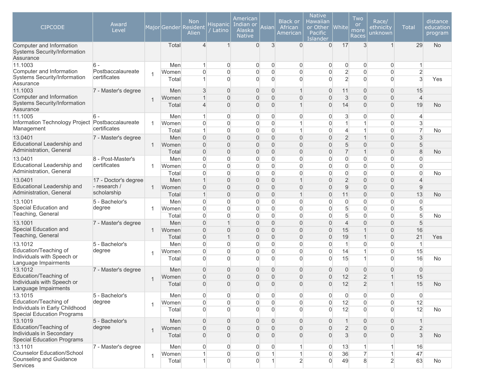| <b>CIPCODE</b>                                                        | Award<br>Level                    |                |                | <b>Non</b><br>Major Gender Resident<br>Alien | Hispanic<br>Latino             | American<br>Indian or<br>Alaska<br><b>Native</b> | Asian                            | <b>Black or</b><br>African<br>American | <b>Native</b><br>Hawaiian<br>or Other<br>Pacific<br>Islander | <b>White</b>                     | Two<br>or<br>more<br>Races       | Race/<br>ethnicity<br>unknown      | <b>Total</b>                   | distance<br>education<br>program |
|-----------------------------------------------------------------------|-----------------------------------|----------------|----------------|----------------------------------------------|--------------------------------|--------------------------------------------------|----------------------------------|----------------------------------------|--------------------------------------------------------------|----------------------------------|----------------------------------|------------------------------------|--------------------------------|----------------------------------|
| Computer and Information<br>Systems Security/Information<br>Assurance |                                   |                | Total          | $\overline{4}$                               | $\mathbf{1}$                   | $\mathbf{0}$                                     | 3                                | $\Omega$                               | $\overline{0}$                                               | 17                               | 3                                | $\mathbf{1}$                       | 29                             | <b>No</b>                        |
| 11.1003                                                               | $6 -$                             |                | Men            |                                              | $\Omega$                       | 0                                                | $\mathbf 0$                      | 0                                      | 0                                                            | $\overline{0}$                   | $\Omega$                         | $\mathbf{0}$                       |                                |                                  |
| Computer and Information<br>Systems Security/Information<br>Assurance | Postbaccalaureate<br>certificates | $\overline{1}$ | Women<br>Total | 0<br>1                                       | $\overline{0}$<br>$\Omega$     | $\overline{0}$<br>$\Omega$                       | $\overline{0}$<br>$\overline{0}$ | 0<br>0                                 | 0<br>0                                                       | $\overline{2}$<br>$\overline{2}$ | $\Omega$<br>$\Omega$             | $\overline{0}$<br>$\overline{0}$   | $\overline{2}$<br>3            | Yes                              |
| 11.1003                                                               | 7 - Master's degree               |                | Men            | 3                                            | $\mathbf 0$                    | $\overline{0}$                                   | $\overline{0}$                   | $\mathbf 1$                            | 0                                                            | 11                               | $\overline{0}$                   | $\mathbf{0}$                       | 15                             |                                  |
| Computer and Information<br>Systems Security/Information<br>Assurance |                                   | $\mathbf 1$    | Women<br>Total | 4                                            | $\mathbf 0$<br>$\overline{0}$  | $\overline{0}$<br>$\overline{0}$                 | $\overline{0}$<br>$\overline{0}$ | 0<br>$\overline{1}$                    | 0<br>0                                                       | $\mathbf{3}$<br>14               | $\overline{0}$<br>$\Omega$       | $\mathbf 0$<br>$\boldsymbol{0}$    | $\overline{4}$<br>19           | <b>No</b>                        |
| 11.1005                                                               | $6 -$                             |                | Men            | 1                                            | $\overline{0}$                 | 0                                                | $\overline{0}$                   | 0                                      | 0                                                            | 3                                | $\overline{0}$                   | $\overline{0}$                     | 4                              |                                  |
| Information Technology Project Postbaccalaureate<br>Management        | certificates                      | -1             | Women<br>Total | 0<br>1                                       | $\overline{0}$<br>$\mathbf 0$  | $\overline{0}$<br>$\overline{0}$                 | $\overline{0}$<br>$\overline{0}$ | $\mathbf{1}$<br>$\mathbf{1}$           | $\overline{0}$<br>0                                          | 1<br>$\overline{4}$              | 1<br>1                           | $\overline{0}$<br>$\boldsymbol{0}$ | $\mathbf{3}$<br>$\overline{7}$ | No                               |
| 13.0401                                                               | 7 - Master's degree               |                | Men            | $\overline{0}$                               | $\mathbf 0$                    | $\overline{0}$                                   | $\mathbf 0$                      | 0                                      | 0                                                            | $\overline{2}$                   |                                  | $\overline{0}$                     | 3                              |                                  |
| Educational Leadership and<br>Administration, General                 |                                   | 1              | Women          | $\overline{0}$                               | $\overline{0}$                 | $\Omega$                                         | $\overline{0}$                   | 0                                      | 0                                                            | 5                                | $\Omega$                         | $\overline{0}$                     | 5                              |                                  |
|                                                                       |                                   |                | Total          | 0                                            | $\mathbf{0}$                   | $\overline{0}$                                   | $\mathbf 0$                      | 0                                      | 0                                                            | $\overline{7}$                   | $\mathbf 1$                      | $\boldsymbol{0}$                   | 8                              | <b>No</b>                        |
| 13.0401                                                               | 8 - Post-Master's                 |                | Men            | 0                                            | 0                              | $\overline{0}$                                   | $\overline{0}$                   | 0                                      | 0                                                            | $\overline{0}$                   | $\Omega$                         | $\boldsymbol{0}$                   | $\Omega$                       |                                  |
| Educational Leadership and<br>Administration, General                 | certificates                      |                | Women<br>Total | 0<br>0                                       | 0<br>0                         | $\overline{0}$<br>$\overline{0}$                 | $\overline{0}$<br>$\overline{0}$ | 0<br>0                                 | 0<br>$\Omega$                                                | $\overline{0}$<br>$\overline{0}$ | $\Omega$<br>$\Omega$             | $\overline{0}$<br>$\overline{0}$   | $\Omega$<br>$\Omega$           | No                               |
| 13.0401                                                               | 17 - Doctor's degree              |                | Men            | 1                                            | $\Omega$                       | $\Omega$                                         | $\overline{0}$                   | $\mathbf{1}$                           | 0                                                            | $\overline{2}$                   | $\Omega$                         | $\mathbf{0}$                       | $\overline{4}$                 |                                  |
| Educational Leadership and<br>Administration, General                 | - research /<br>scholarship       | $\mathbf{1}$   | Women          | $\overline{0}$                               | $\overline{0}$                 | $\Omega$                                         | $\overline{0}$                   | 0                                      | 0                                                            | 9                                | $\Omega$                         | $\overline{0}$                     | 9                              |                                  |
|                                                                       |                                   |                | Total          | 1                                            | $\overline{0}$                 | $\overline{0}$                                   | $\overline{0}$                   | $\mathbf 1$                            | 0                                                            | 11                               | $\mathbf{0}$                     | $\mathbf 0$                        | 13                             | <b>No</b>                        |
| 13.1001<br>Special Education and                                      | 5 - Bachelor's                    |                | Men            | 0                                            | $\overline{0}$                 | $\overline{0}$                                   | $\overline{0}$                   | $\overline{0}$                         | 0                                                            | $\overline{0}$                   | $\overline{0}$                   | $\overline{0}$                     | $\overline{0}$                 |                                  |
| Teaching, General                                                     | degree                            | -1             | Women          | 0<br>0                                       | $\mathbf{0}$<br>$\mathbf 0$    | $\overline{0}$<br>$\overline{0}$                 | $\overline{0}$                   | 0<br>0                                 | 0<br>0                                                       | 5                                | $\overline{0}$<br>$\overline{0}$ | $\overline{0}$<br>$\overline{0}$   | 5<br>5                         |                                  |
| 13.1001                                                               |                                   |                | Total          | $\overline{0}$                               | $\overline{1}$                 | $\Omega$                                         | $\overline{0}$<br>$\overline{0}$ | $\overline{0}$                         | 0                                                            | 5                                | $\Omega$                         | $\overline{0}$                     |                                | No.                              |
| Special Education and                                                 | 7 - Master's degree               |                | Men            |                                              |                                |                                                  |                                  |                                        |                                                              | $\overline{4}$                   |                                  |                                    | 5                              |                                  |
| Teaching, General                                                     |                                   | 1              | Women          | $\overline{0}$                               | $\mathbf{0}$<br>$\overline{1}$ | $\Omega$<br>$\overline{0}$                       | $\overline{0}$                   | 0<br>0                                 | 0                                                            | 15                               | $\overline{1}$                   | $\overline{0}$                     | 16<br>21                       |                                  |
| 13.1012                                                               | 5 - Bachelor's                    |                | Total<br>Men   | 0<br>0                                       | 0                              | 0                                                | $\mathbf 0$<br>$\overline{0}$    | 0                                      | 0<br>0                                                       | 19<br>$\overline{1}$             | $\Omega$                         | $\mathbf 0$<br>$\overline{0}$      | $\mathbf{1}$                   | Yes                              |
| Education/Teaching of                                                 | degree                            |                | Women          | 0                                            | 0                              | $\overline{0}$                                   | $\overline{0}$                   | 0                                      | $\overline{0}$                                               | 14                               | 1                                | $\overline{0}$                     | 15                             |                                  |
| Individuals with Speech or<br>Language Impairments                    |                                   | -1             | Total          | $\overline{0}$                               | $\mathbf{0}$                   | $\mathbf{0}$                                     | $\overline{0}$                   | $\Omega$                               | $\Omega$                                                     | 15                               | 1                                | $\overline{0}$                     | 16                             | No                               |
| 13.1012                                                               | 7 - Master's degree               |                | Men            | 0                                            | $\mathbf{0}$                   | $\overline{0}$                                   | $\mathbf 0$                      | $\mathbf{0}$                           | $\overline{0}$                                               | $\overline{0}$                   | $\overline{0}$                   | $\mathbf{0}$                       | $\overline{0}$                 |                                  |
| Education/Teaching of                                                 |                                   | $\overline{1}$ | Women          | $\overline{0}$                               | $\mathbf{0}$                   | $\overline{0}$                                   | $\overline{0}$                   | 0                                      | 0                                                            | 12                               | $\overline{2}$                   | 1                                  | 15                             |                                  |
| Individuals with Speech or<br>Language Impairments                    |                                   |                | Total          | $\overline{0}$                               | $\Omega$                       | $\Omega$                                         | $\Omega$                         | $\Omega$                               | 0                                                            | 12                               | $\overline{2}$                   |                                    | 15                             | <b>No</b>                        |
| 13.1015                                                               | 5 - Bachelor's                    |                | Men            | 0                                            | 0                              | 0                                                | $\overline{0}$                   | 0                                      | $\overline{0}$                                               | $\overline{0}$                   | $\overline{0}$                   | $\overline{0}$                     | $\overline{0}$                 |                                  |
| Education/Teaching of                                                 | degree                            | $\overline{1}$ | Women          | 0                                            | $\overline{0}$                 | $\overline{0}$                                   | $\overline{0}$                   | 0                                      | $\overline{0}$                                               | 12                               | $\Omega$                         | $\overline{0}$                     | 12                             |                                  |
| Individuals in Early Childhood<br><b>Special Education Programs</b>   |                                   |                | Total          | 0                                            | $\overline{0}$                 | $\Omega$                                         | $\overline{0}$                   | $\Omega$                               | $\Omega$                                                     | 12                               | $\Omega$                         | $\overline{0}$                     | 12                             | No                               |
| 13.1019                                                               | 5 - Bachelor's                    |                | Men            | $\overline{0}$                               | $\overline{0}$                 | $\overline{0}$                                   | $\overline{0}$                   | 0                                      | $\overline{0}$                                               | $\mathbf{1}$                     | $\overline{0}$                   | $\mathbf{0}$                       | 1                              |                                  |
| Education/Teaching of                                                 | degree                            | $\overline{1}$ | Women          | 0                                            | $\mathbf 0$                    | $\overline{0}$                                   | $\overline{0}$                   | 0                                      | $\overline{0}$                                               | $\overline{2}$                   | $\overline{0}$                   | $\boldsymbol{0}$                   | $\overline{2}$                 |                                  |
| Individuals in Secondary<br><b>Special Education Programs</b>         |                                   |                | Total          | 0                                            | $\mathsf{O}\xspace$            | $\mathbf{0}$                                     | $\overline{0}$                   | 0                                      | 0                                                            | 3                                | $\Omega$                         | $\boldsymbol{0}$                   | $\mathsf 3$                    | <b>No</b>                        |
| 13.1101                                                               | 7 - Master's degree               |                | Men            | 0                                            | $\overline{0}$                 | 0                                                | $\overline{0}$                   | 1                                      | $\overline{0}$                                               | 13                               | 1                                | $\mathbf{1}$                       | 16                             |                                  |
| Counselor Education/School                                            |                                   | $\mathbf{1}$   | Women          | 1                                            | $\mathsf{O}\xspace$            | 0                                                | $\vert$                          | $\mathbf{1}$                           | $\overline{0}$                                               | 36                               | $\overline{7}$                   | $\vert$                            | 47                             |                                  |
| Counseling and Guidance<br>Services                                   |                                   |                | Total          | 1                                            | $\mathbf 0$                    | 0                                                | $\mathbf{1}$                     | $\overline{2}$                         | $\overline{0}$                                               | 49                               | $\bf{8}$                         | $\overline{2}$                     | 63                             | No                               |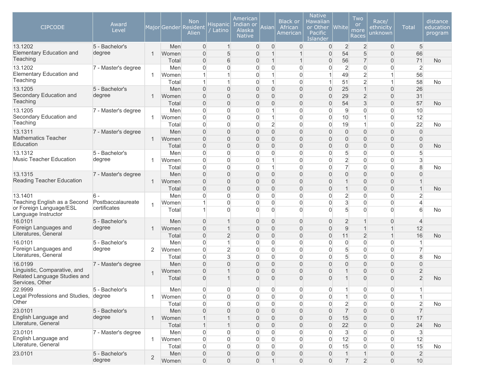| <b>CIPCODE</b>                                  | Award<br>Level      |                |              | <b>Non</b><br>Major Gender Resident<br>Alien | Hispanic <br>Latino            | American<br>Indian or<br>Alaska<br><b>Native</b> | Asian                              | <b>Black or</b><br>African<br>American | <b>Native</b><br>Hawaiian<br>or Other<br><b>Pacific</b><br>Islander | <b>White</b>        | Two<br><b>or</b><br>more<br>Races | Race/<br>ethnicity<br>unknown    | <b>Total</b>      | distance<br>education<br>program |
|-------------------------------------------------|---------------------|----------------|--------------|----------------------------------------------|--------------------------------|--------------------------------------------------|------------------------------------|----------------------------------------|---------------------------------------------------------------------|---------------------|-----------------------------------|----------------------------------|-------------------|----------------------------------|
| 13.1202                                         | 5 - Bachelor's      |                | Men          | $\overline{0}$                               | $\mathbf{1}$                   | $\mathbf{0}$                                     | $\overline{0}$                     | 0                                      | 0                                                                   | $\overline{2}$      | $\overline{2}$                    | $\overline{0}$                   | 5                 |                                  |
| <b>Elementary Education and</b>                 | degree              | 1              | Women        | 0                                            | 5                              | $\overline{0}$                                   | $\mathbf{1}$                       |                                        | 0                                                                   | 54                  | 5                                 | $\boldsymbol{0}$                 | 66                |                                  |
| Teaching                                        |                     |                | Total        | 0                                            | 6                              | 0                                                | $\mathbf{1}$                       | 1                                      | 0                                                                   | 56                  | $\overline{7}$                    | $\boldsymbol{0}$                 | 71                | <b>No</b>                        |
| 13.1202<br>Elementary Education and             | 7 - Master's degree |                | Men          | $\overline{0}$                               | $\overline{0}$                 | 0                                                | $\overline{0}$                     | $\overline{0}$                         | 0                                                                   | $\overline{2}$      | $\overline{0}$                    | $\overline{0}$                   | $\overline{2}$    |                                  |
| Teaching                                        |                     | 1              | Women        | 1                                            | $\overline{1}$<br>$\mathbf{1}$ | 0<br>$\Omega$                                    | 1                                  | $\overline{0}$                         |                                                                     | 49                  | $\overline{2}$                    | $\mathbf{1}$                     | 56                |                                  |
| 13.1205                                         | 5 - Bachelor's      |                | Total<br>Men | $\mathbf{1}$<br>$\overline{0}$               | $\overline{0}$                 | $\Omega$                                         | 1<br>$\overline{0}$                | $\overline{0}$<br>$\overline{0}$       | 0                                                                   | 51<br>25            | $\overline{2}$<br>$\mathbf{1}$    | $\mathbf{1}$<br>$\overline{0}$   | 58<br>26          | No                               |
| Secondary Education and                         | degree              | -1             | Women        | 0                                            | $\mathsf{O}\xspace$            | $\overline{0}$                                   | $\mathbf 0$                        | 0                                      | 0                                                                   | 29                  | $\overline{2}$                    | $\overline{0}$                   | 31                |                                  |
| Teaching                                        |                     |                | Total        | 0                                            | $\mathsf{O}\xspace$            | $\overline{0}$                                   | $\boldsymbol{0}$                   | $\overline{0}$                         | $\mathbf{0}$                                                        | 54                  | 3                                 | $\boldsymbol{0}$                 | 57                | <b>No</b>                        |
| 13.1205                                         | 7 - Master's degree |                | Men          | 0                                            | $\overline{0}$                 | $\overline{0}$                                   | 1                                  | $\overline{0}$                         | $\Omega$                                                            | 9                   | $\overline{0}$                    | $\overline{0}$                   | 10                |                                  |
| Secondary Education and                         |                     |                | Women        | $\overline{0}$                               | $\overline{0}$                 | $\overline{0}$                                   | $\mathbf{1}$                       | $\overline{0}$                         | $\Omega$                                                            | 10                  |                                   | $\overline{0}$                   | 12                |                                  |
| Teaching                                        |                     |                | Total        | $\overline{0}$                               | $\mathbf{0}$                   | $\mathbf{0}$                                     | $\overline{2}$                     | $\Omega$                               | $\Omega$                                                            | 19                  | $\mathbf 1$                       | $\overline{0}$                   | 22                | No                               |
| 13.1311                                         | 7 - Master's degree |                | Men          | $\overline{0}$                               | $\overline{0}$                 | $\overline{0}$                                   | $\overline{0}$                     | $\overline{0}$                         | 0                                                                   | $\overline{0}$      | 0                                 | $\mathbf 0$                      | $\overline{0}$    |                                  |
| <b>Mathematics Teacher</b>                      |                     | 1              | Women        | 0                                            | $\mathsf{O}\xspace$            | $\overline{0}$                                   | $\boldsymbol{0}$                   | $\overline{0}$                         | 0                                                                   | $\overline{0}$      | 0                                 | $\overline{0}$                   | $\mathbf 0$       |                                  |
| Education                                       |                     |                | Total        | 0                                            | $\mathsf{O}\xspace$            | $\overline{0}$                                   | $\boldsymbol{0}$                   | $\overline{0}$                         | 0                                                                   | $\overline{0}$      | 0                                 | $\boldsymbol{0}$                 | $\overline{0}$    | <b>No</b>                        |
| 13.1312                                         | 5 - Bachelor's      |                | Men          | 0                                            | $\overline{0}$                 | $\overline{0}$                                   | $\overline{0}$                     | $\overline{0}$                         | 0                                                                   | 5                   | 0                                 | $\overline{0}$                   | 5                 |                                  |
| <b>Music Teacher Education</b>                  | degree              |                | Women        | 0                                            | $\overline{0}$                 | 0                                                | 1                                  | 0                                      | 0                                                                   | $\overline{2}$      | 0                                 | $\overline{0}$                   | 3                 |                                  |
|                                                 |                     |                | Total        | 0                                            | $\mathbf{0}$                   | $\Omega$                                         | $\mathbf{1}$                       | $\Omega$                               | 0                                                                   | $\overline{7}$      | $\overline{0}$                    | $\overline{0}$                   | 8                 | <b>No</b>                        |
| 13.1315                                         | 7 - Master's degree |                | Men          | 0                                            | $\overline{0}$                 | $\overline{0}$                                   | $\overline{0}$                     | 0                                      | 0                                                                   | $\overline{0}$      | 0                                 | $\overline{0}$                   | $\mathbf{0}$      |                                  |
| Reading Teacher Education                       |                     | 1              | Women        | 0                                            | 0                              | $\overline{0}$                                   | $\mathbf 0$                        | 0                                      | 0                                                                   | $\overline{1}$      | 0                                 | $\overline{0}$                   |                   |                                  |
|                                                 |                     |                | Total        | 0                                            | $\overline{0}$                 | $\overline{0}$                                   | $\overline{0}$                     | $\overline{0}$                         | 0                                                                   | $\mathbf{1}$        | 0                                 | $\boldsymbol{0}$                 | $\mathbf{1}$      | <b>No</b>                        |
| 13.1401                                         | $6 -$               |                | Men          | 0                                            | 0                              | $\overline{0}$                                   | $\overline{0}$                     | $\Omega$                               | 0                                                                   | $\overline{2}$      | $\Omega$                          | $\overline{0}$                   | $\overline{2}$    |                                  |
| Teaching English as a Second                    | Postbaccalaureate   |                | Women        | 1                                            | $\overline{0}$                 | $\Omega$                                         | $\mathbf 0$                        | $\overline{0}$                         | 0                                                                   | 3                   | $\overline{0}$                    | $\overline{0}$                   | $\overline{4}$    |                                  |
| or Foreign Language/ESL<br>Language Instructor  | certificates        |                | Total        | 1                                            | $\mathbf{0}$                   | $\Omega$                                         | $\Omega$                           | $\Omega$                               | $\Omega$                                                            | 5                   | $\Omega$                          | $\Omega$                         | 6                 | No                               |
| 16.0101                                         | 5 - Bachelor's      |                | Men          | $\overline{0}$                               | $\overline{1}$                 | $\overline{0}$                                   | $\overline{0}$                     | $\overline{0}$                         | 0                                                                   | $\overline{2}$      |                                   | $\overline{0}$                   | $\overline{4}$    |                                  |
| Foreign Languages and<br>Literatures, General   | degree              | -1             | Women        | $\overline{0}$                               | $\overline{1}$                 | $\overline{0}$                                   | $\overline{0}$                     | $\overline{0}$                         | 0                                                                   | 9                   |                                   | 1                                | 12                |                                  |
|                                                 |                     |                | Total        | 0                                            | $\overline{2}$                 | 0                                                | $\boldsymbol{0}$                   | $\overline{0}$                         | 0                                                                   | 11                  | $\overline{2}$                    | $\mathbf 1$                      | 16                | <b>No</b>                        |
| 16.0101                                         | 5 - Bachelor's      |                | Men          | 0                                            | $\mathbf{1}$                   | 0                                                | $\overline{0}$                     | 0                                      | 0                                                                   | $\overline{0}$      | $\overline{0}$                    | $\overline{0}$                   | $\mathbf 1$       |                                  |
| Foreign Languages and<br>Literatures, General   | degree              | $\overline{2}$ | Women        | $\overline{0}$                               | $\overline{2}$                 | 0                                                | $\overline{0}$                     | $\overline{0}$                         | 0                                                                   | 5                   | $\overline{0}$                    | $\overline{0}$                   | $\overline{7}$    |                                  |
| 16.0199                                         | 7 - Master's degree |                | Total<br>Men | 0<br>$\overline{0}$                          | 3<br>$\overline{0}$            | $\overline{0}$<br>$\Omega$                       | $\boldsymbol{0}$<br>$\overline{0}$ | $\overline{0}$<br>$\overline{0}$       | 0<br>$\overline{0}$                                                 | 5<br>$\overline{0}$ | 0<br>0                            | $\overline{0}$<br>$\overline{0}$ | 8<br>$\mathbf{0}$ | No                               |
| Linguistic, Comparative, and                    |                     |                | Women        | $\overline{0}$                               | $\overline{1}$                 | $\Omega$                                         | $\overline{0}$                     | $\Omega$                               | 0                                                                   | $\overline{1}$      | 0                                 | $\overline{0}$                   | $\overline{2}$    |                                  |
| Related Language Studies and<br>Services, Other |                     |                | Total        | 0                                            | $\mathbf 1$                    | 0                                                | $\overline{0}$                     | 0                                      | 0                                                                   |                     | $\overline{0}$                    | 0                                | $\overline{2}$    | <b>No</b>                        |
| 22.9999                                         | 5 - Bachelor's      |                | Men          | 0                                            | 0                              | 0                                                | 0                                  | 0                                      | 0                                                                   | $\mathbf{1}$        | 0                                 | $\boldsymbol{0}$                 | $\mathbf{1}$      |                                  |
| Legal Professions and Studies, degree           |                     |                | Women        | 0                                            | 0                              | 0                                                | $\mathbf 0$                        | 0                                      | 0                                                                   | $\mathbf 1$         | $\mathbf 0$                       | $\mathbf 0$                      | $\mathbf{1}$      |                                  |
| Other                                           |                     |                | Total        | $\overline{0}$                               | 0                              | 0                                                | $\overline{0}$                     | 0                                      | $\overline{0}$                                                      | $\overline{2}$      | 0                                 | $\overline{0}$                   | $\overline{2}$    | No                               |
| 23.0101                                         | 5 - Bachelor's      |                | Men          | 0                                            | $\overline{0}$                 | $\overline{0}$                                   | $\mathbf 0$                        | 0                                      | 0                                                                   | $\overline{7}$      | 0                                 | $\overline{0}$                   | $\overline{7}$    |                                  |
| English Language and                            | degree              |                | Women        | 1                                            | $\mathbf 1$                    | $\overline{0}$                                   | $\mathbf 0$                        | $\Omega$                               | 0                                                                   | 15                  | 0                                 | $\overline{0}$                   | 17                |                                  |
| Literature, General                             |                     |                | Total        | 1                                            | $\mathbf 1$                    | 0                                                | $\mathbf 0$                        | $\Omega$                               | 0                                                                   | 22                  | 0                                 | $\overline{0}$                   | 24                | <b>No</b>                        |
| 23.0101                                         | 7 - Master's degree |                | Men          | $\boldsymbol{0}$                             | 0                              | 0                                                | $\mathbf 0$                        | 0                                      | 0                                                                   | 3                   | 0                                 | $\overline{0}$                   | $\sqrt{3}$        |                                  |
| English Language and                            |                     | 1              | Women        | $\mathsf{O}\xspace$                          | $\overline{0}$                 | 0                                                | $\overline{0}$                     | $\overline{0}$                         | $\overline{0}$                                                      | 12                  | $\overline{0}$                    | $\overline{0}$                   | 12                |                                  |
| Literature, General                             |                     |                | Total        | $\overline{0}$                               | $\overline{0}$                 | 0                                                | $\mathbf 0$                        | $\overline{0}$                         | $\overline{0}$                                                      | 15                  | 0                                 | $\overline{0}$                   | 15                | No                               |
| 23.0101                                         | 5 - Bachelor's      | $\overline{2}$ | Men          | $\overline{0}$                               | 0                              | 0                                                | $\mathbf 0$                        | 0                                      | $\mathbf 0$                                                         | $\vert$             |                                   | $\mathbf 0$                      | $\overline{2}$    |                                  |
|                                                 | degree              |                | Women        | $\overline{0}$                               | $\mathsf{O}\xspace$            | $\overline{0}$                                   | $\mathbf{1}$                       | $\overline{0}$                         | $\overline{0}$                                                      | $\overline{7}$      | $\overline{2}$                    | $\overline{0}$                   | 10                |                                  |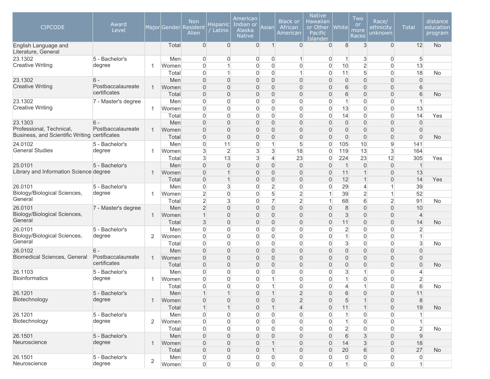| 8<br>12<br>$\mathbf{0}$<br>$\mathbf{0}$<br>$\Omega$<br>3<br>$\overline{0}$<br><b>No</b><br>Total<br>$\mathbf{1}$<br>0<br>$\overline{0}$<br>English Language and<br>Literature, General<br>3<br>5 - Bachelor's<br>Men<br>0<br>$\overline{0}$<br>0<br>$\mathbf 0$<br>0<br>$\overline{0}$<br>5<br>$\mathbf{1}$<br>$\vert$<br><b>Creative Writing</b><br>$\overline{2}$<br>degree<br>13<br>$\overline{0}$<br>$\mathbf 0$<br>$\overline{0}$<br>0<br>$\overline{0}$<br>10<br>$\overline{0}$<br>Women<br>1<br>1<br>$\mathbf 0$<br>$\overline{5}$<br>18<br>$\mathbf{1}$<br>$\mathbf 0$<br>$\overline{0}$<br>$\mathbf{1}$<br>11<br>$\overline{0}$<br>Total<br>0<br><b>No</b><br>$\overline{0}$<br>$\overline{0}$<br>$\overline{0}$<br>$\overline{0}$<br>0<br>$\overline{0}$<br>$\overline{0}$<br>$\overline{0}$<br>$\overline{0}$<br>23.1302<br>$6 -$<br>Men<br>0<br><b>Creative Writing</b><br>Postbaccalaureate<br>$\overline{0}$<br>$\mathbf 0$<br>0<br>Women<br>$\overline{0}$<br>$\overline{0}$<br>0<br>6<br>$\overline{0}$<br>$\mathbf 0$<br>6<br>$\mathbf{1}$<br>certificates<br>$\mathbf 0$<br>0<br>6<br>$\boldsymbol{0}$<br>$\overline{0}$<br>$\boldsymbol{0}$<br>$\overline{0}$<br>6<br>$\overline{0}$<br>$\boldsymbol{0}$<br>Total<br><b>No</b><br>$\overline{0}$<br>$\mathbf 0$<br>$\overline{0}$<br>$\overline{0}$<br>0<br>0<br>$\overline{0}$<br>$\overline{0}$<br>23.1302<br>Men<br>$\vert$<br>$\mathbf{1}$<br>7 - Master's degree<br><b>Creative Writing</b><br>0<br>$\overline{0}$<br>13<br>$\overline{0}$<br>$\mathbf 0$<br>$\mathbf 0$<br>$\overline{0}$<br>$\overline{0}$<br>13<br>$\overline{0}$<br>Women<br>1<br>$\mathbf 0$<br>$\overline{0}$<br>$\mathbf 0$<br>$\mathbf 0$<br>$\overline{0}$<br>0<br>0<br>14<br>$\overline{0}$<br>14<br>Yes<br>Total<br>$\overline{0}$<br>$\overline{0}$<br>$\overline{0}$<br>$\overline{0}$<br>0<br>$\overline{0}$<br>$\overline{0}$<br>$\overline{0}$<br>23.1303<br>$6 -$<br>Men<br>0<br>$\mathbf{0}$<br>Professional, Technical,<br>Postbaccalaureate<br>$\overline{0}$<br>$\mathbf 0$<br>Women<br>$\overline{0}$<br>$\mathbf 0$<br>0<br>0<br>$\mathbf{0}$<br>$\mathbf 0$<br>$\mathbf 0$<br>$\overline{0}$<br>$\mathbf{1}$<br>Business, and Scientific Writing certificates<br>$\boldsymbol{0}$<br>$\mathbf 0$<br>$\overline{0}$<br>0<br>0<br>$\boldsymbol{0}$<br>$\boldsymbol{0}$<br>$\overline{0}$<br>Total<br>$\mathbf 0$<br>$\overline{0}$<br><b>No</b><br>24.0102<br>$\overline{0}$<br>$\overline{0}$<br>5<br>10<br>$9\,$<br>5 - Bachelor's<br>Men<br>11<br>1<br>0<br>105<br>141<br><b>General Studies</b><br>3<br>$\overline{2}$<br>$\mathbf{3}$<br>13<br>$\mathbf{3}$<br>degree<br>3<br>18<br>119<br>Women<br>0<br>164<br>1<br>3<br>$\mathbf{3}$<br>13<br>$\overline{4}$<br>23<br>224<br>23<br>12<br>305<br>Yes<br>Total<br>0<br>$\overline{0}$<br>$\overline{0}$<br>$\overline{0}$<br>0<br>$\overline{1}$<br>$\overline{0}$<br>25.0101<br>5 - Bachelor's<br>Men<br>$\overline{0}$<br>0<br>$\overline{0}$<br>$\mathbf 1$<br>Library and Information Science degree<br>$\boldsymbol{0}$<br>$\overline{1}$<br>$\overline{0}$<br>0<br>11<br>13<br>Women<br>$\mathbf 0$<br>0<br>$\mathbf{1}$<br>$\overline{0}$<br>$\mathbf{1}$<br>$\boldsymbol{0}$<br>$\boldsymbol{0}$<br>0<br>12<br>$\boldsymbol{0}$<br>14<br>Total<br>$\mathbf 1$<br>$\overline{0}$<br>0<br>$\mathbf{1}$<br>Yes<br>26.0101<br>$\boldsymbol{0}$<br>3<br>$\mathbf 0$<br>$\overline{2}$<br>0<br>29<br>39<br>5 - Bachelor's<br>Men<br>0<br>$\overline{4}$<br>$\mathbf{1}$<br>Biology/Biological Sciences,<br>$\overline{2}$<br>degree<br>$\overline{2}$<br>5<br>$\overline{2}$<br>$\mathbf{1}$<br>52<br>$\mathbf 0$<br>$\mathbf 0$<br>39<br>Women<br>1<br>General<br>$\overline{2}$<br>$\mathbf{3}$<br>$\overline{7}$<br>$\overline{2}$<br>6<br>$\overline{2}$<br>$\mathbf 0$<br>68<br>91<br><b>No</b><br>Total<br>26.0101<br>2<br>$\overline{0}$<br>$\overline{0}$<br>0<br>8<br>$\overline{0}$<br>$\overline{0}$<br>7 - Master's degree<br>Men<br>$\overline{0}$<br>0<br>10<br>Biology/Biological Sciences,<br>$\mathbf 0$<br>0<br>3<br>$\overline{4}$<br>Women<br>$\mathbf 1$<br>$\overline{0}$<br>$\mathbf 0$<br>0<br>$\mathbf 0$<br>$\mathbf 0$<br>1<br>General<br>3<br>$\mathbf 0$<br>$\overline{0}$<br>$\overline{0}$<br>0<br>$\overline{0}$<br>$\overline{0}$<br>0<br>14<br>Total<br>11<br><b>No</b><br>26.0101<br>5 - Bachelor's<br>$\overline{0}$<br>$\mathbf 0$<br>$\mathbf 0$<br>$\overline{0}$<br>0<br>$\overline{2}$<br>$\Omega$<br>$\overline{0}$<br>$\overline{2}$<br>Men<br>0<br>Biology/Biological Sciences,<br>$\mathbf 0$<br>0<br>$\overline{0}$<br>degree<br>$\mathbf 0$<br>$\mathbf 0$<br>$\overline{0}$<br>0<br>$\mathbf{1}$<br>$\overline{0}$<br>$\mathbf{1}$<br>2<br>Women<br>General<br>3<br>$\mathbf{3}$<br>$\overline{0}$<br>$\mathbf 0$<br>$\mathbf 0$<br>$\overline{0}$<br>0<br>0<br>$\Omega$<br>$\overline{0}$<br>Total<br><b>No</b><br>$\overline{0}$<br>$\mathbf 0$<br>$\overline{0}$<br>$\boldsymbol{0}$<br>0<br>$\overline{0}$<br>$\overline{0}$<br>$\boldsymbol{0}$<br>26.0102<br>$6 -$<br>Men<br>0<br>$\overline{0}$<br>Biomedical Sciences, General<br>Postbaccalaureate<br>$\boldsymbol{0}$<br>$\mathbf 0$<br>0<br>Women<br>$\overline{0}$<br>$\mathbf 0$<br>0<br>$\mathbf{0}$<br>$\overline{0}$<br>$\mathbf 0$<br>$\mathbf 0$<br>$\mathbf{1}$<br>certificates<br>$\overline{0}$<br>$\mathbf 0$<br>$\overline{0}$<br>$\overline{0}$<br>0<br>$\overline{0}$<br>$\overline{0}$<br>$\overline{0}$<br>$\overline{0}$<br>$\overline{0}$<br>Total<br><b>No</b><br>$\overline{0}$<br>$\mathbf 0$<br>0<br>3<br>$\overline{0}$<br>26.1103<br>5 - Bachelor's<br>Men<br>0<br>$\overline{0}$<br>0<br>1<br>4<br>Bioinformatics<br>$\overline{2}$<br>degree<br>$\overline{0}$<br>$\mathbf 0$<br>$\mathbf 0$<br>$\mathbf{1}$<br>0<br>0<br>$\overline{0}$<br>0<br>Women<br>$\mathbf{1}$<br>1<br>6<br>$\Omega$<br>$\Omega$<br>$\overline{0}$<br>1<br>0<br>$\overline{0}$<br>0<br>Total<br>1<br>No<br>4<br>5 - Bachelor's<br>$\overline{c}$<br>26.1201<br>Men<br>$\overline{0}$<br>0<br>$6\phantom{.}6$<br>$\overline{0}$<br>$\overline{0}$<br>11<br>$\mathbf{1}$<br>$\mathbf{1}$<br>$\mathbf{1}$<br>Biotechnology<br>degree<br>$\overline{2}$<br>$\,8\,$<br>$\boldsymbol{0}$<br>$\mathbf 0$<br>$\overline{0}$<br>0<br>5<br>$\boldsymbol{0}$<br>Women<br>$\mathbf 0$<br>$\mathbf 1$<br>1<br>19<br>Total<br>$\mathbf{1}$<br>$\mathbf 0$<br>$\mathbf{1}$<br>4<br>$\overline{0}$<br>$\overline{0}$<br><b>No</b><br>$\mathbf 1$<br>11<br>1<br>26.1201<br>5 - Bachelor's<br>$\boldsymbol{0}$<br>$\overline{0}$<br>0<br>$\boldsymbol{0}$<br>Men<br>0<br>0<br>0<br>0<br>1<br>Biotechnology<br>degree<br>$\mathsf{O}\xspace$<br>2<br>$\mathbf 0$<br>$\overline{0}$<br>0<br>$\overline{0}$<br>$\overline{0}$<br>Women<br>0<br>0<br>$\mathbf{1}$<br>1<br>$\overline{2}$<br>$\boldsymbol{0}$<br>$\mathbf 0$<br>$\overline{0}$<br>0<br>$\overline{2}$<br>0<br>$\overline{0}$<br>Total<br>0<br>0<br>No<br>Men<br>$\boldsymbol{0}$<br>$\mathbf 0$<br>0<br>$6\phantom{.}6$<br>$\sqrt{3}$<br>$\boldsymbol{0}$<br>$\boldsymbol{9}$<br>26.1501<br>5 - Bachelor's<br>$\mathbf 0$<br>$\mathbf 0$<br>0<br>Neuroscience<br>degree<br>$\boldsymbol{0}$<br>$\mathsf{O}\xspace$<br>0<br>$\sqrt{3}$<br>$\mathsf{O}\xspace$<br>18<br>Women<br>$\mathbf 0$<br>$\overline{0}$<br>14<br>$\mathbf{1}$<br>$\mathbf{1}$<br>Total<br>$\boldsymbol{0}$<br>$\mathsf{O}\xspace$<br>0<br>20<br>6<br>$\boldsymbol{0}$<br>27<br>$\mathbf 0$<br>$\overline{0}$<br>$\mathbf{1}$<br><b>No</b><br>26.1501<br>5 - Bachelor's<br>$\boldsymbol{0}$<br>0<br>$\boldsymbol{0}$<br>Men<br>0<br>0<br>0<br>0<br>$\overline{0}$<br>0<br>$\overline{0}$<br>$\sqrt{2}$<br>$\mathsf{O}\xspace$<br>$\mathsf{O}\xspace$ | <b>CIPCODE</b> | Award<br>Level |       | <b>Non</b><br>Major Gender Resident<br>Alien | Hispanic  <br>Latino | American<br>Indian or<br>Alaska<br><b>Native</b> | Asian               | <b>Black or</b><br>African<br>American | <b>Native</b><br><b>Hawaiian</b><br>or Other<br>Pacific<br>Islander | <b>White</b> | Two<br>or<br>more<br>Races | Race/<br>ethnicity<br>unknown | <b>Total</b> | distance<br>education<br>program |
|-----------------------------------------------------------------------------------------------------------------------------------------------------------------------------------------------------------------------------------------------------------------------------------------------------------------------------------------------------------------------------------------------------------------------------------------------------------------------------------------------------------------------------------------------------------------------------------------------------------------------------------------------------------------------------------------------------------------------------------------------------------------------------------------------------------------------------------------------------------------------------------------------------------------------------------------------------------------------------------------------------------------------------------------------------------------------------------------------------------------------------------------------------------------------------------------------------------------------------------------------------------------------------------------------------------------------------------------------------------------------------------------------------------------------------------------------------------------------------------------------------------------------------------------------------------------------------------------------------------------------------------------------------------------------------------------------------------------------------------------------------------------------------------------------------------------------------------------------------------------------------------------------------------------------------------------------------------------------------------------------------------------------------------------------------------------------------------------------------------------------------------------------------------------------------------------------------------------------------------------------------------------------------------------------------------------------------------------------------------------------------------------------------------------------------------------------------------------------------------------------------------------------------------------------------------------------------------------------------------------------------------------------------------------------------------------------------------------------------------------------------------------------------------------------------------------------------------------------------------------------------------------------------------------------------------------------------------------------------------------------------------------------------------------------------------------------------------------------------------------------------------------------------------------------------------------------------------------------------------------------------------------------------------------------------------------------------------------------------------------------------------------------------------------------------------------------------------------------------------------------------------------------------------------------------------------------------------------------------------------------------------------------------------------------------------------------------------------------------------------------------------------------------------------------------------------------------------------------------------------------------------------------------------------------------------------------------------------------------------------------------------------------------------------------------------------------------------------------------------------------------------------------------------------------------------------------------------------------------------------------------------------------------------------------------------------------------------------------------------------------------------------------------------------------------------------------------------------------------------------------------------------------------------------------------------------------------------------------------------------------------------------------------------------------------------------------------------------------------------------------------------------------------------------------------------------------------------------------------------------------------------------------------------------------------------------------------------------------------------------------------------------------------------------------------------------------------------------------------------------------------------------------------------------------------------------------------------------------------------------------------------------------------------------------------------------------------------------------------------------------------------------------------------------------------------------------------------------------------------------------------------------------------------------------------------------------------------------------------------------------------------------------------------------------------------------------------------------------------------------------------------------------------------------------------------------------------------------------------------------------------------------------------------------------------------------------------------------------------------------------------------------------------------------------------------------------------------------------------------------------------------------------------------------------------------------------------------------------------------------------------------------------------------------------------------------------------------------------------------------------------------------------------------------------------------------------------------------------------------------------------------------------------------------------------------------------------------------------------------------------------------------------------------------------------------------------------------------------------------------------------------------------------------------------------------------------------------------------------------------------------------------------------------------------------------------------------------------------------------------------------------------------------------------------------------------------------------------------------------------------------------------------------------------------------------------------------------------------------------------------------------------------------------------------------------------------------------------------------------------------------------------------------------------------------------------------------------------------------------------------------------------------------------------------------------------------------------------------------------------------------------------------------------------------------------------------------|----------------|----------------|-------|----------------------------------------------|----------------------|--------------------------------------------------|---------------------|----------------------------------------|---------------------------------------------------------------------|--------------|----------------------------|-------------------------------|--------------|----------------------------------|
|                                                                                                                                                                                                                                                                                                                                                                                                                                                                                                                                                                                                                                                                                                                                                                                                                                                                                                                                                                                                                                                                                                                                                                                                                                                                                                                                                                                                                                                                                                                                                                                                                                                                                                                                                                                                                                                                                                                                                                                                                                                                                                                                                                                                                                                                                                                                                                                                                                                                                                                                                                                                                                                                                                                                                                                                                                                                                                                                                                                                                                                                                                                                                                                                                                                                                                                                                                                                                                                                                                                                                                                                                                                                                                                                                                                                                                                                                                                                                                                                                                                                                                                                                                                                                                                                                                                                                                                                                                                                                                                                                                                                                                                                                                                                                                                                                                                                                                                                                                                                                                                                                                                                                                                                                                                                                                                                                                                                                                                                                                                                                                                                                                                                                                                                                                                                                                                                                                                                                                                                                                                                                                                                                                                                                                                                                                                                                                                                                                                                                                                                                                                                                                                                                                                                                                                                                                                                                                                                                                                                                                                                                                                                                                                                                                                                                                                                                                                                                                                                                                                                                                                                                                                                                                     |                |                |       |                                              |                      |                                                  |                     |                                        |                                                                     |              |                            |                               |              |                                  |
|                                                                                                                                                                                                                                                                                                                                                                                                                                                                                                                                                                                                                                                                                                                                                                                                                                                                                                                                                                                                                                                                                                                                                                                                                                                                                                                                                                                                                                                                                                                                                                                                                                                                                                                                                                                                                                                                                                                                                                                                                                                                                                                                                                                                                                                                                                                                                                                                                                                                                                                                                                                                                                                                                                                                                                                                                                                                                                                                                                                                                                                                                                                                                                                                                                                                                                                                                                                                                                                                                                                                                                                                                                                                                                                                                                                                                                                                                                                                                                                                                                                                                                                                                                                                                                                                                                                                                                                                                                                                                                                                                                                                                                                                                                                                                                                                                                                                                                                                                                                                                                                                                                                                                                                                                                                                                                                                                                                                                                                                                                                                                                                                                                                                                                                                                                                                                                                                                                                                                                                                                                                                                                                                                                                                                                                                                                                                                                                                                                                                                                                                                                                                                                                                                                                                                                                                                                                                                                                                                                                                                                                                                                                                                                                                                                                                                                                                                                                                                                                                                                                                                                                                                                                                                                     | 23.1302        |                |       |                                              |                      |                                                  |                     |                                        |                                                                     |              |                            |                               |              |                                  |
|                                                                                                                                                                                                                                                                                                                                                                                                                                                                                                                                                                                                                                                                                                                                                                                                                                                                                                                                                                                                                                                                                                                                                                                                                                                                                                                                                                                                                                                                                                                                                                                                                                                                                                                                                                                                                                                                                                                                                                                                                                                                                                                                                                                                                                                                                                                                                                                                                                                                                                                                                                                                                                                                                                                                                                                                                                                                                                                                                                                                                                                                                                                                                                                                                                                                                                                                                                                                                                                                                                                                                                                                                                                                                                                                                                                                                                                                                                                                                                                                                                                                                                                                                                                                                                                                                                                                                                                                                                                                                                                                                                                                                                                                                                                                                                                                                                                                                                                                                                                                                                                                                                                                                                                                                                                                                                                                                                                                                                                                                                                                                                                                                                                                                                                                                                                                                                                                                                                                                                                                                                                                                                                                                                                                                                                                                                                                                                                                                                                                                                                                                                                                                                                                                                                                                                                                                                                                                                                                                                                                                                                                                                                                                                                                                                                                                                                                                                                                                                                                                                                                                                                                                                                                                                     |                |                |       |                                              |                      |                                                  |                     |                                        |                                                                     |              |                            |                               |              |                                  |
|                                                                                                                                                                                                                                                                                                                                                                                                                                                                                                                                                                                                                                                                                                                                                                                                                                                                                                                                                                                                                                                                                                                                                                                                                                                                                                                                                                                                                                                                                                                                                                                                                                                                                                                                                                                                                                                                                                                                                                                                                                                                                                                                                                                                                                                                                                                                                                                                                                                                                                                                                                                                                                                                                                                                                                                                                                                                                                                                                                                                                                                                                                                                                                                                                                                                                                                                                                                                                                                                                                                                                                                                                                                                                                                                                                                                                                                                                                                                                                                                                                                                                                                                                                                                                                                                                                                                                                                                                                                                                                                                                                                                                                                                                                                                                                                                                                                                                                                                                                                                                                                                                                                                                                                                                                                                                                                                                                                                                                                                                                                                                                                                                                                                                                                                                                                                                                                                                                                                                                                                                                                                                                                                                                                                                                                                                                                                                                                                                                                                                                                                                                                                                                                                                                                                                                                                                                                                                                                                                                                                                                                                                                                                                                                                                                                                                                                                                                                                                                                                                                                                                                                                                                                                                                     |                |                |       |                                              |                      |                                                  |                     |                                        |                                                                     |              |                            |                               |              |                                  |
|                                                                                                                                                                                                                                                                                                                                                                                                                                                                                                                                                                                                                                                                                                                                                                                                                                                                                                                                                                                                                                                                                                                                                                                                                                                                                                                                                                                                                                                                                                                                                                                                                                                                                                                                                                                                                                                                                                                                                                                                                                                                                                                                                                                                                                                                                                                                                                                                                                                                                                                                                                                                                                                                                                                                                                                                                                                                                                                                                                                                                                                                                                                                                                                                                                                                                                                                                                                                                                                                                                                                                                                                                                                                                                                                                                                                                                                                                                                                                                                                                                                                                                                                                                                                                                                                                                                                                                                                                                                                                                                                                                                                                                                                                                                                                                                                                                                                                                                                                                                                                                                                                                                                                                                                                                                                                                                                                                                                                                                                                                                                                                                                                                                                                                                                                                                                                                                                                                                                                                                                                                                                                                                                                                                                                                                                                                                                                                                                                                                                                                                                                                                                                                                                                                                                                                                                                                                                                                                                                                                                                                                                                                                                                                                                                                                                                                                                                                                                                                                                                                                                                                                                                                                                                                     |                |                |       |                                              |                      |                                                  |                     |                                        |                                                                     |              |                            |                               |              |                                  |
|                                                                                                                                                                                                                                                                                                                                                                                                                                                                                                                                                                                                                                                                                                                                                                                                                                                                                                                                                                                                                                                                                                                                                                                                                                                                                                                                                                                                                                                                                                                                                                                                                                                                                                                                                                                                                                                                                                                                                                                                                                                                                                                                                                                                                                                                                                                                                                                                                                                                                                                                                                                                                                                                                                                                                                                                                                                                                                                                                                                                                                                                                                                                                                                                                                                                                                                                                                                                                                                                                                                                                                                                                                                                                                                                                                                                                                                                                                                                                                                                                                                                                                                                                                                                                                                                                                                                                                                                                                                                                                                                                                                                                                                                                                                                                                                                                                                                                                                                                                                                                                                                                                                                                                                                                                                                                                                                                                                                                                                                                                                                                                                                                                                                                                                                                                                                                                                                                                                                                                                                                                                                                                                                                                                                                                                                                                                                                                                                                                                                                                                                                                                                                                                                                                                                                                                                                                                                                                                                                                                                                                                                                                                                                                                                                                                                                                                                                                                                                                                                                                                                                                                                                                                                                                     |                |                |       |                                              |                      |                                                  |                     |                                        |                                                                     |              |                            |                               |              |                                  |
|                                                                                                                                                                                                                                                                                                                                                                                                                                                                                                                                                                                                                                                                                                                                                                                                                                                                                                                                                                                                                                                                                                                                                                                                                                                                                                                                                                                                                                                                                                                                                                                                                                                                                                                                                                                                                                                                                                                                                                                                                                                                                                                                                                                                                                                                                                                                                                                                                                                                                                                                                                                                                                                                                                                                                                                                                                                                                                                                                                                                                                                                                                                                                                                                                                                                                                                                                                                                                                                                                                                                                                                                                                                                                                                                                                                                                                                                                                                                                                                                                                                                                                                                                                                                                                                                                                                                                                                                                                                                                                                                                                                                                                                                                                                                                                                                                                                                                                                                                                                                                                                                                                                                                                                                                                                                                                                                                                                                                                                                                                                                                                                                                                                                                                                                                                                                                                                                                                                                                                                                                                                                                                                                                                                                                                                                                                                                                                                                                                                                                                                                                                                                                                                                                                                                                                                                                                                                                                                                                                                                                                                                                                                                                                                                                                                                                                                                                                                                                                                                                                                                                                                                                                                                                                     |                |                |       |                                              |                      |                                                  |                     |                                        |                                                                     |              |                            |                               |              |                                  |
|                                                                                                                                                                                                                                                                                                                                                                                                                                                                                                                                                                                                                                                                                                                                                                                                                                                                                                                                                                                                                                                                                                                                                                                                                                                                                                                                                                                                                                                                                                                                                                                                                                                                                                                                                                                                                                                                                                                                                                                                                                                                                                                                                                                                                                                                                                                                                                                                                                                                                                                                                                                                                                                                                                                                                                                                                                                                                                                                                                                                                                                                                                                                                                                                                                                                                                                                                                                                                                                                                                                                                                                                                                                                                                                                                                                                                                                                                                                                                                                                                                                                                                                                                                                                                                                                                                                                                                                                                                                                                                                                                                                                                                                                                                                                                                                                                                                                                                                                                                                                                                                                                                                                                                                                                                                                                                                                                                                                                                                                                                                                                                                                                                                                                                                                                                                                                                                                                                                                                                                                                                                                                                                                                                                                                                                                                                                                                                                                                                                                                                                                                                                                                                                                                                                                                                                                                                                                                                                                                                                                                                                                                                                                                                                                                                                                                                                                                                                                                                                                                                                                                                                                                                                                                                     |                |                |       |                                              |                      |                                                  |                     |                                        |                                                                     |              |                            |                               |              |                                  |
|                                                                                                                                                                                                                                                                                                                                                                                                                                                                                                                                                                                                                                                                                                                                                                                                                                                                                                                                                                                                                                                                                                                                                                                                                                                                                                                                                                                                                                                                                                                                                                                                                                                                                                                                                                                                                                                                                                                                                                                                                                                                                                                                                                                                                                                                                                                                                                                                                                                                                                                                                                                                                                                                                                                                                                                                                                                                                                                                                                                                                                                                                                                                                                                                                                                                                                                                                                                                                                                                                                                                                                                                                                                                                                                                                                                                                                                                                                                                                                                                                                                                                                                                                                                                                                                                                                                                                                                                                                                                                                                                                                                                                                                                                                                                                                                                                                                                                                                                                                                                                                                                                                                                                                                                                                                                                                                                                                                                                                                                                                                                                                                                                                                                                                                                                                                                                                                                                                                                                                                                                                                                                                                                                                                                                                                                                                                                                                                                                                                                                                                                                                                                                                                                                                                                                                                                                                                                                                                                                                                                                                                                                                                                                                                                                                                                                                                                                                                                                                                                                                                                                                                                                                                                                                     |                |                |       |                                              |                      |                                                  |                     |                                        |                                                                     |              |                            |                               |              |                                  |
|                                                                                                                                                                                                                                                                                                                                                                                                                                                                                                                                                                                                                                                                                                                                                                                                                                                                                                                                                                                                                                                                                                                                                                                                                                                                                                                                                                                                                                                                                                                                                                                                                                                                                                                                                                                                                                                                                                                                                                                                                                                                                                                                                                                                                                                                                                                                                                                                                                                                                                                                                                                                                                                                                                                                                                                                                                                                                                                                                                                                                                                                                                                                                                                                                                                                                                                                                                                                                                                                                                                                                                                                                                                                                                                                                                                                                                                                                                                                                                                                                                                                                                                                                                                                                                                                                                                                                                                                                                                                                                                                                                                                                                                                                                                                                                                                                                                                                                                                                                                                                                                                                                                                                                                                                                                                                                                                                                                                                                                                                                                                                                                                                                                                                                                                                                                                                                                                                                                                                                                                                                                                                                                                                                                                                                                                                                                                                                                                                                                                                                                                                                                                                                                                                                                                                                                                                                                                                                                                                                                                                                                                                                                                                                                                                                                                                                                                                                                                                                                                                                                                                                                                                                                                                                     |                |                |       |                                              |                      |                                                  |                     |                                        |                                                                     |              |                            |                               |              |                                  |
|                                                                                                                                                                                                                                                                                                                                                                                                                                                                                                                                                                                                                                                                                                                                                                                                                                                                                                                                                                                                                                                                                                                                                                                                                                                                                                                                                                                                                                                                                                                                                                                                                                                                                                                                                                                                                                                                                                                                                                                                                                                                                                                                                                                                                                                                                                                                                                                                                                                                                                                                                                                                                                                                                                                                                                                                                                                                                                                                                                                                                                                                                                                                                                                                                                                                                                                                                                                                                                                                                                                                                                                                                                                                                                                                                                                                                                                                                                                                                                                                                                                                                                                                                                                                                                                                                                                                                                                                                                                                                                                                                                                                                                                                                                                                                                                                                                                                                                                                                                                                                                                                                                                                                                                                                                                                                                                                                                                                                                                                                                                                                                                                                                                                                                                                                                                                                                                                                                                                                                                                                                                                                                                                                                                                                                                                                                                                                                                                                                                                                                                                                                                                                                                                                                                                                                                                                                                                                                                                                                                                                                                                                                                                                                                                                                                                                                                                                                                                                                                                                                                                                                                                                                                                                                     |                |                |       |                                              |                      |                                                  |                     |                                        |                                                                     |              |                            |                               |              |                                  |
|                                                                                                                                                                                                                                                                                                                                                                                                                                                                                                                                                                                                                                                                                                                                                                                                                                                                                                                                                                                                                                                                                                                                                                                                                                                                                                                                                                                                                                                                                                                                                                                                                                                                                                                                                                                                                                                                                                                                                                                                                                                                                                                                                                                                                                                                                                                                                                                                                                                                                                                                                                                                                                                                                                                                                                                                                                                                                                                                                                                                                                                                                                                                                                                                                                                                                                                                                                                                                                                                                                                                                                                                                                                                                                                                                                                                                                                                                                                                                                                                                                                                                                                                                                                                                                                                                                                                                                                                                                                                                                                                                                                                                                                                                                                                                                                                                                                                                                                                                                                                                                                                                                                                                                                                                                                                                                                                                                                                                                                                                                                                                                                                                                                                                                                                                                                                                                                                                                                                                                                                                                                                                                                                                                                                                                                                                                                                                                                                                                                                                                                                                                                                                                                                                                                                                                                                                                                                                                                                                                                                                                                                                                                                                                                                                                                                                                                                                                                                                                                                                                                                                                                                                                                                                                     |                |                |       |                                              |                      |                                                  |                     |                                        |                                                                     |              |                            |                               |              |                                  |
|                                                                                                                                                                                                                                                                                                                                                                                                                                                                                                                                                                                                                                                                                                                                                                                                                                                                                                                                                                                                                                                                                                                                                                                                                                                                                                                                                                                                                                                                                                                                                                                                                                                                                                                                                                                                                                                                                                                                                                                                                                                                                                                                                                                                                                                                                                                                                                                                                                                                                                                                                                                                                                                                                                                                                                                                                                                                                                                                                                                                                                                                                                                                                                                                                                                                                                                                                                                                                                                                                                                                                                                                                                                                                                                                                                                                                                                                                                                                                                                                                                                                                                                                                                                                                                                                                                                                                                                                                                                                                                                                                                                                                                                                                                                                                                                                                                                                                                                                                                                                                                                                                                                                                                                                                                                                                                                                                                                                                                                                                                                                                                                                                                                                                                                                                                                                                                                                                                                                                                                                                                                                                                                                                                                                                                                                                                                                                                                                                                                                                                                                                                                                                                                                                                                                                                                                                                                                                                                                                                                                                                                                                                                                                                                                                                                                                                                                                                                                                                                                                                                                                                                                                                                                                                     |                |                |       |                                              |                      |                                                  |                     |                                        |                                                                     |              |                            |                               |              |                                  |
|                                                                                                                                                                                                                                                                                                                                                                                                                                                                                                                                                                                                                                                                                                                                                                                                                                                                                                                                                                                                                                                                                                                                                                                                                                                                                                                                                                                                                                                                                                                                                                                                                                                                                                                                                                                                                                                                                                                                                                                                                                                                                                                                                                                                                                                                                                                                                                                                                                                                                                                                                                                                                                                                                                                                                                                                                                                                                                                                                                                                                                                                                                                                                                                                                                                                                                                                                                                                                                                                                                                                                                                                                                                                                                                                                                                                                                                                                                                                                                                                                                                                                                                                                                                                                                                                                                                                                                                                                                                                                                                                                                                                                                                                                                                                                                                                                                                                                                                                                                                                                                                                                                                                                                                                                                                                                                                                                                                                                                                                                                                                                                                                                                                                                                                                                                                                                                                                                                                                                                                                                                                                                                                                                                                                                                                                                                                                                                                                                                                                                                                                                                                                                                                                                                                                                                                                                                                                                                                                                                                                                                                                                                                                                                                                                                                                                                                                                                                                                                                                                                                                                                                                                                                                                                     |                |                |       |                                              |                      |                                                  |                     |                                        |                                                                     |              |                            |                               |              |                                  |
|                                                                                                                                                                                                                                                                                                                                                                                                                                                                                                                                                                                                                                                                                                                                                                                                                                                                                                                                                                                                                                                                                                                                                                                                                                                                                                                                                                                                                                                                                                                                                                                                                                                                                                                                                                                                                                                                                                                                                                                                                                                                                                                                                                                                                                                                                                                                                                                                                                                                                                                                                                                                                                                                                                                                                                                                                                                                                                                                                                                                                                                                                                                                                                                                                                                                                                                                                                                                                                                                                                                                                                                                                                                                                                                                                                                                                                                                                                                                                                                                                                                                                                                                                                                                                                                                                                                                                                                                                                                                                                                                                                                                                                                                                                                                                                                                                                                                                                                                                                                                                                                                                                                                                                                                                                                                                                                                                                                                                                                                                                                                                                                                                                                                                                                                                                                                                                                                                                                                                                                                                                                                                                                                                                                                                                                                                                                                                                                                                                                                                                                                                                                                                                                                                                                                                                                                                                                                                                                                                                                                                                                                                                                                                                                                                                                                                                                                                                                                                                                                                                                                                                                                                                                                                                     |                |                |       |                                              |                      |                                                  |                     |                                        |                                                                     |              |                            |                               |              |                                  |
|                                                                                                                                                                                                                                                                                                                                                                                                                                                                                                                                                                                                                                                                                                                                                                                                                                                                                                                                                                                                                                                                                                                                                                                                                                                                                                                                                                                                                                                                                                                                                                                                                                                                                                                                                                                                                                                                                                                                                                                                                                                                                                                                                                                                                                                                                                                                                                                                                                                                                                                                                                                                                                                                                                                                                                                                                                                                                                                                                                                                                                                                                                                                                                                                                                                                                                                                                                                                                                                                                                                                                                                                                                                                                                                                                                                                                                                                                                                                                                                                                                                                                                                                                                                                                                                                                                                                                                                                                                                                                                                                                                                                                                                                                                                                                                                                                                                                                                                                                                                                                                                                                                                                                                                                                                                                                                                                                                                                                                                                                                                                                                                                                                                                                                                                                                                                                                                                                                                                                                                                                                                                                                                                                                                                                                                                                                                                                                                                                                                                                                                                                                                                                                                                                                                                                                                                                                                                                                                                                                                                                                                                                                                                                                                                                                                                                                                                                                                                                                                                                                                                                                                                                                                                                                     |                |                |       |                                              |                      |                                                  |                     |                                        |                                                                     |              |                            |                               |              |                                  |
|                                                                                                                                                                                                                                                                                                                                                                                                                                                                                                                                                                                                                                                                                                                                                                                                                                                                                                                                                                                                                                                                                                                                                                                                                                                                                                                                                                                                                                                                                                                                                                                                                                                                                                                                                                                                                                                                                                                                                                                                                                                                                                                                                                                                                                                                                                                                                                                                                                                                                                                                                                                                                                                                                                                                                                                                                                                                                                                                                                                                                                                                                                                                                                                                                                                                                                                                                                                                                                                                                                                                                                                                                                                                                                                                                                                                                                                                                                                                                                                                                                                                                                                                                                                                                                                                                                                                                                                                                                                                                                                                                                                                                                                                                                                                                                                                                                                                                                                                                                                                                                                                                                                                                                                                                                                                                                                                                                                                                                                                                                                                                                                                                                                                                                                                                                                                                                                                                                                                                                                                                                                                                                                                                                                                                                                                                                                                                                                                                                                                                                                                                                                                                                                                                                                                                                                                                                                                                                                                                                                                                                                                                                                                                                                                                                                                                                                                                                                                                                                                                                                                                                                                                                                                                                     |                |                |       |                                              |                      |                                                  |                     |                                        |                                                                     |              |                            |                               |              |                                  |
|                                                                                                                                                                                                                                                                                                                                                                                                                                                                                                                                                                                                                                                                                                                                                                                                                                                                                                                                                                                                                                                                                                                                                                                                                                                                                                                                                                                                                                                                                                                                                                                                                                                                                                                                                                                                                                                                                                                                                                                                                                                                                                                                                                                                                                                                                                                                                                                                                                                                                                                                                                                                                                                                                                                                                                                                                                                                                                                                                                                                                                                                                                                                                                                                                                                                                                                                                                                                                                                                                                                                                                                                                                                                                                                                                                                                                                                                                                                                                                                                                                                                                                                                                                                                                                                                                                                                                                                                                                                                                                                                                                                                                                                                                                                                                                                                                                                                                                                                                                                                                                                                                                                                                                                                                                                                                                                                                                                                                                                                                                                                                                                                                                                                                                                                                                                                                                                                                                                                                                                                                                                                                                                                                                                                                                                                                                                                                                                                                                                                                                                                                                                                                                                                                                                                                                                                                                                                                                                                                                                                                                                                                                                                                                                                                                                                                                                                                                                                                                                                                                                                                                                                                                                                                                     |                |                |       |                                              |                      |                                                  |                     |                                        |                                                                     |              |                            |                               |              |                                  |
|                                                                                                                                                                                                                                                                                                                                                                                                                                                                                                                                                                                                                                                                                                                                                                                                                                                                                                                                                                                                                                                                                                                                                                                                                                                                                                                                                                                                                                                                                                                                                                                                                                                                                                                                                                                                                                                                                                                                                                                                                                                                                                                                                                                                                                                                                                                                                                                                                                                                                                                                                                                                                                                                                                                                                                                                                                                                                                                                                                                                                                                                                                                                                                                                                                                                                                                                                                                                                                                                                                                                                                                                                                                                                                                                                                                                                                                                                                                                                                                                                                                                                                                                                                                                                                                                                                                                                                                                                                                                                                                                                                                                                                                                                                                                                                                                                                                                                                                                                                                                                                                                                                                                                                                                                                                                                                                                                                                                                                                                                                                                                                                                                                                                                                                                                                                                                                                                                                                                                                                                                                                                                                                                                                                                                                                                                                                                                                                                                                                                                                                                                                                                                                                                                                                                                                                                                                                                                                                                                                                                                                                                                                                                                                                                                                                                                                                                                                                                                                                                                                                                                                                                                                                                                                     |                |                |       |                                              |                      |                                                  |                     |                                        |                                                                     |              |                            |                               |              |                                  |
|                                                                                                                                                                                                                                                                                                                                                                                                                                                                                                                                                                                                                                                                                                                                                                                                                                                                                                                                                                                                                                                                                                                                                                                                                                                                                                                                                                                                                                                                                                                                                                                                                                                                                                                                                                                                                                                                                                                                                                                                                                                                                                                                                                                                                                                                                                                                                                                                                                                                                                                                                                                                                                                                                                                                                                                                                                                                                                                                                                                                                                                                                                                                                                                                                                                                                                                                                                                                                                                                                                                                                                                                                                                                                                                                                                                                                                                                                                                                                                                                                                                                                                                                                                                                                                                                                                                                                                                                                                                                                                                                                                                                                                                                                                                                                                                                                                                                                                                                                                                                                                                                                                                                                                                                                                                                                                                                                                                                                                                                                                                                                                                                                                                                                                                                                                                                                                                                                                                                                                                                                                                                                                                                                                                                                                                                                                                                                                                                                                                                                                                                                                                                                                                                                                                                                                                                                                                                                                                                                                                                                                                                                                                                                                                                                                                                                                                                                                                                                                                                                                                                                                                                                                                                                                     |                |                |       |                                              |                      |                                                  |                     |                                        |                                                                     |              |                            |                               |              |                                  |
|                                                                                                                                                                                                                                                                                                                                                                                                                                                                                                                                                                                                                                                                                                                                                                                                                                                                                                                                                                                                                                                                                                                                                                                                                                                                                                                                                                                                                                                                                                                                                                                                                                                                                                                                                                                                                                                                                                                                                                                                                                                                                                                                                                                                                                                                                                                                                                                                                                                                                                                                                                                                                                                                                                                                                                                                                                                                                                                                                                                                                                                                                                                                                                                                                                                                                                                                                                                                                                                                                                                                                                                                                                                                                                                                                                                                                                                                                                                                                                                                                                                                                                                                                                                                                                                                                                                                                                                                                                                                                                                                                                                                                                                                                                                                                                                                                                                                                                                                                                                                                                                                                                                                                                                                                                                                                                                                                                                                                                                                                                                                                                                                                                                                                                                                                                                                                                                                                                                                                                                                                                                                                                                                                                                                                                                                                                                                                                                                                                                                                                                                                                                                                                                                                                                                                                                                                                                                                                                                                                                                                                                                                                                                                                                                                                                                                                                                                                                                                                                                                                                                                                                                                                                                                                     |                |                |       |                                              |                      |                                                  |                     |                                        |                                                                     |              |                            |                               |              |                                  |
|                                                                                                                                                                                                                                                                                                                                                                                                                                                                                                                                                                                                                                                                                                                                                                                                                                                                                                                                                                                                                                                                                                                                                                                                                                                                                                                                                                                                                                                                                                                                                                                                                                                                                                                                                                                                                                                                                                                                                                                                                                                                                                                                                                                                                                                                                                                                                                                                                                                                                                                                                                                                                                                                                                                                                                                                                                                                                                                                                                                                                                                                                                                                                                                                                                                                                                                                                                                                                                                                                                                                                                                                                                                                                                                                                                                                                                                                                                                                                                                                                                                                                                                                                                                                                                                                                                                                                                                                                                                                                                                                                                                                                                                                                                                                                                                                                                                                                                                                                                                                                                                                                                                                                                                                                                                                                                                                                                                                                                                                                                                                                                                                                                                                                                                                                                                                                                                                                                                                                                                                                                                                                                                                                                                                                                                                                                                                                                                                                                                                                                                                                                                                                                                                                                                                                                                                                                                                                                                                                                                                                                                                                                                                                                                                                                                                                                                                                                                                                                                                                                                                                                                                                                                                                                     |                |                |       |                                              |                      |                                                  |                     |                                        |                                                                     |              |                            |                               |              |                                  |
|                                                                                                                                                                                                                                                                                                                                                                                                                                                                                                                                                                                                                                                                                                                                                                                                                                                                                                                                                                                                                                                                                                                                                                                                                                                                                                                                                                                                                                                                                                                                                                                                                                                                                                                                                                                                                                                                                                                                                                                                                                                                                                                                                                                                                                                                                                                                                                                                                                                                                                                                                                                                                                                                                                                                                                                                                                                                                                                                                                                                                                                                                                                                                                                                                                                                                                                                                                                                                                                                                                                                                                                                                                                                                                                                                                                                                                                                                                                                                                                                                                                                                                                                                                                                                                                                                                                                                                                                                                                                                                                                                                                                                                                                                                                                                                                                                                                                                                                                                                                                                                                                                                                                                                                                                                                                                                                                                                                                                                                                                                                                                                                                                                                                                                                                                                                                                                                                                                                                                                                                                                                                                                                                                                                                                                                                                                                                                                                                                                                                                                                                                                                                                                                                                                                                                                                                                                                                                                                                                                                                                                                                                                                                                                                                                                                                                                                                                                                                                                                                                                                                                                                                                                                                                                     |                |                |       |                                              |                      |                                                  |                     |                                        |                                                                     |              |                            |                               |              |                                  |
|                                                                                                                                                                                                                                                                                                                                                                                                                                                                                                                                                                                                                                                                                                                                                                                                                                                                                                                                                                                                                                                                                                                                                                                                                                                                                                                                                                                                                                                                                                                                                                                                                                                                                                                                                                                                                                                                                                                                                                                                                                                                                                                                                                                                                                                                                                                                                                                                                                                                                                                                                                                                                                                                                                                                                                                                                                                                                                                                                                                                                                                                                                                                                                                                                                                                                                                                                                                                                                                                                                                                                                                                                                                                                                                                                                                                                                                                                                                                                                                                                                                                                                                                                                                                                                                                                                                                                                                                                                                                                                                                                                                                                                                                                                                                                                                                                                                                                                                                                                                                                                                                                                                                                                                                                                                                                                                                                                                                                                                                                                                                                                                                                                                                                                                                                                                                                                                                                                                                                                                                                                                                                                                                                                                                                                                                                                                                                                                                                                                                                                                                                                                                                                                                                                                                                                                                                                                                                                                                                                                                                                                                                                                                                                                                                                                                                                                                                                                                                                                                                                                                                                                                                                                                                                     |                |                |       |                                              |                      |                                                  |                     |                                        |                                                                     |              |                            |                               |              |                                  |
|                                                                                                                                                                                                                                                                                                                                                                                                                                                                                                                                                                                                                                                                                                                                                                                                                                                                                                                                                                                                                                                                                                                                                                                                                                                                                                                                                                                                                                                                                                                                                                                                                                                                                                                                                                                                                                                                                                                                                                                                                                                                                                                                                                                                                                                                                                                                                                                                                                                                                                                                                                                                                                                                                                                                                                                                                                                                                                                                                                                                                                                                                                                                                                                                                                                                                                                                                                                                                                                                                                                                                                                                                                                                                                                                                                                                                                                                                                                                                                                                                                                                                                                                                                                                                                                                                                                                                                                                                                                                                                                                                                                                                                                                                                                                                                                                                                                                                                                                                                                                                                                                                                                                                                                                                                                                                                                                                                                                                                                                                                                                                                                                                                                                                                                                                                                                                                                                                                                                                                                                                                                                                                                                                                                                                                                                                                                                                                                                                                                                                                                                                                                                                                                                                                                                                                                                                                                                                                                                                                                                                                                                                                                                                                                                                                                                                                                                                                                                                                                                                                                                                                                                                                                                                                     |                |                |       |                                              |                      |                                                  |                     |                                        |                                                                     |              |                            |                               |              |                                  |
|                                                                                                                                                                                                                                                                                                                                                                                                                                                                                                                                                                                                                                                                                                                                                                                                                                                                                                                                                                                                                                                                                                                                                                                                                                                                                                                                                                                                                                                                                                                                                                                                                                                                                                                                                                                                                                                                                                                                                                                                                                                                                                                                                                                                                                                                                                                                                                                                                                                                                                                                                                                                                                                                                                                                                                                                                                                                                                                                                                                                                                                                                                                                                                                                                                                                                                                                                                                                                                                                                                                                                                                                                                                                                                                                                                                                                                                                                                                                                                                                                                                                                                                                                                                                                                                                                                                                                                                                                                                                                                                                                                                                                                                                                                                                                                                                                                                                                                                                                                                                                                                                                                                                                                                                                                                                                                                                                                                                                                                                                                                                                                                                                                                                                                                                                                                                                                                                                                                                                                                                                                                                                                                                                                                                                                                                                                                                                                                                                                                                                                                                                                                                                                                                                                                                                                                                                                                                                                                                                                                                                                                                                                                                                                                                                                                                                                                                                                                                                                                                                                                                                                                                                                                                                                     |                |                |       |                                              |                      |                                                  |                     |                                        |                                                                     |              |                            |                               |              |                                  |
|                                                                                                                                                                                                                                                                                                                                                                                                                                                                                                                                                                                                                                                                                                                                                                                                                                                                                                                                                                                                                                                                                                                                                                                                                                                                                                                                                                                                                                                                                                                                                                                                                                                                                                                                                                                                                                                                                                                                                                                                                                                                                                                                                                                                                                                                                                                                                                                                                                                                                                                                                                                                                                                                                                                                                                                                                                                                                                                                                                                                                                                                                                                                                                                                                                                                                                                                                                                                                                                                                                                                                                                                                                                                                                                                                                                                                                                                                                                                                                                                                                                                                                                                                                                                                                                                                                                                                                                                                                                                                                                                                                                                                                                                                                                                                                                                                                                                                                                                                                                                                                                                                                                                                                                                                                                                                                                                                                                                                                                                                                                                                                                                                                                                                                                                                                                                                                                                                                                                                                                                                                                                                                                                                                                                                                                                                                                                                                                                                                                                                                                                                                                                                                                                                                                                                                                                                                                                                                                                                                                                                                                                                                                                                                                                                                                                                                                                                                                                                                                                                                                                                                                                                                                                                                     |                |                |       |                                              |                      |                                                  |                     |                                        |                                                                     |              |                            |                               |              |                                  |
|                                                                                                                                                                                                                                                                                                                                                                                                                                                                                                                                                                                                                                                                                                                                                                                                                                                                                                                                                                                                                                                                                                                                                                                                                                                                                                                                                                                                                                                                                                                                                                                                                                                                                                                                                                                                                                                                                                                                                                                                                                                                                                                                                                                                                                                                                                                                                                                                                                                                                                                                                                                                                                                                                                                                                                                                                                                                                                                                                                                                                                                                                                                                                                                                                                                                                                                                                                                                                                                                                                                                                                                                                                                                                                                                                                                                                                                                                                                                                                                                                                                                                                                                                                                                                                                                                                                                                                                                                                                                                                                                                                                                                                                                                                                                                                                                                                                                                                                                                                                                                                                                                                                                                                                                                                                                                                                                                                                                                                                                                                                                                                                                                                                                                                                                                                                                                                                                                                                                                                                                                                                                                                                                                                                                                                                                                                                                                                                                                                                                                                                                                                                                                                                                                                                                                                                                                                                                                                                                                                                                                                                                                                                                                                                                                                                                                                                                                                                                                                                                                                                                                                                                                                                                                                     |                |                |       |                                              |                      |                                                  |                     |                                        |                                                                     |              |                            |                               |              |                                  |
|                                                                                                                                                                                                                                                                                                                                                                                                                                                                                                                                                                                                                                                                                                                                                                                                                                                                                                                                                                                                                                                                                                                                                                                                                                                                                                                                                                                                                                                                                                                                                                                                                                                                                                                                                                                                                                                                                                                                                                                                                                                                                                                                                                                                                                                                                                                                                                                                                                                                                                                                                                                                                                                                                                                                                                                                                                                                                                                                                                                                                                                                                                                                                                                                                                                                                                                                                                                                                                                                                                                                                                                                                                                                                                                                                                                                                                                                                                                                                                                                                                                                                                                                                                                                                                                                                                                                                                                                                                                                                                                                                                                                                                                                                                                                                                                                                                                                                                                                                                                                                                                                                                                                                                                                                                                                                                                                                                                                                                                                                                                                                                                                                                                                                                                                                                                                                                                                                                                                                                                                                                                                                                                                                                                                                                                                                                                                                                                                                                                                                                                                                                                                                                                                                                                                                                                                                                                                                                                                                                                                                                                                                                                                                                                                                                                                                                                                                                                                                                                                                                                                                                                                                                                                                                     |                |                |       |                                              |                      |                                                  |                     |                                        |                                                                     |              |                            |                               |              |                                  |
|                                                                                                                                                                                                                                                                                                                                                                                                                                                                                                                                                                                                                                                                                                                                                                                                                                                                                                                                                                                                                                                                                                                                                                                                                                                                                                                                                                                                                                                                                                                                                                                                                                                                                                                                                                                                                                                                                                                                                                                                                                                                                                                                                                                                                                                                                                                                                                                                                                                                                                                                                                                                                                                                                                                                                                                                                                                                                                                                                                                                                                                                                                                                                                                                                                                                                                                                                                                                                                                                                                                                                                                                                                                                                                                                                                                                                                                                                                                                                                                                                                                                                                                                                                                                                                                                                                                                                                                                                                                                                                                                                                                                                                                                                                                                                                                                                                                                                                                                                                                                                                                                                                                                                                                                                                                                                                                                                                                                                                                                                                                                                                                                                                                                                                                                                                                                                                                                                                                                                                                                                                                                                                                                                                                                                                                                                                                                                                                                                                                                                                                                                                                                                                                                                                                                                                                                                                                                                                                                                                                                                                                                                                                                                                                                                                                                                                                                                                                                                                                                                                                                                                                                                                                                                                     |                |                |       |                                              |                      |                                                  |                     |                                        |                                                                     |              |                            |                               |              |                                  |
|                                                                                                                                                                                                                                                                                                                                                                                                                                                                                                                                                                                                                                                                                                                                                                                                                                                                                                                                                                                                                                                                                                                                                                                                                                                                                                                                                                                                                                                                                                                                                                                                                                                                                                                                                                                                                                                                                                                                                                                                                                                                                                                                                                                                                                                                                                                                                                                                                                                                                                                                                                                                                                                                                                                                                                                                                                                                                                                                                                                                                                                                                                                                                                                                                                                                                                                                                                                                                                                                                                                                                                                                                                                                                                                                                                                                                                                                                                                                                                                                                                                                                                                                                                                                                                                                                                                                                                                                                                                                                                                                                                                                                                                                                                                                                                                                                                                                                                                                                                                                                                                                                                                                                                                                                                                                                                                                                                                                                                                                                                                                                                                                                                                                                                                                                                                                                                                                                                                                                                                                                                                                                                                                                                                                                                                                                                                                                                                                                                                                                                                                                                                                                                                                                                                                                                                                                                                                                                                                                                                                                                                                                                                                                                                                                                                                                                                                                                                                                                                                                                                                                                                                                                                                                                     |                |                |       |                                              |                      |                                                  |                     |                                        |                                                                     |              |                            |                               |              |                                  |
|                                                                                                                                                                                                                                                                                                                                                                                                                                                                                                                                                                                                                                                                                                                                                                                                                                                                                                                                                                                                                                                                                                                                                                                                                                                                                                                                                                                                                                                                                                                                                                                                                                                                                                                                                                                                                                                                                                                                                                                                                                                                                                                                                                                                                                                                                                                                                                                                                                                                                                                                                                                                                                                                                                                                                                                                                                                                                                                                                                                                                                                                                                                                                                                                                                                                                                                                                                                                                                                                                                                                                                                                                                                                                                                                                                                                                                                                                                                                                                                                                                                                                                                                                                                                                                                                                                                                                                                                                                                                                                                                                                                                                                                                                                                                                                                                                                                                                                                                                                                                                                                                                                                                                                                                                                                                                                                                                                                                                                                                                                                                                                                                                                                                                                                                                                                                                                                                                                                                                                                                                                                                                                                                                                                                                                                                                                                                                                                                                                                                                                                                                                                                                                                                                                                                                                                                                                                                                                                                                                                                                                                                                                                                                                                                                                                                                                                                                                                                                                                                                                                                                                                                                                                                                                     |                |                |       |                                              |                      |                                                  |                     |                                        |                                                                     |              |                            |                               |              |                                  |
|                                                                                                                                                                                                                                                                                                                                                                                                                                                                                                                                                                                                                                                                                                                                                                                                                                                                                                                                                                                                                                                                                                                                                                                                                                                                                                                                                                                                                                                                                                                                                                                                                                                                                                                                                                                                                                                                                                                                                                                                                                                                                                                                                                                                                                                                                                                                                                                                                                                                                                                                                                                                                                                                                                                                                                                                                                                                                                                                                                                                                                                                                                                                                                                                                                                                                                                                                                                                                                                                                                                                                                                                                                                                                                                                                                                                                                                                                                                                                                                                                                                                                                                                                                                                                                                                                                                                                                                                                                                                                                                                                                                                                                                                                                                                                                                                                                                                                                                                                                                                                                                                                                                                                                                                                                                                                                                                                                                                                                                                                                                                                                                                                                                                                                                                                                                                                                                                                                                                                                                                                                                                                                                                                                                                                                                                                                                                                                                                                                                                                                                                                                                                                                                                                                                                                                                                                                                                                                                                                                                                                                                                                                                                                                                                                                                                                                                                                                                                                                                                                                                                                                                                                                                                                                     |                |                |       |                                              |                      |                                                  |                     |                                        |                                                                     |              |                            |                               |              |                                  |
|                                                                                                                                                                                                                                                                                                                                                                                                                                                                                                                                                                                                                                                                                                                                                                                                                                                                                                                                                                                                                                                                                                                                                                                                                                                                                                                                                                                                                                                                                                                                                                                                                                                                                                                                                                                                                                                                                                                                                                                                                                                                                                                                                                                                                                                                                                                                                                                                                                                                                                                                                                                                                                                                                                                                                                                                                                                                                                                                                                                                                                                                                                                                                                                                                                                                                                                                                                                                                                                                                                                                                                                                                                                                                                                                                                                                                                                                                                                                                                                                                                                                                                                                                                                                                                                                                                                                                                                                                                                                                                                                                                                                                                                                                                                                                                                                                                                                                                                                                                                                                                                                                                                                                                                                                                                                                                                                                                                                                                                                                                                                                                                                                                                                                                                                                                                                                                                                                                                                                                                                                                                                                                                                                                                                                                                                                                                                                                                                                                                                                                                                                                                                                                                                                                                                                                                                                                                                                                                                                                                                                                                                                                                                                                                                                                                                                                                                                                                                                                                                                                                                                                                                                                                                                                     |                |                |       |                                              |                      |                                                  |                     |                                        |                                                                     |              |                            |                               |              |                                  |
|                                                                                                                                                                                                                                                                                                                                                                                                                                                                                                                                                                                                                                                                                                                                                                                                                                                                                                                                                                                                                                                                                                                                                                                                                                                                                                                                                                                                                                                                                                                                                                                                                                                                                                                                                                                                                                                                                                                                                                                                                                                                                                                                                                                                                                                                                                                                                                                                                                                                                                                                                                                                                                                                                                                                                                                                                                                                                                                                                                                                                                                                                                                                                                                                                                                                                                                                                                                                                                                                                                                                                                                                                                                                                                                                                                                                                                                                                                                                                                                                                                                                                                                                                                                                                                                                                                                                                                                                                                                                                                                                                                                                                                                                                                                                                                                                                                                                                                                                                                                                                                                                                                                                                                                                                                                                                                                                                                                                                                                                                                                                                                                                                                                                                                                                                                                                                                                                                                                                                                                                                                                                                                                                                                                                                                                                                                                                                                                                                                                                                                                                                                                                                                                                                                                                                                                                                                                                                                                                                                                                                                                                                                                                                                                                                                                                                                                                                                                                                                                                                                                                                                                                                                                                                                     |                |                |       |                                              |                      |                                                  |                     |                                        |                                                                     |              |                            |                               |              |                                  |
|                                                                                                                                                                                                                                                                                                                                                                                                                                                                                                                                                                                                                                                                                                                                                                                                                                                                                                                                                                                                                                                                                                                                                                                                                                                                                                                                                                                                                                                                                                                                                                                                                                                                                                                                                                                                                                                                                                                                                                                                                                                                                                                                                                                                                                                                                                                                                                                                                                                                                                                                                                                                                                                                                                                                                                                                                                                                                                                                                                                                                                                                                                                                                                                                                                                                                                                                                                                                                                                                                                                                                                                                                                                                                                                                                                                                                                                                                                                                                                                                                                                                                                                                                                                                                                                                                                                                                                                                                                                                                                                                                                                                                                                                                                                                                                                                                                                                                                                                                                                                                                                                                                                                                                                                                                                                                                                                                                                                                                                                                                                                                                                                                                                                                                                                                                                                                                                                                                                                                                                                                                                                                                                                                                                                                                                                                                                                                                                                                                                                                                                                                                                                                                                                                                                                                                                                                                                                                                                                                                                                                                                                                                                                                                                                                                                                                                                                                                                                                                                                                                                                                                                                                                                                                                     |                |                |       |                                              |                      |                                                  |                     |                                        |                                                                     |              |                            |                               |              |                                  |
|                                                                                                                                                                                                                                                                                                                                                                                                                                                                                                                                                                                                                                                                                                                                                                                                                                                                                                                                                                                                                                                                                                                                                                                                                                                                                                                                                                                                                                                                                                                                                                                                                                                                                                                                                                                                                                                                                                                                                                                                                                                                                                                                                                                                                                                                                                                                                                                                                                                                                                                                                                                                                                                                                                                                                                                                                                                                                                                                                                                                                                                                                                                                                                                                                                                                                                                                                                                                                                                                                                                                                                                                                                                                                                                                                                                                                                                                                                                                                                                                                                                                                                                                                                                                                                                                                                                                                                                                                                                                                                                                                                                                                                                                                                                                                                                                                                                                                                                                                                                                                                                                                                                                                                                                                                                                                                                                                                                                                                                                                                                                                                                                                                                                                                                                                                                                                                                                                                                                                                                                                                                                                                                                                                                                                                                                                                                                                                                                                                                                                                                                                                                                                                                                                                                                                                                                                                                                                                                                                                                                                                                                                                                                                                                                                                                                                                                                                                                                                                                                                                                                                                                                                                                                                                     |                |                |       |                                              |                      |                                                  |                     |                                        |                                                                     |              |                            |                               |              |                                  |
|                                                                                                                                                                                                                                                                                                                                                                                                                                                                                                                                                                                                                                                                                                                                                                                                                                                                                                                                                                                                                                                                                                                                                                                                                                                                                                                                                                                                                                                                                                                                                                                                                                                                                                                                                                                                                                                                                                                                                                                                                                                                                                                                                                                                                                                                                                                                                                                                                                                                                                                                                                                                                                                                                                                                                                                                                                                                                                                                                                                                                                                                                                                                                                                                                                                                                                                                                                                                                                                                                                                                                                                                                                                                                                                                                                                                                                                                                                                                                                                                                                                                                                                                                                                                                                                                                                                                                                                                                                                                                                                                                                                                                                                                                                                                                                                                                                                                                                                                                                                                                                                                                                                                                                                                                                                                                                                                                                                                                                                                                                                                                                                                                                                                                                                                                                                                                                                                                                                                                                                                                                                                                                                                                                                                                                                                                                                                                                                                                                                                                                                                                                                                                                                                                                                                                                                                                                                                                                                                                                                                                                                                                                                                                                                                                                                                                                                                                                                                                                                                                                                                                                                                                                                                                                     |                |                |       |                                              |                      |                                                  |                     |                                        |                                                                     |              |                            |                               |              |                                  |
|                                                                                                                                                                                                                                                                                                                                                                                                                                                                                                                                                                                                                                                                                                                                                                                                                                                                                                                                                                                                                                                                                                                                                                                                                                                                                                                                                                                                                                                                                                                                                                                                                                                                                                                                                                                                                                                                                                                                                                                                                                                                                                                                                                                                                                                                                                                                                                                                                                                                                                                                                                                                                                                                                                                                                                                                                                                                                                                                                                                                                                                                                                                                                                                                                                                                                                                                                                                                                                                                                                                                                                                                                                                                                                                                                                                                                                                                                                                                                                                                                                                                                                                                                                                                                                                                                                                                                                                                                                                                                                                                                                                                                                                                                                                                                                                                                                                                                                                                                                                                                                                                                                                                                                                                                                                                                                                                                                                                                                                                                                                                                                                                                                                                                                                                                                                                                                                                                                                                                                                                                                                                                                                                                                                                                                                                                                                                                                                                                                                                                                                                                                                                                                                                                                                                                                                                                                                                                                                                                                                                                                                                                                                                                                                                                                                                                                                                                                                                                                                                                                                                                                                                                                                                                                     |                |                |       |                                              |                      |                                                  |                     |                                        |                                                                     |              |                            |                               |              |                                  |
|                                                                                                                                                                                                                                                                                                                                                                                                                                                                                                                                                                                                                                                                                                                                                                                                                                                                                                                                                                                                                                                                                                                                                                                                                                                                                                                                                                                                                                                                                                                                                                                                                                                                                                                                                                                                                                                                                                                                                                                                                                                                                                                                                                                                                                                                                                                                                                                                                                                                                                                                                                                                                                                                                                                                                                                                                                                                                                                                                                                                                                                                                                                                                                                                                                                                                                                                                                                                                                                                                                                                                                                                                                                                                                                                                                                                                                                                                                                                                                                                                                                                                                                                                                                                                                                                                                                                                                                                                                                                                                                                                                                                                                                                                                                                                                                                                                                                                                                                                                                                                                                                                                                                                                                                                                                                                                                                                                                                                                                                                                                                                                                                                                                                                                                                                                                                                                                                                                                                                                                                                                                                                                                                                                                                                                                                                                                                                                                                                                                                                                                                                                                                                                                                                                                                                                                                                                                                                                                                                                                                                                                                                                                                                                                                                                                                                                                                                                                                                                                                                                                                                                                                                                                                                                     |                |                |       |                                              |                      |                                                  |                     |                                        |                                                                     |              |                            |                               |              |                                  |
|                                                                                                                                                                                                                                                                                                                                                                                                                                                                                                                                                                                                                                                                                                                                                                                                                                                                                                                                                                                                                                                                                                                                                                                                                                                                                                                                                                                                                                                                                                                                                                                                                                                                                                                                                                                                                                                                                                                                                                                                                                                                                                                                                                                                                                                                                                                                                                                                                                                                                                                                                                                                                                                                                                                                                                                                                                                                                                                                                                                                                                                                                                                                                                                                                                                                                                                                                                                                                                                                                                                                                                                                                                                                                                                                                                                                                                                                                                                                                                                                                                                                                                                                                                                                                                                                                                                                                                                                                                                                                                                                                                                                                                                                                                                                                                                                                                                                                                                                                                                                                                                                                                                                                                                                                                                                                                                                                                                                                                                                                                                                                                                                                                                                                                                                                                                                                                                                                                                                                                                                                                                                                                                                                                                                                                                                                                                                                                                                                                                                                                                                                                                                                                                                                                                                                                                                                                                                                                                                                                                                                                                                                                                                                                                                                                                                                                                                                                                                                                                                                                                                                                                                                                                                                                     |                |                |       |                                              |                      |                                                  |                     |                                        |                                                                     |              |                            |                               |              |                                  |
|                                                                                                                                                                                                                                                                                                                                                                                                                                                                                                                                                                                                                                                                                                                                                                                                                                                                                                                                                                                                                                                                                                                                                                                                                                                                                                                                                                                                                                                                                                                                                                                                                                                                                                                                                                                                                                                                                                                                                                                                                                                                                                                                                                                                                                                                                                                                                                                                                                                                                                                                                                                                                                                                                                                                                                                                                                                                                                                                                                                                                                                                                                                                                                                                                                                                                                                                                                                                                                                                                                                                                                                                                                                                                                                                                                                                                                                                                                                                                                                                                                                                                                                                                                                                                                                                                                                                                                                                                                                                                                                                                                                                                                                                                                                                                                                                                                                                                                                                                                                                                                                                                                                                                                                                                                                                                                                                                                                                                                                                                                                                                                                                                                                                                                                                                                                                                                                                                                                                                                                                                                                                                                                                                                                                                                                                                                                                                                                                                                                                                                                                                                                                                                                                                                                                                                                                                                                                                                                                                                                                                                                                                                                                                                                                                                                                                                                                                                                                                                                                                                                                                                                                                                                                                                     |                |                |       |                                              |                      |                                                  |                     |                                        |                                                                     |              |                            |                               |              |                                  |
|                                                                                                                                                                                                                                                                                                                                                                                                                                                                                                                                                                                                                                                                                                                                                                                                                                                                                                                                                                                                                                                                                                                                                                                                                                                                                                                                                                                                                                                                                                                                                                                                                                                                                                                                                                                                                                                                                                                                                                                                                                                                                                                                                                                                                                                                                                                                                                                                                                                                                                                                                                                                                                                                                                                                                                                                                                                                                                                                                                                                                                                                                                                                                                                                                                                                                                                                                                                                                                                                                                                                                                                                                                                                                                                                                                                                                                                                                                                                                                                                                                                                                                                                                                                                                                                                                                                                                                                                                                                                                                                                                                                                                                                                                                                                                                                                                                                                                                                                                                                                                                                                                                                                                                                                                                                                                                                                                                                                                                                                                                                                                                                                                                                                                                                                                                                                                                                                                                                                                                                                                                                                                                                                                                                                                                                                                                                                                                                                                                                                                                                                                                                                                                                                                                                                                                                                                                                                                                                                                                                                                                                                                                                                                                                                                                                                                                                                                                                                                                                                                                                                                                                                                                                                                                     |                |                |       |                                              |                      |                                                  |                     |                                        |                                                                     |              |                            |                               |              |                                  |
|                                                                                                                                                                                                                                                                                                                                                                                                                                                                                                                                                                                                                                                                                                                                                                                                                                                                                                                                                                                                                                                                                                                                                                                                                                                                                                                                                                                                                                                                                                                                                                                                                                                                                                                                                                                                                                                                                                                                                                                                                                                                                                                                                                                                                                                                                                                                                                                                                                                                                                                                                                                                                                                                                                                                                                                                                                                                                                                                                                                                                                                                                                                                                                                                                                                                                                                                                                                                                                                                                                                                                                                                                                                                                                                                                                                                                                                                                                                                                                                                                                                                                                                                                                                                                                                                                                                                                                                                                                                                                                                                                                                                                                                                                                                                                                                                                                                                                                                                                                                                                                                                                                                                                                                                                                                                                                                                                                                                                                                                                                                                                                                                                                                                                                                                                                                                                                                                                                                                                                                                                                                                                                                                                                                                                                                                                                                                                                                                                                                                                                                                                                                                                                                                                                                                                                                                                                                                                                                                                                                                                                                                                                                                                                                                                                                                                                                                                                                                                                                                                                                                                                                                                                                                                                     | Neuroscience   | degree         | Women | $\boldsymbol{0}$                             | $\boldsymbol{0}$     |                                                  | $\mathsf{O}\xspace$ | $\mathsf{O}\xspace$                    |                                                                     | $\mathbf{1}$ | $\boldsymbol{0}$           | $\boldsymbol{0}$              | $\mathbf{1}$ |                                  |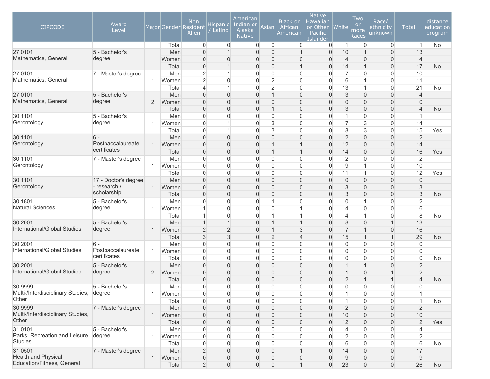| <b>CIPCODE</b>                    | Award<br>Level                       |                |              | <b>Non</b><br>Major Gender Resident<br>Alien | Hispanic  <br>Latino          | American<br>Indian or<br>Alaska<br><b>Native</b> | Asian                            | <b>Black or</b><br>African<br>American | <b>Native</b><br><b>Hawaiian</b><br>or Other<br>Pacific<br><b>Islander</b> | <b>White</b>        | Two<br><b>or</b><br>more<br><b>Races</b> | Race/<br>ethnicity<br>unknown | <b>Total</b>            | distance<br>education<br>program |
|-----------------------------------|--------------------------------------|----------------|--------------|----------------------------------------------|-------------------------------|--------------------------------------------------|----------------------------------|----------------------------------------|----------------------------------------------------------------------------|---------------------|------------------------------------------|-------------------------------|-------------------------|----------------------------------|
|                                   |                                      |                | Total        | $\overline{0}$                               | $\overline{0}$                | $\overline{0}$                                   | $\overline{0}$                   | $\overline{0}$                         | $\overline{0}$                                                             | $\vert$ 1           | $\overline{0}$                           | $\overline{0}$                | $\mathbf{1}$            | No                               |
| 27.0101                           | 5 - Bachelor's                       |                | Men          | $\overline{0}$                               | $\overline{1}$                | $\mathbf 0$                                      | $\overline{0}$                   | $\mathbf 1$                            | $\overline{0}$                                                             | 10                  |                                          | $\boldsymbol{0}$              | 13                      |                                  |
| Mathematics, General              | degree                               | 1              | Women        | $\overline{0}$                               | $\mathbf 0$                   | 0                                                | $\overline{0}$                   | 0                                      | $\overline{0}$                                                             | $\overline{4}$      | $\overline{0}$                           | $\boldsymbol{0}$              | $\overline{4}$          |                                  |
|                                   |                                      |                | Total        | 0                                            | $\overline{1}$                | $\overline{0}$                                   | $\overline{0}$                   | $\mathbf{1}$                           | 0                                                                          | 14                  | $\overline{1}$                           | $\boldsymbol{0}$              | 17                      | <b>No</b>                        |
| 27.0101                           | 7 - Master's degree                  |                | Men          | $\overline{2}$                               | $\mathbf{1}$                  | $\overline{0}$                                   | $\overline{0}$                   | 0                                      | 0                                                                          | $\overline{7}$      | $\overline{0}$                           | $\boldsymbol{0}$              | 10                      |                                  |
| Mathematics, General              |                                      | -1             | Women        | $\overline{2}$                               | 0                             | $\overline{0}$                                   | $\overline{2}$                   | 0                                      | $\overline{0}$                                                             | 6                   | 1                                        | $\boldsymbol{0}$              | 11                      |                                  |
|                                   |                                      |                | Total        | $\overline{4}$                               | $\mathbf{1}$                  | $\overline{0}$                                   | $\overline{2}$                   | $\overline{0}$                         | $\overline{0}$                                                             | 13                  | $\mathbf{1}$                             | $\overline{0}$                | 21                      | No                               |
| 27.0101                           | 5 - Bachelor's                       |                | Men          | 0                                            | $\overline{0}$                | $\overline{0}$                                   | $\mathbf{1}$                     | 0                                      | $\overline{0}$                                                             | $\sqrt{3}$          | $\overline{0}$                           | $\overline{0}$                | $\overline{4}$          |                                  |
| Mathematics, General              | degree                               | 2              | Women        | $\overline{0}$                               | $\overline{0}$                | $\overline{0}$                                   | $\overline{0}$                   | 0                                      | 0                                                                          | $\mathbf{0}$        | $\mathbf{0}$                             | $\boldsymbol{0}$              | $\overline{0}$          |                                  |
|                                   |                                      |                | Total        | 0                                            | $\mathbf 0$                   | 0                                                | $\mathbf{1}$                     | 0                                      | 0                                                                          | 3                   | $\mathbf{0}$                             | 0                             | $\overline{4}$          | <b>No</b>                        |
| 30.1101                           | 5 - Bachelor's                       |                | Men          | 0                                            | $\boldsymbol{0}$              | $\boldsymbol{0}$                                 | $\overline{0}$                   | 0                                      | 0                                                                          | $\mathbf{1}$        | $\overline{0}$                           | $\overline{0}$                | $\mathbf{1}$            |                                  |
| Gerontology                       | degree                               | -1             | Women        | 0                                            | $\mathbf{1}$                  | $\mathbf 0$                                      | $\mathbf{3}$                     | 0                                      | $\overline{0}$                                                             | $\overline{7}$      | $\mathbf{3}$                             | $\overline{0}$                | 14                      |                                  |
|                                   |                                      |                | Total        | 0                                            | $\mathbf 1$                   | $\mathbf 0$                                      | $\mathbf{3}$                     | 0                                      | 0                                                                          | 8                   | $\mathbf{3}$                             | $\boldsymbol{0}$              | 15                      | Yes                              |
| 30.1101<br>Gerontology            | $6 -$<br>Postbaccalaureate           |                | Men          | $\overline{0}$                               | $\overline{0}$                | $\overline{0}$                                   | $\mathbf 0$                      | 0                                      | $\overline{0}$                                                             | $\overline{2}$      | $\Omega$                                 | $\boldsymbol{0}$              | $\overline{2}$          |                                  |
|                                   | certificates                         | $\overline{1}$ | Women        | $\overline{0}$                               | $\overline{0}$                | $\overline{0}$                                   | $\mathbf{1}$                     | $\mathbf 1$                            | $\overline{0}$                                                             | 12                  | $\mathbf{0}$                             | $\boldsymbol{0}$              | 14                      |                                  |
|                                   |                                      |                | Total        | 0                                            | $\mathbf 0$                   | $\mathbf 0$                                      | $\mathbf{1}$                     | $\mathbf{1}$                           | $\overline{0}$                                                             | 14                  | $\mathbf 0$                              | $\overline{0}$                | 16                      | Yes                              |
| 30.1101<br>Gerontology            | 7 - Master's degree                  |                | Men          | 0                                            | 0                             | 0                                                | $\overline{0}$                   | 0                                      | 0                                                                          | $\overline{2}$      | $\Omega$                                 | $\mathbf 0$                   | $\overline{2}$          |                                  |
|                                   |                                      | 1              | Women        | 0                                            | 0                             | 0                                                | $\overline{0}$                   | $\overline{0}$<br>$\overline{0}$       | 0                                                                          | 9                   | $\mathbf{1}$                             | $\overline{0}$                | 10<br>12                |                                  |
|                                   |                                      |                | Total        | 0                                            | 0                             | $\overline{0}$                                   | $\overline{0}$                   |                                        | $\overline{0}$                                                             | 11                  |                                          | $\overline{0}$                |                         | Yes                              |
| 30.1101<br>Gerontology            | 17 - Doctor's degree<br>- research / | $\mathbf{1}$   | Men          | 0                                            | $\mathbf{0}$<br>$\mathbf 0$   | $\overline{0}$<br>0                              | $\overline{0}$<br>$\overline{0}$ | 0<br>0                                 | $\mathbf{0}$<br>0                                                          | $\overline{0}$      | $\overline{0}$<br>$\mathbf{0}$           | $\overline{0}$                | $\mathbf{0}$            |                                  |
|                                   | scholarship                          |                | Women        | 0                                            |                               |                                                  |                                  | 0                                      |                                                                            | 3                   | $\mathbf{0}$                             | $\overline{0}$                | 3<br>$\mathsf 3$        |                                  |
| 30.1801                           | 5 - Bachelor's                       |                | Total<br>Men | 0<br>0                                       | $\mathbf 0$<br>$\overline{0}$ | 0<br>$\mathbf 0$                                 | $\overline{0}$<br>1              | 0                                      | 0<br>0                                                                     | 3<br>$\overline{0}$ | $\mathbf{1}$                             | 0<br>$\boldsymbol{0}$         | $\overline{2}$          | <b>No</b>                        |
| <b>Natural Sciences</b>           | degree                               | 1              | Women        | 1                                            | 0                             | $\mathbf 0$                                      | $\overline{0}$                   | 1                                      | 0                                                                          | $\overline{4}$      | $\overline{0}$                           | $\overline{0}$                | 6                       |                                  |
|                                   |                                      |                | Total        | $\mathbf 1$                                  | $\overline{0}$                | $\mathbf 0$                                      | $\mathbf{1}$                     | 1                                      | 0                                                                          | 4                   | $\overline{1}$                           | $\overline{0}$                | 8                       | No                               |
| 30.2001                           | 5 - Bachelor's                       |                | Men          | $\mathbf{1}$                                 | $\overline{1}$                | $\Omega$                                         | $\mathbf{1}$                     | $\overline{1}$                         | $\overline{0}$                                                             | 8                   | $\Omega$                                 | $\mathbf{1}$                  | 13                      |                                  |
| International/Global Studies      | degree                               | $\overline{1}$ | Women        | $\overline{c}$                               | $\overline{2}$                | 0                                                | $\mathbf{1}$                     | 3                                      | $\overline{0}$                                                             | $\overline{7}$      |                                          | $\boldsymbol{0}$              | 16                      |                                  |
|                                   |                                      |                | Total        | 3                                            | $\mathfrak{S}$                | $\overline{0}$                                   | $\overline{2}$                   | $\overline{4}$                         | 0                                                                          | 15                  | $\overline{1}$                           | $\mathbf{1}$                  | 29                      | <b>No</b>                        |
| 30.2001                           | $6 -$                                |                | Men          | 0                                            | 0                             | $\overline{0}$                                   | $\overline{0}$                   | 0                                      | 0                                                                          | $\overline{0}$      | $\overline{0}$                           | $\mathbf 0$                   | 0                       |                                  |
| International/Global Studies      | Postbaccalaureate                    | 1              | Women        | 0                                            | 0                             | $\overline{0}$                                   | $\overline{0}$                   | $\overline{0}$                         | $\overline{0}$                                                             | $\overline{0}$      | $\Omega$                                 | $\overline{0}$                | $\Omega$                |                                  |
|                                   | certificates                         |                | Total        | 0                                            | $\mathbf{0}$                  | $\overline{0}$                                   | $\overline{0}$                   | 0                                      | $\overline{0}$                                                             | $\overline{0}$      | $\overline{0}$                           | $\overline{0}$                | $\mathbf 0$             | No                               |
| 30.2001                           | 5 - Bachelor's                       |                | Men          | $\overline{0}$                               | $\overline{0}$                | $\overline{0}$                                   | $\overline{0}$                   | 0                                      | $\overline{0}$                                                             | $\overline{1}$      | $\overline{1}$                           | $\overline{0}$                | $\overline{2}$          |                                  |
| International/Global Studies      | degree                               | 2              | Women        | 0                                            | $\mathbf 0$                   | 0                                                | $\mathbf{0}$                     | 0                                      | 0                                                                          | $\mathbf{1}$        | $\mathbf 0$                              | 1                             | $\overline{2}$          |                                  |
|                                   |                                      |                | Total        | 0                                            | $\mathbf 0$                   | $\mathbf 0$                                      | $\mathbf 0$                      | 0                                      | 0                                                                          | $\overline{2}$      | $\overline{1}$                           | $\mathbf 1$                   | $\overline{\mathbf{4}}$ | <b>No</b>                        |
| 30.9999                           | 5 - Bachelor's                       |                | Men          | $\overline{0}$                               | $\Omega$                      | $\Omega$                                         | $\overline{0}$                   | 0                                      | $\Omega$                                                                   | $\Omega$            | $\Omega$                                 | 0                             | $\Omega$                |                                  |
| Multi-/Interdisciplinary Studies, | degree                               | -1             | Women        | 0                                            | 0                             | $\mathbf 0$                                      | $\overline{0}$                   | $\overline{0}$                         | $\overline{0}$                                                             | $\mathbf{1}$        | $\overline{0}$                           | $\overline{0}$                | $\mathbf{1}$            |                                  |
| Other                             |                                      |                | Total        | 0                                            | $\overline{0}$                | 0                                                | $\boldsymbol{0}$                 | 0                                      | $\boldsymbol{0}$                                                           | $\mathbf{1}$        | $\Omega$                                 | $\boldsymbol{0}$              | $\overline{1}$          | No                               |
| 30.9999                           | 7 - Master's degree                  |                | Men          | $\boldsymbol{0}$                             | $\mathbf 0$                   | 0                                                | $\overline{0}$                   | 0                                      | $\overline{0}$                                                             | $\overline{2}$      | $\overline{0}$                           | $\boldsymbol{0}$              | $\overline{2}$          |                                  |
| Multi-/Interdisciplinary Studies, |                                      | $\overline{1}$ | Women        | 0                                            | $\mathbf 0$                   | 0                                                | $\mathbf 0$                      | 0                                      | $\overline{0}$                                                             | 10                  | $\overline{0}$                           | $\mathsf{O}\xspace$           | 10                      |                                  |
| Other                             |                                      |                | Total        | $\mathsf{O}\xspace$                          | $\mathsf{O}\xspace$           | $\mathbf 0$                                      | $\overline{0}$                   | 0                                      | $\overline{0}$                                                             | 12                  | $\boldsymbol{0}$                         | $\overline{0}$                | 12                      | Yes                              |
| 31.0101                           | 5 - Bachelor's                       |                | Men          | $\boldsymbol{0}$                             | 0                             | 0                                                | $\overline{0}$                   | 0                                      | $\mathbf{0}$                                                               | $\overline{4}$      | $\overline{0}$                           | $\overline{0}$                | 4                       |                                  |
| Parks, Recreation and Leisure     | degree                               | $\overline{1}$ | Women        | 0                                            | $\boldsymbol{0}$              | $\mathbf 0$                                      | $\overline{0}$                   | $\overline{0}$                         | $\overline{0}$                                                             | $\overline{2}$      | $\Omega$                                 | $\overline{0}$                | $\overline{2}$          |                                  |
| <b>Studies</b>                    |                                      |                | Total        | 0                                            | $\overline{0}$                | $\overline{0}$                                   | $\overline{0}$                   | $\overline{0}$                         | $\overline{0}$                                                             | 6                   | $\Omega$                                 | $\overline{0}$                | 6                       | No                               |
| 31.0501                           | 7 - Master's degree                  |                | Men          | $\overline{2}$                               | $\overline{0}$                | $\overline{0}$                                   | $\overline{0}$                   | $\mathbf 1$                            | $\overline{0}$                                                             | 14                  | $\overline{0}$                           | $\mathbf{0}$                  | 17                      |                                  |
| <b>Health and Physical</b>        |                                      | $\mathbf{1}$   | Women        | 0                                            | $\mathsf{O}\xspace$           | 0                                                | $\mathbf 0$                      | 0                                      | 0                                                                          | 9                   | $\boldsymbol{0}$                         | $\mathsf{O}\xspace$           | 9                       |                                  |
| Education/Fitness, General        |                                      |                | Total        | $\overline{2}$                               | $\mathsf{O}\xspace$           | 0                                                | $\mathsf{O}\xspace$              | $\mathbf{1}$                           | $\overline{0}$                                                             | 23                  | $\overline{0}$                           | $\overline{0}$                | 26                      | No                               |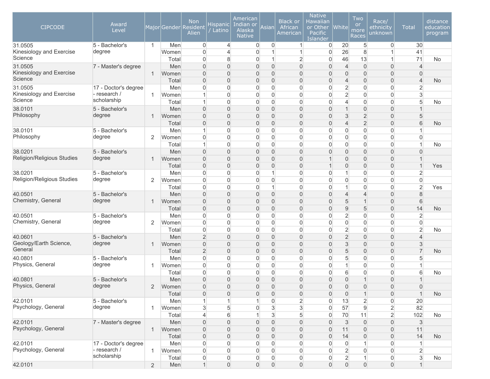| <b>CIPCODE</b>                      | Award<br>Level              |                |              | <b>Non</b><br>Major Gender Resident<br>Alien | Hispanic  <br>Latino        | American<br>Indian or<br>Alaska<br><b>Native</b> | Asian                            | <b>Black or</b><br>African<br>American | <b>Native</b><br><b>Hawaiian</b><br>or Other<br>Pacific<br><b>Islander</b> | <b>White</b>                   | Two<br>or<br>more<br>Races       | Race/<br>ethnicity<br>unknown      | <b>Total</b>                     | distance<br>education<br>program |
|-------------------------------------|-----------------------------|----------------|--------------|----------------------------------------------|-----------------------------|--------------------------------------------------|----------------------------------|----------------------------------------|----------------------------------------------------------------------------|--------------------------------|----------------------------------|------------------------------------|----------------------------------|----------------------------------|
| 31.0505                             | 5 - Bachelor's              | $\mathbf{1}$   | Men          | $\overline{0}$                               | $\overline{4}$              | $\overline{0}$                                   | $\overline{0}$                   | $\mathbf{1}$                           | 0                                                                          | 20                             | 5                                | $\overline{0}$                     | 30                               |                                  |
| Kinesiology and Exercise<br>Science | degree                      |                | Women        | $\mathbf 0$                                  | $\overline{4}$              | $\mathbf 0$                                      | $\mathbf{1}$<br>$\mathbf{1}$     | 1                                      | $\overline{0}$                                                             | 26                             | 8                                | $\mathbf{1}$<br>$\mathbf{1}$       | 41<br>71                         |                                  |
| 31.0505                             | 7 - Master's degree         |                | Total<br>Men | 0<br>0                                       | 8<br>$\mathbf 0$            | $\overline{0}$<br>$\overline{0}$                 | $\mathbf 0$                      | $\overline{2}$<br>0                    | $\overline{0}$<br>0                                                        | 46<br>$\overline{4}$           | 13<br>$\overline{0}$             | $\boldsymbol{0}$                   | $\overline{4}$                   | No                               |
| Kinesiology and Exercise            |                             | 1              | Women        | $\overline{0}$                               | $\mathbf 0$                 | $\overline{0}$                                   | $\overline{0}$                   | 0                                      | 0                                                                          | $\mathbf{0}$                   | $\overline{0}$                   | $\boldsymbol{0}$                   | $\overline{0}$                   |                                  |
| Science                             |                             |                | Total        | 0                                            | $\mathbf 0$                 | $\overline{0}$                                   | $\overline{0}$                   | 0                                      | $\overline{0}$                                                             | $\overline{4}$                 | $\overline{0}$                   | $\boldsymbol{0}$                   | $\overline{4}$                   | <b>No</b>                        |
| 31.0505                             | 17 - Doctor's degree        |                | Men          | 0                                            | $\overline{0}$              | $\overline{0}$                                   | $\overline{0}$                   | 0                                      | $\overline{0}$                                                             | $\overline{2}$                 | $\overline{0}$                   | $\overline{0}$                     | $\overline{2}$                   |                                  |
| Kinesiology and Exercise            | - research /                | -1             | Women        | $\mathbf{1}$                                 | $\overline{0}$              | $\mathbf 0$                                      | $\overline{0}$                   | 0                                      | $\overline{0}$                                                             | $\overline{2}$                 | $\Omega$                         | $\overline{0}$                     | $\mathbf{3}$                     |                                  |
| Science                             | scholarship                 |                | Total        | $\mathbf 1$                                  | $\overline{0}$              | $\mathbf 0$                                      | $\mathbf 0$                      | 0                                      | $\overline{0}$                                                             | $\overline{4}$                 | $\overline{0}$                   | $\boldsymbol{0}$                   | 5                                | No                               |
| 38.0101                             | 5 - Bachelor's              |                | Men          | 0                                            | $\mathbf 0$                 | $\mathbf 0$                                      | $\overline{0}$                   | 0                                      | 0                                                                          | $\mathbf{1}$                   | $\boldsymbol{0}$                 | $\boldsymbol{0}$                   |                                  |                                  |
| Philosophy                          | degree                      | $\overline{1}$ | Women        | 0                                            | $\boldsymbol{0}$            | $\mathbf 0$                                      | $\overline{0}$                   | 0                                      | 0                                                                          | 3                              | $\overline{2}$                   | $\boldsymbol{0}$                   | 5                                |                                  |
|                                     |                             |                | Total        | 0                                            | $\mathbf 0$                 | $\mathbf 0$                                      | $\overline{0}$                   | 0                                      | 0                                                                          | $\overline{4}$                 | $\overline{2}$                   | 0                                  | 6                                | <b>No</b>                        |
| 38.0101                             | 5 - Bachelor's              |                | Men          | 1                                            | $\mathbf{0}$                | $\overline{0}$                                   | $\overline{0}$                   | 0                                      | $\overline{0}$                                                             | $\overline{0}$                 | $\overline{0}$                   | $\boldsymbol{0}$                   |                                  |                                  |
| Philosophy                          | degree                      | 2              | Women        | 0                                            | $\mathbf 0$                 | $\overline{0}$                                   | $\overline{0}$                   | 0                                      | $\overline{0}$                                                             | $\overline{0}$                 | $\overline{0}$                   | $\overline{0}$                     | $\overline{0}$<br>$\overline{1}$ |                                  |
| 38.0201                             | 5 - Bachelor's              |                | Total<br>Men | 1<br>$\overline{0}$                          | 0<br>$\boldsymbol{0}$       | $\overline{0}$<br>$\overline{0}$                 | $\overline{0}$<br>$\overline{0}$ | 0<br>0                                 | $\overline{0}$<br>0                                                        | $\overline{0}$<br>$\mathbf{0}$ | $\overline{0}$<br>$\overline{0}$ | $\overline{0}$<br>$\boldsymbol{0}$ | $\Omega$                         | No                               |
| Religion/Religious Studies          | degree                      | $\overline{1}$ | Women        | $\overline{0}$                               | $\boldsymbol{0}$            | $\overline{0}$                                   | $\overline{0}$                   | 0                                      | 1                                                                          | $\mathbf{0}$                   | $\overline{0}$                   | $\boldsymbol{0}$                   | -1                               |                                  |
|                                     |                             |                | Total        | 0                                            | $\mathbf 0$                 | $\overline{0}$                                   | $\overline{0}$                   | $\overline{0}$                         |                                                                            | $\mathbf{0}$                   | $\Omega$                         | $\overline{0}$                     | $\overline{1}$                   | Yes                              |
| 38.0201                             | 5 - Bachelor's              |                | Men          | 0                                            | $\overline{0}$              | $\Omega$                                         | $\mathbf{1}$                     | 0                                      | $\overline{0}$                                                             | 1                              | $\Omega$                         | $\overline{0}$                     | $\overline{2}$                   |                                  |
| Religion/Religious Studies          | degree                      | 2              | Women        | 0                                            | $\overline{0}$              | $\overline{0}$                                   | $\overline{0}$                   | 0                                      | $\overline{0}$                                                             | $\overline{0}$                 | $\Omega$                         | $\overline{0}$                     | $\mathbf 0$                      |                                  |
|                                     |                             |                | Total        | 0                                            | $\mathsf{O}\xspace$         | $\mathbf 0$                                      | $\mathbf{1}$                     | $\overline{0}$                         | 0                                                                          | $\overline{1}$                 | $\overline{0}$                   | $\boldsymbol{0}$                   | $\overline{2}$                   | Yes                              |
| 40.0501                             | 5 - Bachelor's              |                | Men          | 0                                            | $\boldsymbol{0}$            | $\overline{0}$                                   | $\overline{0}$                   | 0                                      | 0                                                                          | $\overline{4}$                 | $\overline{4}$                   | $\boldsymbol{0}$                   | 8                                |                                  |
| Chemistry, General                  | degree                      | -1             | Women        | $\overline{0}$                               | $\boldsymbol{0}$            | $\overline{0}$                                   | $\overline{0}$                   | $\overline{0}$                         | 0                                                                          | 5                              | $\overline{1}$                   | $\boldsymbol{0}$                   | 6                                |                                  |
|                                     |                             |                | Total        | 0                                            | $\mathbf 0$                 | $\mathbf 0$                                      | $\overline{0}$                   | 0                                      | 0                                                                          | $9\,$                          | 5                                | $\boldsymbol{0}$                   | 14                               | <b>No</b>                        |
| 40.0501                             | 5 - Bachelor's              |                | Men          | 0                                            | $\overline{0}$              | 0                                                | $\overline{0}$                   | 0                                      | $\overline{0}$                                                             | $\overline{2}$                 | $\Omega$                         | $\boldsymbol{0}$                   | $\overline{2}$                   |                                  |
| Chemistry, General                  | degree                      | $\overline{2}$ | Women        | 0                                            | 0                           | $\overline{0}$                                   | $\overline{0}$                   | 0                                      | $\overline{0}$                                                             | $\overline{0}$                 | $\overline{0}$                   | $\boldsymbol{0}$                   | $\overline{0}$                   |                                  |
|                                     |                             |                | Total        | 0                                            | $\boldsymbol{0}$            | $\overline{0}$                                   | $\overline{0}$                   | 0                                      | 0                                                                          | $\overline{2}$                 | $\overline{0}$                   | $\boldsymbol{0}$                   | $\overline{2}$                   | <b>No</b>                        |
| 40.0601<br>Geology/Earth Science,   | 5 - Bachelor's              |                | Men          | $\overline{2}$                               | $\mathbf 0$                 | $\overline{0}$                                   | $\overline{0}$                   | 0                                      | 0                                                                          | $\overline{2}$                 | $\overline{0}$                   | $\boldsymbol{0}$                   | $\overline{4}$                   |                                  |
| General                             | degree                      | $\mathbf 1$    | Women        | 0                                            | $\mathbf 0$                 | $\overline{0}$                                   | $\overline{0}$                   | 0                                      | 0                                                                          | 3                              | $\overline{0}$                   | 0                                  | 3<br>$\overline{7}$              |                                  |
|                                     | 5 - Bachelor's              |                | Total<br>Men | $\overline{2}$<br>0                          | $\mathbf 0$<br>$\mathbf{0}$ | $\overline{0}$<br>$\overline{0}$                 | $\overline{0}$                   | 0<br>0                                 | 0<br>$\overline{0}$                                                        | 5                              | $\Omega$<br>$\overline{0}$       | $\overline{0}$<br>$\overline{0}$   | 5                                | <b>No</b>                        |
| 40.0801<br>Physics, General         | degree                      | -1             | Women        | 0                                            | $\mathbf{0}$                | $\overline{0}$                                   | $\overline{0}$<br>$\overline{0}$ | 0                                      | $\overline{0}$                                                             | 5<br>$\overline{1}$            | $\overline{0}$                   | $\boldsymbol{0}$                   |                                  |                                  |
|                                     |                             |                | Total        | 0                                            | $\boldsymbol{0}$            | $\mathbf 0$                                      | $\overline{0}$                   | 0                                      | 0                                                                          | 6                              | $\overline{0}$                   | $\boldsymbol{0}$                   | 6                                | No                               |
| 40.0801                             | 5 - Bachelor's              |                | Men          | 0                                            | $\overline{0}$              | $\overline{0}$                                   | $\boldsymbol{0}$                 | 0                                      | 0                                                                          | $\overline{0}$                 | $\overline{1}$                   | 0                                  | 1                                |                                  |
| Physics, General                    | degree                      | 2              | Women        | $\overline{0}$                               | $\overline{0}$              | $\overline{0}$                                   | $\overline{0}$                   | 0                                      | 0                                                                          | $\mathbf{0}$                   | $\Omega$                         | $\overline{0}$                     | $\Omega$                         |                                  |
|                                     |                             |                | Total        | 0                                            | $\boldsymbol{0}$            | $\mathbf 0$                                      | $\mathsf{O}\xspace$              | $\boldsymbol{0}$                       | $\boldsymbol{0}$                                                           | $\overline{0}$                 | $\mathbf{1}$                     | $\overline{0}$                     | $\mathbf{1}$                     | <b>No</b>                        |
| 42.0101                             | 5 - Bachelor's              |                | Men          | $\mathbf{1}$                                 | 1                           | 1                                                | $\overline{0}$                   | $\overline{2}$                         | $\overline{0}$                                                             | 13                             | $\overline{2}$                   | $\boldsymbol{0}$                   | 20                               |                                  |
| Psychology, General                 | degree                      | -1             | Women        | 3                                            | $\sqrt{5}$                  | $\mathbf 0$                                      | $\sqrt{3}$                       | $\mathbf{3}$                           | $\boldsymbol{0}$                                                           | 57                             | $\mathsf g$                      | $\sqrt{2}$                         | 82                               |                                  |
|                                     |                             |                | Total        | $\overline{4}$                               | $\,$ 6 $\,$                 | $\mathbf{1}$                                     | $\mathbf{3}$                     | 5                                      | 0                                                                          | 70                             | 11                               | $\overline{2}$                     | 102                              | No                               |
| 42.0101                             | 7 - Master's degree         |                | Men          | 0                                            | $\mathsf{O}\xspace$         | $\mathbf 0$                                      | $\overline{0}$                   | 0                                      | $\overline{0}$                                                             | 3                              | $\mathsf{O}\xspace$              | $\boldsymbol{0}$                   | $\mathbf{3}$                     |                                  |
| Psychology, General                 |                             | $\mathbf 1$    | Women        | 0                                            | $\mathsf{O}\xspace$         | $\mathbf 0$                                      | $\mathbf 0$                      | 0                                      | $\overline{0}$                                                             | 11                             | $\boldsymbol{0}$                 | $\mathsf{O}\xspace$                | 11                               |                                  |
|                                     |                             |                | Total        | 0                                            | $\mathbf 0$                 | $\mathbf 0$                                      | $\mathsf{O}\xspace$              | 0                                      | 0                                                                          | 14                             | $\overline{0}$                   | $\boldsymbol{0}$                   | 14                               | <b>No</b>                        |
| 42.0101                             | 17 - Doctor's degree        |                | Men          | $\boldsymbol{0}$                             | $\boldsymbol{0}$            | $\overline{0}$                                   | $\overline{0}$                   | 0                                      | $\boldsymbol{0}$                                                           | $\overline{0}$                 | $\overline{1}$                   | $\overline{0}$                     | $\mathbf{1}$                     |                                  |
| Psychology, General                 | - research /<br>scholarship | $\mathbf{1}$   | Women        | $\boldsymbol{0}$                             | $\boldsymbol{0}$            | $\mathbf 0$                                      | $\overline{0}$                   | 0                                      | 0                                                                          | $\overline{2}$                 | $\boldsymbol{0}$                 | $\boldsymbol{0}$                   | $\overline{2}$                   |                                  |
|                                     |                             |                | Total        | 0                                            | $\boldsymbol{0}$            | $\boldsymbol{0}$                                 | $\overline{0}$                   | $\boldsymbol{0}$                       | $\overline{0}$                                                             | $\overline{2}$                 | 1                                | $\overline{0}$                     | $\sqrt{3}$                       | No                               |
| 42.0101                             |                             | 2              | Men          | $\mathbf{1}$                                 | $\mathsf{O}\xspace$         | $\mathsf{O}\xspace$                              | $\mathsf{O}\xspace$              | $\mathsf{O}\xspace$                    | $\boldsymbol{0}$                                                           | $\mathsf{O}\xspace$            | $\mathsf{O}\xspace$              | $\boldsymbol{0}$                   | $\mathbf{1}$                     |                                  |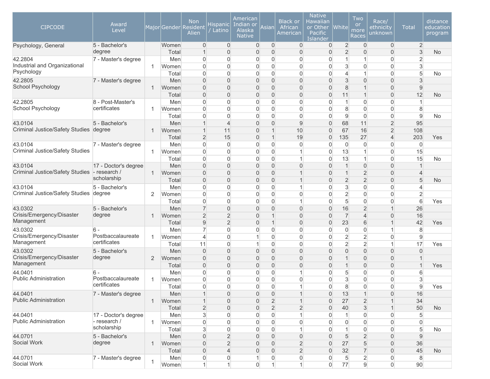| <b>CIPCODE</b>                           | Award<br>Level                    |                |                | <b>Non</b><br>Major Gender Resident<br>Alien | Hispanic <br>Latino              | American<br>Indian or<br>Alaska<br><b>Native</b> | Asian                            | <b>Black or</b><br>African<br>American | <b>Native</b><br>Hawaiian<br>or Other<br>Pacific<br>Islander | $ $ White $ $  | Two<br>or<br>more<br>Races     | Race/<br>ethnicity<br>unknown    | <b>Total</b>     | distance<br>education<br>program |
|------------------------------------------|-----------------------------------|----------------|----------------|----------------------------------------------|----------------------------------|--------------------------------------------------|----------------------------------|----------------------------------------|--------------------------------------------------------------|----------------|--------------------------------|----------------------------------|------------------|----------------------------------|
| Psychology, General                      | 5 - Bachelor's                    |                | Women          | $\mathbf 0$                                  | $\overline{0}$                   | $\overline{0}$                                   | $\mathbf{0}$                     | 0                                      | 0                                                            | $\overline{2}$ | $\overline{0}$                 | $\overline{0}$                   | $\overline{2}$   |                                  |
|                                          | degree                            |                | Total          | $\mathbf{1}$                                 | $\overline{0}$                   | $\overline{0}$                                   | 0                                | $\overline{0}$                         | $\overline{0}$                                               | $\overline{2}$ | $\Omega$                       | $\overline{0}$                   | 3                | <b>No</b>                        |
| 42.2804<br>Industrial and Organizational | 7 - Master's degree               | 1              | Men            | $\mathbf 0$                                  | $\mathbf{0}$                     | $\mathbf 0$                                      | 0                                | 0                                      | 0                                                            | 1              | 1                              | 0                                | $\overline{2}$   |                                  |
| Psychology                               |                                   |                | Women<br>Total | $\boldsymbol{0}$<br>$\overline{0}$           | $\overline{0}$<br>$\overline{0}$ | $\overline{0}$<br>$\overline{0}$                 | $\overline{0}$<br>$\overline{0}$ | 0<br>$\overline{0}$                    | 0<br>0                                                       | 3<br>4         | $\overline{0}$<br>1            | 0<br>$\overline{0}$              | 3<br>5           | No.                              |
| 42.2805                                  | 7 - Master's degree               |                | Men            | $\overline{0}$                               | $\mathbf 0$                      | $\overline{0}$                                   | $\overline{0}$                   | $\overline{0}$                         | $\overline{0}$                                               | 3              | $\overline{0}$                 | $\overline{0}$                   | 3                |                                  |
| School Psychology                        |                                   |                | Women          | $\overline{0}$                               | $\mathbf 0$                      | $\mathbf{0}$                                     | $\mathbf{0}$                     | $\overline{0}$                         | 0                                                            | 8              |                                | $\mathbf{0}$                     | $9\,$            |                                  |
|                                          |                                   |                | Total          | $\overline{0}$                               | $\overline{0}$                   | $\overline{0}$                                   | $\overline{0}$                   | $\overline{0}$                         | 0                                                            | 11             | $\overline{1}$                 | $\overline{0}$                   | 12               | <b>No</b>                        |
| 42.2805                                  | 8 - Post-Master's                 |                | Men            | $\overline{0}$                               | $\mathbf 0$                      | $\overline{0}$                                   | $\overline{0}$                   | 0                                      | 0                                                            | 1              | $\overline{0}$                 | $\overline{0}$                   | $\mathbf{1}$     |                                  |
| School Psychology                        | certificates                      | 1              | Women          | $\overline{0}$                               | $\overline{0}$                   | $\boldsymbol{0}$                                 | $\overline{0}$                   | 0                                      | 0                                                            | 8              | $\overline{0}$                 | 0                                | 8                |                                  |
|                                          |                                   |                | Total          | $\overline{0}$                               | $\overline{0}$                   | $\boldsymbol{0}$                                 | $\overline{0}$                   | 0                                      | 0                                                            | 9              | $\overline{0}$                 | $\overline{0}$                   | $\overline{9}$   | No.                              |
| 43.0104                                  | 5 - Bachelor's                    |                | Men            | $\mathbf{1}$                                 | $\overline{4}$                   | $\mathbf 0$                                      | $\overline{0}$                   | 9                                      | 0                                                            | 68             | 11                             | $\overline{2}$                   | 95               |                                  |
| Criminal Justice/Safety Studies degree   |                                   |                | Women          | $\mathbf{1}$                                 | 11                               | $\overline{0}$                                   | $\mathbf{1}$                     | 10                                     | 0                                                            | 67             | 16                             | $\overline{2}$                   | 108              |                                  |
|                                          |                                   |                | Total          | $\overline{2}$                               | 15                               | $\overline{0}$                                   | $\mathbf{1}$                     | 19                                     | 0                                                            | 135            | 27                             | $\overline{4}$                   | 203              | Yes                              |
| 43.0104                                  | 7 - Master's degree               |                | Men            | $\mathbf 0$                                  | $\mathbf 0$                      | $\mathbf 0$                                      | 0                                | 0                                      | 0                                                            | $\overline{0}$ | 0                              | 0                                | 0                |                                  |
| <b>Criminal Justice/Safety Studies</b>   |                                   | 1              | Women          | $\boldsymbol{0}$                             | $\overline{0}$                   | $\overline{0}$                                   | 0                                | 1                                      | 0                                                            | 13             | 1                              | 0                                | 15               |                                  |
|                                          |                                   |                | Total          | $\mathbf 0$                                  | $\overline{0}$                   | $\overline{0}$                                   | $\overline{0}$                   | 1                                      | 0                                                            | 13             | 1                              | $\overline{0}$                   | 15               | <b>No</b>                        |
| 43.0104                                  | 17 - Doctor's degree              |                | Men            | $\overline{0}$                               | $\mathbf{0}$                     | $\mathbf{0}$                                     | $\mathbf{0}$                     | $\overline{0}$                         | 0                                                            | $\mathbf{1}$   | $\overline{0}$                 | $\mathbf{0}$                     | -1               |                                  |
| Criminal Justice/Safety Studies          | - research /                      | 1              | Women          | $\overline{0}$                               | $\overline{0}$                   | $\Omega$                                         | $\mathbf{0}$                     | 1                                      | 0                                                            | 1              | $\overline{2}$                 | $\overline{0}$                   | $\overline{4}$   |                                  |
|                                          | scholarship                       |                | Total          | $\overline{0}$                               | $\overline{0}$                   | $\overline{0}$                                   | $\overline{0}$                   | 1                                      | $\overline{0}$                                               | $\overline{2}$ | $\overline{2}$                 | 0                                | 5                | <b>No</b>                        |
| 43.0104                                  | 5 - Bachelor's                    |                | Men            | $\boldsymbol{0}$                             | $\overline{0}$                   | $\boldsymbol{0}$                                 | 0                                | 1                                      | 0                                                            | 3              | $\boldsymbol{0}$               | 0                                | 4                |                                  |
| Criminal Justice/Safety Studies          | degree                            | 2              | Women          | $\boldsymbol{0}$                             | $\overline{0}$                   | $\boldsymbol{0}$                                 | $\overline{0}$                   | 0                                      | 0                                                            | $\overline{2}$ | $\overline{0}$                 | 0                                | $\overline{2}$   |                                  |
|                                          |                                   |                | Total          | $\overline{0}$                               | $\overline{0}$                   | $\overline{0}$                                   | $\overline{0}$                   | 1                                      | 0                                                            | 5              | $\overline{0}$                 | $\overline{0}$                   | 6                | Yes                              |
| 43.0302                                  | 5 - Bachelor's                    |                | Men            | $\overline{7}$                               | $\mathbf 0$                      | $\overline{0}$                                   | $\overline{0}$                   | $\overline{0}$                         | 0                                                            | 16             | $\overline{2}$                 | $\overline{1}$                   | 26               |                                  |
| Crisis/Emergency/Disaster                | degree                            |                | Women          | $\overline{2}$                               | $\sqrt{2}$                       | $\Omega$                                         | $\mathbf 1$                      | $\overline{0}$                         | $\overline{0}$                                               | $\overline{7}$ | $\overline{4}$                 | $\boldsymbol{0}$                 | 16               |                                  |
| Management                               |                                   |                | Total          | $\overline{9}$                               | $\overline{2}$                   | $\overline{0}$                                   | $\mathbf 1$                      | 0                                      | 0                                                            | 23             | 6                              | 1                                | 42               | Yes                              |
| 43.0302                                  | $6 -$                             |                | Men            | 7                                            | $\overline{0}$                   | $\mathbf 0$                                      | 0                                | 0                                      | 0                                                            | 0              | 0                              | 1                                | 8                |                                  |
| Crisis/Emergency/Disaster                | Postbaccalaureate<br>certificates |                | Women          | 4                                            | $\overline{0}$                   | 1                                                | 0                                | 0                                      | 0                                                            | $\overline{c}$ | $\overline{2}$                 | 0                                | 9                |                                  |
| Management                               |                                   |                | Total          | 11                                           | $\overline{0}$                   | $\mathbf{1}$                                     | $\overline{0}$                   | $\overline{0}$                         | 0                                                            | $\overline{c}$ | $\overline{2}$                 | $\mathbf{1}$                     | 17               | Yes                              |
| 43.0302                                  | 5 - Bachelor's                    |                | Men            | $\overline{0}$                               | $\overline{0}$                   | $\mathbf{0}$                                     | $\mathbf{0}$                     | $\overline{0}$                         | 0                                                            | 0              | $\overline{0}$                 | $\mathbf{0}$                     | $\Omega$         |                                  |
| Crisis/Emergency/Disaster<br>Management  | degree                            | $\overline{2}$ | Women          | $\overline{0}$                               | $\overline{0}$                   | $\mathbf{0}$                                     | $\mathbf{0}$                     | $\overline{0}$                         | 0                                                            | 1              | $\overline{0}$                 | $\mathbf{0}$                     |                  |                                  |
|                                          |                                   |                | Total          | $\overline{0}$                               | $\overline{0}$                   | $\mathbf{0}$                                     | $\mathbf{0}$                     | $\overline{0}$                         | 0                                                            | $\overline{1}$ | $\mathbf{0}$                   | 0                                | $\mathbf{1}$     | Yes                              |
| 44.0401<br><b>Public Administration</b>  | $6 -$<br>Postbaccalaureate        |                | Men            | $\boldsymbol{0}$                             | $\overline{0}$                   | $\boldsymbol{0}$                                 | 0                                | 1                                      | 0                                                            | 5              | 0                              | 0                                | 6                |                                  |
|                                          | certificates                      |                | Women          | 0                                            | $\overline{0}$                   | $\boldsymbol{0}$                                 | $\overline{0}$                   | 0<br>1                                 | 0                                                            | 3              | $\overline{0}$                 | 0                                | 3                |                                  |
|                                          |                                   |                | Total          | $\overline{0}$                               | $\overline{0}$                   | $\overline{0}$                                   | $\Omega$                         |                                        | $\overline{0}$                                               | 8              | $\Omega$                       | 0                                | 9                | Yes                              |
| 44.0401<br><b>Public Administration</b>  | 7 - Master's degree               | 1              | Men<br>Women   | $\mathbf{1}$<br>$\mathbf{1}$                 | $\overline{0}$<br>$\overline{0}$ | $\mathbf 0$<br>$\overline{0}$                    | $\overline{0}$<br>$\overline{2}$ | 1<br>$\mathbf 1$                       | 0<br>$\overline{0}$                                          | 13<br>27       | $\mathbf{1}$<br>$\overline{2}$ | $\boldsymbol{0}$<br>$\mathbf{1}$ | 16<br>34         |                                  |
|                                          |                                   |                | Total          |                                              | $\mathsf{O}\xspace$              | $\overline{0}$                                   | $\sqrt{2}$                       | $\overline{2}$                         | 0                                                            | 40             | $\mathbf{3}$                   | $\mathbf{1}$                     | 50               | <b>No</b>                        |
| 44.0401                                  | 17 - Doctor's degree              |                | Men            | $\overline{2}$<br>$\mathbf{3}$               | $\overline{0}$                   | $\overline{0}$                                   | $\overline{0}$                   | 1                                      | 0                                                            | $\mathbf{1}$   | 0                              | $\mathsf{O}\xspace$              | $\overline{5}$   |                                  |
| Public Administration                    | - research /                      | 1              | Women          | $\boldsymbol{0}$                             | $\overline{0}$                   | $\mathbf 0$                                      | $\overline{0}$                   | 0                                      | 0                                                            | $\mathbf 0$    | 0                              | $\overline{0}$                   | $\overline{0}$   |                                  |
|                                          | scholarship                       |                | Total          | 3                                            | $\boldsymbol{0}$                 | $\overline{0}$                                   | $\overline{0}$                   | 1                                      | $\overline{0}$                                               | 1              | 0                              | $\boldsymbol{0}$                 | 5                | No                               |
| 44.0701                                  | 5 - Bachelor's                    |                | Men            | $\boldsymbol{0}$                             | $\sqrt{2}$                       | $\overline{0}$                                   | $\overline{0}$                   | 0                                      | 0                                                            | 5              | $\overline{2}$                 | $\overline{0}$                   | $\boldsymbol{9}$ |                                  |
| Social Work                              | degree                            | 1              | Women          | $\boldsymbol{0}$                             | $\overline{2}$                   | $\mathbf{0}$                                     | $\mathbf{0}$                     | $\overline{2}$                         | 0                                                            | 27             | 5                              | $\boldsymbol{0}$                 | 36               |                                  |
|                                          |                                   |                | Total          | $\boldsymbol{0}$                             | $\overline{4}$                   | $\overline{0}$                                   | $\overline{0}$                   | $\overline{2}$                         | 0                                                            | 32             | $\overline{7}$                 | $\boldsymbol{0}$                 | 45               | <b>No</b>                        |
| 44.0701                                  | 7 - Master's degree               |                | Men            | $\boldsymbol{0}$                             | $\overline{0}$                   | $\mathbf{1}$                                     | 0                                | 0                                      | 0                                                            | $\sqrt{5}$     | $\overline{c}$                 | $\mathsf{O}\xspace$              | $\bf 8$          |                                  |
| Social Work                              |                                   |                | Women          | $\mathbf{1}$                                 | $\mathbf{1}$                     | $\boldsymbol{0}$                                 | $\mathbf{1}$                     | 1                                      | 0                                                            | 77             | $9\,$                          | $\overline{0}$                   | 90               |                                  |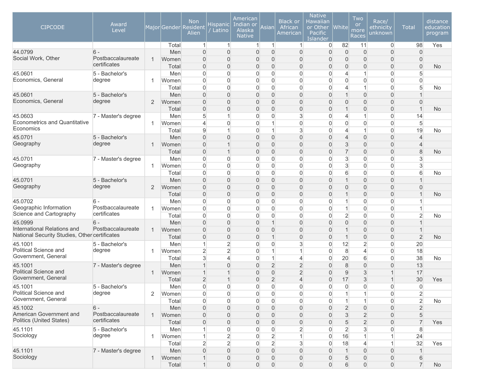| <b>CIPCODE</b>                                      | Award<br>Level                    |                |                | <b>Non</b><br>Major Gender Resident<br>Alien | Hispanic  <br>' Latino                     | American<br>Indian or<br>Alaska<br><b>Native</b> | Asian                                      | <b>Black or</b><br>African<br>American | <b>Native</b><br>Hawaiian<br>or Other<br>Pacific<br>Islander | <b>White</b>        | Two<br>or<br>more<br><b>Races</b>  | Race/<br>ethnicity<br>unknown              | <b>Total</b>                   | distance<br>education<br>program |
|-----------------------------------------------------|-----------------------------------|----------------|----------------|----------------------------------------------|--------------------------------------------|--------------------------------------------------|--------------------------------------------|----------------------------------------|--------------------------------------------------------------|---------------------|------------------------------------|--------------------------------------------|--------------------------------|----------------------------------|
|                                                     |                                   |                | Total          | $\mathbf{1}$                                 | $\vert$ 1                                  | $\mathbf{1}$                                     | $\mathbf{1}$                               | $\mathbf{1}$                           | 0                                                            | 82                  | 11                                 | $\overline{0}$                             | 98                             | Yes                              |
| 44.0799                                             | $6 -$                             |                | Men            | $\overline{0}$                               | $\overline{0}$                             | $\overline{0}$                                   | $\overline{0}$                             | 0                                      | $\overline{0}$                                               | $\overline{0}$      | $\Omega$                           | $\overline{0}$                             | $\mathbf{0}$                   |                                  |
| Social Work, Other                                  | Postbaccalaureate<br>certificates | 1              | Women          | 0                                            | $\mathbf{0}$                               | $\overline{0}$                                   | $\overline{0}$                             | 0                                      | 0                                                            | $\overline{0}$      | $\mathbf{0}$                       | $\mathbf 0$                                | $\mathbf{0}$                   |                                  |
|                                                     |                                   |                | Total          | 0                                            | $\mathbf 0$                                | $\overline{0}$                                   | $\mathbf 0$                                | 0                                      | 0                                                            | $\overline{0}$      | $\mathbf{0}$                       | $\mathbf 0$                                | $\overline{0}$                 | <b>No</b>                        |
| 45.0601                                             | 5 - Bachelor's                    |                | Men            | 0                                            | 0                                          | $\overline{0}$                                   | $\overline{0}$                             | 0                                      | 0                                                            | $\overline{4}$      | 1                                  | $\boldsymbol{0}$                           | 5                              |                                  |
| Economics, General                                  | degree                            | 1              | Women          | 0                                            | $\overline{0}$                             | $\overline{0}$                                   | $\overline{0}$                             | 0                                      | $\overline{0}$                                               | $\overline{0}$      | $\Omega$                           | $\overline{0}$                             | $\Omega$                       |                                  |
|                                                     |                                   |                | Total          | 0                                            | $\overline{0}$                             | $\overline{0}$                                   | $\overline{0}$                             | 0                                      | $\overline{0}$                                               | 4<br>$\overline{1}$ | 1                                  | $\overline{0}$                             | 5                              | No                               |
| 45.0601<br>Economics, General                       | 5 - Bachelor's<br>degree          | $\overline{2}$ | Men            | $\overline{0}$                               | $\overline{0}$<br>$\overline{0}$           | $\overline{0}$                                   | $\overline{0}$<br>$\overline{0}$           | 0<br>0                                 | 0                                                            | $\Omega$            | $\overline{0}$                     | $\overline{0}$                             |                                |                                  |
|                                                     |                                   |                | Women          | 0                                            |                                            | $\overline{0}$<br>$\overline{0}$                 |                                            | 0                                      | 0                                                            | $\overline{1}$      | $\mathbf{0}$<br>$\mathbf{0}$       | $\mathbf 0$                                | $\mathbf{0}$<br>$\overline{1}$ |                                  |
| 45.0603                                             | 7 - Master's degree               |                | Total<br>Men   | 0<br>5                                       | $\mathbf 0$<br>$\mathbf{1}$                | $\overline{0}$                                   | $\mathbf 0$<br>$\overline{0}$              | 3                                      | 0<br>0                                                       | $\overline{4}$      | $\mathbf{1}$                       | $\boldsymbol{0}$<br>$\overline{0}$         | 14                             | <b>No</b>                        |
| <b>Econometrics and Quantitative</b>                |                                   | 1              | Women          | $\overline{4}$                               | $\mathbf 0$                                | $\overline{0}$                                   | $\mathbf{1}$                               | 0                                      | $\overline{0}$                                               | $\overline{0}$      | $\overline{0}$                     | $\overline{0}$                             | $5\overline{)}$                |                                  |
| Economics                                           |                                   |                | Total          | 9                                            | $\overline{1}$                             | $\overline{0}$                                   | $\mathbf{1}$                               | 3                                      | 0                                                            | 4                   | $\mathbf{1}$                       | $\overline{0}$                             | 19                             | No                               |
| 45.0701                                             | 5 - Bachelor's                    |                | Men            | $\overline{0}$                               | $\Omega$                                   | $\overline{0}$                                   | $\overline{0}$                             | $\overline{0}$                         | 0                                                            | $\overline{4}$      | $\Omega$                           | $\overline{0}$                             | $\overline{4}$                 |                                  |
| Geography                                           | degree                            | -1             | Women          | 0                                            | $\overline{1}$                             | $\overline{0}$                                   | $\mathbf 0$                                | 0                                      | 0                                                            | 3                   | $\mathbf{0}$                       | $\mathbf 0$                                | $\overline{4}$                 |                                  |
|                                                     |                                   |                | Total          | 0                                            | $\overline{1}$                             | $\overline{0}$                                   | $\overline{0}$                             | 0                                      | 0                                                            | $\overline{7}$      | $\overline{0}$                     | $\boldsymbol{0}$                           | 8                              | <b>No</b>                        |
| 45.0701                                             | 7 - Master's degree               |                | Men            | 0                                            | 0                                          | 0                                                | $\overline{0}$                             | 0                                      | 0                                                            | 3                   | $\Omega$                           | $\overline{0}$                             | 3                              |                                  |
| Geography                                           |                                   | 1              | Women          | 0                                            | 0                                          | $\overline{0}$                                   | $\overline{0}$                             | 0                                      | 0                                                            | 3                   | $\overline{0}$                     | $\overline{0}$                             | $\mathbf{3}$                   |                                  |
|                                                     |                                   |                | Total          | $\overline{0}$                               | $\Omega$                                   | $\mathbf{0}$                                     | $\overline{0}$                             | 0                                      | $\overline{0}$                                               | 6                   | $\Omega$                           | $\overline{0}$                             | 6                              | No                               |
| 45.0701                                             | 5 - Bachelor's                    |                | Men            | $\overline{0}$                               | $\overline{0}$                             | $\overline{0}$                                   | $\overline{0}$                             | 0                                      | 0                                                            | $\overline{1}$      | $\overline{0}$                     | $\overline{0}$                             |                                |                                  |
| Geography                                           | degree                            | 2              | Women          | 0                                            | $\mathbf 0$                                | $\overline{0}$                                   | $\mathbf 0$                                | 0                                      | 0                                                            | $\overline{0}$      | $\mathbf{0}$                       | $\overline{0}$                             | $\overline{0}$                 |                                  |
|                                                     |                                   |                | Total          | 0                                            | $\mathbf 0$                                | $\overline{0}$                                   | $\overline{0}$                             | 0                                      | 0                                                            | $\overline{1}$      | $\overline{0}$                     | $\boldsymbol{0}$                           | $\mathbf 1$                    | <b>No</b>                        |
| 45.0702                                             | $6 -$                             |                | Men            | 0                                            | $\overline{0}$                             | $\overline{0}$                                   | $\overline{0}$                             | 0                                      | $\overline{0}$                                               | 1                   | $\overline{0}$                     | $\overline{0}$                             |                                |                                  |
| Geographic Information                              | Postbaccalaureate                 | 1              | Women          | 0                                            | $\mathbf 0$                                | $\overline{0}$                                   | $\overline{0}$                             | 0                                      | $\overline{0}$                                               | $\mathbf{1}$        | $\overline{0}$                     | $\overline{0}$                             | $\mathbf 1$                    |                                  |
| Science and Cartography                             | certificates                      |                | Total          | 0                                            | $\mathbf 0$                                | $\mathbf{0}$                                     | $\boldsymbol{0}$                           | 0                                      | $\overline{0}$                                               | $\overline{2}$      | $\Omega$                           | $\overline{0}$                             | $\overline{2}$                 | No                               |
| 45.0999                                             | $6 -$                             |                | Men            | 0                                            | $\mathbf 0$                                | $\Omega$                                         | $\mathbf{1}$                               | 0                                      | 0                                                            | $\Omega$            | $\mathbf{0}$                       | $\mathbf{0}$                               |                                |                                  |
| International Relations and                         | Postbaccalaureate                 | $\mathbf 1$    | Women          | $\overline{0}$                               | $\mathbf 0$                                | $\overline{0}$                                   | $\mathbf 0$                                | 0                                      | 0                                                            | $\overline{1}$      | $\mathbf{0}$                       | $\mathbf 0$                                |                                |                                  |
| National Security Studies, Other certificates       |                                   |                | Total          | 0                                            | $\mathbf 0$                                | $\overline{0}$                                   | $\mathbf{1}$                               | 0                                      | 0                                                            | $\overline{1}$      | $\overline{0}$                     | $\boldsymbol{0}$                           | $\overline{2}$                 | <b>No</b>                        |
| 45.1001                                             | 5 - Bachelor's                    |                | Men            | 1                                            | $\overline{2}$                             | 0                                                | $\mathbf 0$                                | 3                                      | 0                                                            | 12                  | $\overline{2}$                     | $\overline{0}$                             | 20                             |                                  |
| Political Science and                               | degree                            | 1              | Women          | $\overline{2}$                               | $\overline{2}$                             | $\overline{0}$                                   | $\mathbf{1}$                               | $\mathbf{1}$                           | $\overline{0}$                                               | 8                   | $\overline{4}$                     | $\overline{0}$                             | 18                             |                                  |
| Government, General                                 |                                   |                | Total          | 3                                            | $\overline{4}$                             | $\mathbf{0}$                                     | $\mathbf{1}$                               | 4                                      | 0                                                            | 20                  | 6                                  | $\overline{0}$                             | 38                             | No                               |
| 45.1001                                             | 7 - Master's degree               |                | Men            | $\mathbf 1$                                  | $\overline{0}$                             | $\overline{0}$                                   | $\overline{2}$                             | $\overline{2}$                         | 0                                                            | 8                   | $\overline{0}$                     | $\mathbf 0$                                | 13                             |                                  |
| Political Science and                               |                                   | $\mathbf{1}$   | Women          | 1                                            | $\overline{1}$                             | $\overline{0}$                                   | $\overline{0}$                             | $\overline{2}$                         | 0                                                            | 9                   | 3                                  | $\mathbf{1}$                               | 17                             |                                  |
| Government, General                                 |                                   |                | Total          | $\overline{2}$                               | $\mathbf 1$                                | $\overline{0}$                                   | $\overline{2}$                             | 4                                      | 0                                                            | 17                  | $\mathfrak{S}$                     | $\mathbf 1$                                | 30                             | Yes                              |
| 45.1001                                             | 5 - Bachelor's                    |                | Men            | 0                                            | $\Omega$                                   | $\mathbf{0}$                                     | $\overline{0}$                             | 0                                      | 0                                                            | $\Omega$            | $\Omega$                           | $\overline{0}$                             | $\overline{0}$                 |                                  |
| Political Science and<br>Government, General        | degree                            | $\overline{2}$ | Women          | 0                                            | $\overline{0}$                             | $\overline{0}$                                   | $\overline{0}$                             | $\overline{0}$                         | $\overline{0}$                                               | $\mathbf{1}$        | $\mathbf{1}$                       | $\overline{0}$                             | $\overline{2}$                 |                                  |
|                                                     |                                   |                | Total          | 0                                            | $\mathbf{0}$                               | $\overline{0}$                                   | $\overline{0}$                             | $\overline{0}$                         | 0                                                            | 1                   | $\mathbf{1}$                       | $\boldsymbol{0}$                           | $\overline{2}$                 | <b>No</b>                        |
| 45.1002                                             | $6 -$                             |                | Men            | 0                                            | $\overline{0}$                             | $\mathbf{0}$                                     | $\overline{0}$                             | $\overline{0}$                         | $\overline{0}$                                               | $\overline{2}$      | $\overline{0}$                     | $\boldsymbol{0}$                           | $\overline{2}$                 |                                  |
| American Government and<br>Politics (United States) | Postbaccalaureate<br>certificates | $\mathbf{1}$   | Women          | 0                                            | $\boldsymbol{0}$                           | $\mathbf{0}$                                     | $\overline{0}$                             | 0                                      | $\overline{0}$                                               | 3                   | $\overline{2}$                     | $\overline{0}$                             | 5                              |                                  |
|                                                     |                                   |                | Total          | 0                                            | $\boldsymbol{0}$                           | $\mathbf{0}$                                     | $\overline{0}$                             | $\boldsymbol{0}$                       | $\overline{0}$                                               | 5                   | $\overline{2}$                     | $\overline{0}$                             | $\overline{7}$                 | Yes                              |
| 45.1101<br>Sociology                                | 5 - Bachelor's                    |                | Men            | 1                                            | 0                                          | 0                                                | $\overline{0}$                             | $\overline{2}$                         | 0                                                            | $\overline{2}$      | 3                                  | $\boldsymbol{0}$                           | 8                              |                                  |
|                                                     | degree                            | $\overline{1}$ | Women          | 1                                            | $\overline{2}$                             | $\overline{0}$                                   | $\overline{2}$                             | $\mathbf{1}$                           | $\overline{0}$                                               | 16                  | 1                                  | $\mathbf{1}$                               | 24                             |                                  |
|                                                     |                                   |                | Total          | $\overline{2}$                               | $\overline{2}$                             | $\overline{0}$                                   | $\overline{2}$                             | $\mathbf{3}$                           | $\overline{0}$                                               | 18                  | $\overline{4}$                     | $\vert$                                    | 32                             | Yes                              |
| 45.1101<br>Sociology                                | 7 - Master's degree               |                | Men            | $\mathsf{O}\xspace$                          | $\mathsf{O}\xspace$                        | $\mathbf{0}$                                     | $\overline{0}$                             | $\overline{0}$                         | $\overline{0}$                                               | $\mathbf{1}$        | $\boldsymbol{0}$                   | $\overline{0}$                             | $\mathbf{1}$                   |                                  |
|                                                     |                                   | $\mathbf{1}$   | Women<br>Total | $\mathbf{1}$<br>$\mathbf{1}$                 | $\mathsf{O}\xspace$<br>$\mathsf{O}\xspace$ | $\mathbf 0$<br>$\boldsymbol{0}$                  | $\mathsf{O}\xspace$<br>$\mathsf{O}\xspace$ | $\boldsymbol{0}$<br>$\overline{0}$     | 0<br>$\overline{0}$                                          | 5<br>6              | $\overline{0}$<br>$\boldsymbol{0}$ | $\mathsf{O}\xspace$<br>$\mathsf{O}\xspace$ | $6\,$<br>$\overline{7}$        | No                               |
|                                                     |                                   |                |                |                                              |                                            |                                                  |                                            |                                        |                                                              |                     |                                    |                                            |                                |                                  |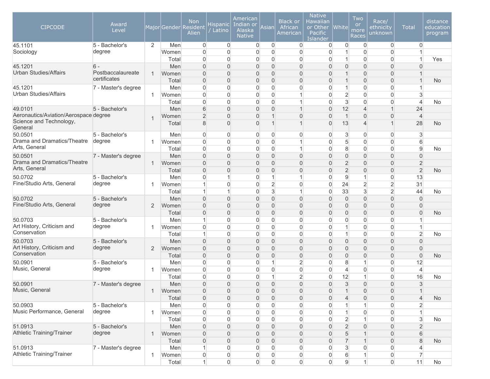| <b>CIPCODE</b>                               | Award<br>Level      |              |              | <b>Non</b><br>Major Gender Resident<br>Alien | Hispanicl<br>/ Latino              | American<br>Indian or<br>Alaska<br><b>Native</b> | Asian                            | <b>Black or</b><br>African<br>American | <b>Native</b><br>Hawaiian<br>or Other<br>Pacific<br><b>Islander</b> | $ $ White $ $                | Two<br>or<br>more<br><b>Races</b> | Race/<br>ethnicity<br>unknown        | <b>Total</b>                   | distance<br>education<br>program |
|----------------------------------------------|---------------------|--------------|--------------|----------------------------------------------|------------------------------------|--------------------------------------------------|----------------------------------|----------------------------------------|---------------------------------------------------------------------|------------------------------|-----------------------------------|--------------------------------------|--------------------------------|----------------------------------|
| 45.1101                                      | 5 - Bachelor's      | 2            | Men          | $\mathbf 0$                                  | $\overline{0}$                     | $\overline{0}$                                   | $\overline{0}$                   | $\overline{0}$                         | 0                                                                   | $\overline{0}$               | $\overline{0}$                    | $\overline{0}$                       | $\overline{0}$                 |                                  |
| Sociology                                    | degree              |              | Women        | 0                                            | $\mathbf{0}$                       | $\mathbf 0$                                      | $\mathbf 0$                      | $\overline{0}$                         | $\overline{0}$                                                      | 1<br>$\mathbf{1}$            | $\Omega$                          | $\overline{0}$                       | $\overline{1}$                 |                                  |
| 45.1201                                      | $6 -$               |              | Total<br>Men | 0<br>$\overline{0}$                          | 0<br>$\mathbf 0$                   | 0<br>$\overline{0}$                              | $\overline{0}$<br>$\mathbf 0$    | $\overline{0}$<br>0                    | 0<br>$\overline{0}$                                                 | $\overline{0}$               | $\overline{0}$<br>$\mathbf{0}$    | $\overline{0}$<br>$\overline{0}$     | $\Omega$                       | Yes                              |
| <b>Urban Studies/Affairs</b>                 | Postbaccalaureate   | 1            | Women        | $\overline{0}$                               | $\mathbf 0$                        | $\overline{0}$                                   | $\overline{0}$                   | 0                                      | $\overline{0}$                                                      | $\mathbf 1$                  | $\overline{0}$                    | $\overline{0}$                       |                                |                                  |
|                                              | certificates        |              | Total        | 0                                            | $\mathbf 0$                        | $\overline{0}$                                   | $\overline{0}$                   | $\overline{0}$                         | $\overline{0}$                                                      | $\mathbf{1}$                 | $\overline{0}$                    | $\overline{0}$                       | $\mathbf{1}$                   | <b>No</b>                        |
| 45.1201                                      | 7 - Master's degree |              | Men          | 0                                            | $\overline{0}$                     | $\overline{0}$                                   | $\overline{0}$                   | 0                                      | 0                                                                   | 1                            | $\Omega$                          | $\overline{0}$                       |                                |                                  |
| <b>Urban Studies/Affairs</b>                 |                     | 1            | Women        | 0                                            | $\overline{0}$                     | $\overline{0}$                                   | $\overline{0}$                   | 1                                      | $\overline{0}$                                                      | $\overline{2}$               | $\Omega$                          | $\overline{0}$                       | $\mathbf{3}$                   |                                  |
|                                              |                     |              | Total        | 0                                            | $\overline{0}$                     | $\overline{0}$                                   | $\overline{0}$                   | 1                                      | $\overline{0}$                                                      | $\mathbf{3}$                 | $\overline{0}$                    | $\overline{0}$                       | $\overline{4}$                 | No                               |
| 49.0101                                      | 5 - Bachelor's      |              | Men          | 6                                            | $\mathbf 0$                        | $\mathbf 0$                                      | $\mathbf 0$                      | $\mathbf 1$                            | 0                                                                   | 12                           | $\overline{4}$                    | $\mathbf{1}$                         | 24                             |                                  |
| Aeronautics/Aviation/Aerospace degree        |                     | -1           | Women        | $\overline{2}$                               | $\overline{0}$                     | $\mathsf{O}\xspace$                              | $\mathbf{1}$                     | 0                                      | 0                                                                   | $\overline{1}$               | $\Omega$                          | $\boldsymbol{0}$                     | $\overline{4}$                 |                                  |
| Science and Technology,<br>General           |                     |              | Total        | 8                                            | $\mathbf 0$                        | $\mathsf{O}\xspace$                              | $\mathbf{1}$                     | 1                                      | 0                                                                   | 13                           | $\overline{4}$                    | $\mathbf 1$                          | 28                             | <b>No</b>                        |
| 50.0501                                      | 5 - Bachelor's      |              | Men          | 0                                            | $\overline{0}$                     | 0                                                | $\overline{0}$                   | 0                                      | 0                                                                   | $\sqrt{3}$                   | $\overline{0}$                    | $\overline{0}$                       | 3                              |                                  |
| Drama and Dramatics/Theatre                  | degree              | 1            | Women        | 0                                            | $\boldsymbol{0}$                   | 0                                                | $\boldsymbol{0}$                 | $\mathbf{1}$                           | 0                                                                   | 5                            | $\overline{0}$                    | $\overline{0}$                       | 6                              |                                  |
| Arts, General                                |                     |              | Total        | 0                                            | $\overline{0}$                     | $\overline{0}$                                   | $\overline{0}$                   | 1                                      | $\overline{0}$                                                      | 8                            | $\Omega$                          | $\overline{0}$                       | 9                              | No                               |
| 50.0501                                      | 7 - Master's degree |              | Men          | $\overline{0}$                               | $\overline{0}$                     | $\overline{0}$                                   | $\overline{0}$                   | 0                                      | 0                                                                   | $\overline{0}$               | $\Omega$                          | $\overline{0}$                       | $\overline{0}$                 |                                  |
| Drama and Dramatics/Theatre<br>Arts, General |                     | $\mathbf 1$  | Women        | 0                                            | $\mathbf 0$                        | $\overline{0}$                                   | $\mathbf 0$                      | 0                                      | 0                                                                   | $\overline{2}$               | $\mathbf 0$                       | $\mathbf 0$                          | $\overline{2}$                 |                                  |
|                                              |                     |              | Total        | 0                                            | $\mathbf 0$                        | $\overline{0}$                                   | $\boldsymbol{0}$                 | 0                                      | 0                                                                   | $\overline{2}$               | $\overline{0}$                    | $\boldsymbol{0}$                     | $\overline{2}$                 | <b>No</b>                        |
| 50.0702<br>Fine/Studio Arts, General         | 5 - Bachelor's      |              | Men          | 0                                            | 1                                  | $\overline{0}$                                   | $\mathbf{1}$                     | $\mathbf{1}$                           | 0                                                                   | 9                            | 1                                 | $\boldsymbol{0}$                     | 13                             |                                  |
|                                              | degree              | 1            | Women        | 1<br>1                                       | $\mathbf{0}$<br>$\mathbf{1}$       | $\overline{0}$<br>$\mathbf 0$                    | $\overline{2}$<br>$\mathbf{3}$   | 0<br>$\mathbf{1}$                      | 0<br>0                                                              | 24<br>33                     | $\overline{2}$<br>3               | $\overline{2}$<br>$\overline{2}$     | 31<br>44                       |                                  |
| 50.0702                                      | 5 - Bachelor's      |              | Total<br>Men | $\overline{0}$                               | $\overline{0}$                     | $\overline{0}$                                   | $\overline{0}$                   | 0                                      | 0                                                                   | $\overline{0}$               | $\overline{0}$                    | $\overline{0}$                       | $\overline{0}$                 | No                               |
| Fine/Studio Arts, General                    | degree              | 2            | Women        | 0                                            | $\boldsymbol{0}$                   | $\mathbf 0$                                      | $\mathbf 0$                      | 0                                      | 0                                                                   | $\overline{0}$               | $\mathbf 0$                       | $\overline{0}$                       | $\mathbf 0$                    |                                  |
|                                              |                     |              | Total        | 0                                            | $\boldsymbol{0}$                   | $\mathsf{O}\xspace$                              | $\boldsymbol{0}$                 | 0                                      | 0                                                                   | $\overline{0}$               | $\overline{0}$                    | $\boldsymbol{0}$                     | $\overline{0}$                 | <b>No</b>                        |
| 50.0703                                      | 5 - Bachelor's      |              | Men          | 1                                            | 0                                  | 0                                                | $\overline{0}$                   | $\overline{0}$                         | 0                                                                   | $\overline{0}$               | $\overline{0}$                    | $\overline{0}$                       |                                |                                  |
| Art History, Criticism and                   | degree              | 1            | Women        | 0                                            | $\mathbf 0$                        | $\overline{0}$                                   | $\overline{0}$                   | 0                                      | 0                                                                   | 1                            | $\overline{0}$                    | $\overline{0}$                       | $\mathbf{1}$                   |                                  |
| Conservation                                 |                     |              | Total        | 1                                            | $\mathbf 0$                        | $\overline{0}$                                   | $\overline{0}$                   | 0                                      | $\overline{0}$                                                      | $\overline{1}$               | $\Omega$                          | $\overline{0}$                       | $\overline{2}$                 | No                               |
| 50.0703                                      | 5 - Bachelor's      |              | Men          | 0                                            | $\mathbf 0$                        | $\overline{0}$                                   | $\overline{0}$                   | 0                                      | 0                                                                   | $\overline{0}$               | $\mathbf{0}$                      | $\mathbf{0}$                         | $\mathbf{0}$                   |                                  |
| Art History, Criticism and                   | degree              | 2            | Women        | $\overline{0}$                               | $\mathbf 0$                        | $\overline{0}$                                   | $\mathbf 0$                      | 0                                      | 0                                                                   | $\overline{0}$               | $\mathbf 0$                       | $\overline{0}$                       | $\mathbf{0}$                   |                                  |
| Conservation                                 |                     |              | Total        | 0                                            | $\mathbf 0$                        | $\overline{0}$                                   | $\boldsymbol{0}$                 | 0                                      | 0                                                                   | $\overline{0}$               | $\mathbf{0}$                      | $\overline{0}$                       | $\Omega$                       | <b>No</b>                        |
| 50.0901                                      | 5 - Bachelor's      |              | Men          | 0                                            | 0                                  | 0                                                | $\mathbf{1}$                     | $\overline{2}$                         | 0                                                                   | 8                            | 1                                 | $\overline{0}$                       | 12                             |                                  |
| Music, General                               | degree              | 1            | Women        | 0                                            | 0                                  | $\overline{0}$                                   | $\overline{0}$                   | 0                                      | 0                                                                   | $\overline{4}$               | $\overline{0}$                    | $\overline{0}$                       | $\overline{4}$                 |                                  |
|                                              |                     |              | Total        | 0                                            | $\Omega$                           | $\overline{0}$                                   | $\mathbf{1}$                     | $\overline{2}$                         | $\overline{0}$                                                      | 12                           | $\mathbf{1}$                      | $\overline{0}$                       | 16                             | No                               |
| 50.0901                                      | 7 - Master's degree |              | Men          | 0                                            | $\overline{0}$                     | $\overline{0}$                                   | $\overline{0}$                   | $\overline{0}$                         | $\overline{0}$                                                      | 3<br>$\overline{A}$          | $\overline{0}$                    | $\overline{0}$                       | 3                              |                                  |
| Music, General                               |                     |              | Women        | $\mathsf{O}\xspace$                          | $\mathsf{O}\xspace$                | $\overline{0}$                                   | $\mathbf 0$                      | $\boldsymbol{0}$                       | $\mathsf{O}\xspace$                                                 |                              | $\boldsymbol{0}$                  | $\mathsf{O}\xspace$                  |                                |                                  |
| 50.0903                                      | 5 - Bachelor's      |              | Total        | 0                                            | $\boldsymbol{0}$                   | $\boldsymbol{0}$                                 | $\overline{0}$                   | $\boldsymbol{0}$                       | $\overline{0}$                                                      | $\overline{4}$               | $\overline{0}$                    | $\overline{0}$                       | $\overline{4}$                 | No                               |
| Music Performance, General                   | degree              | -1           | Men<br>Women | 0<br>$\mathsf{O}\xspace$                     | $\overline{0}$<br>$\boldsymbol{0}$ | 0<br>0                                           | $\overline{0}$<br>$\overline{0}$ | 0<br>$\overline{0}$                    | 0<br>0                                                              | $\mathbf{1}$<br>$\mathbf{1}$ | $\overline{0}$                    | $\boldsymbol{0}$<br>$\boldsymbol{0}$ | $\overline{2}$<br>$\mathbf{1}$ |                                  |
|                                              |                     |              | Total        | 0                                            | $\boldsymbol{0}$                   | $\overline{0}$                                   | $\overline{0}$                   | $\boldsymbol{0}$                       | $\overline{0}$                                                      | $\overline{2}$               | 1                                 | $\boldsymbol{0}$                     | $\mathbf{3}$                   | No                               |
| 51.0913                                      | 5 - Bachelor's      |              | Men          | 0                                            | $\boldsymbol{0}$                   | $\mathbf 0$                                      | $\overline{0}$                   | $\overline{0}$                         | $\overline{0}$                                                      | $\overline{2}$               | $\overline{0}$                    | $\boldsymbol{0}$                     | $\overline{2}$                 |                                  |
| <b>Athletic Training/Trainer</b>             | degree              | $\mathbf{1}$ | Women        | 0                                            | $\boldsymbol{0}$                   | $\mathbf 0$                                      | $\overline{0}$                   | 0                                      | $\overline{0}$                                                      | 5                            | $\mathbf 1$                       | $\overline{0}$                       | 6                              |                                  |
|                                              |                     |              | Total        | 0                                            | $\boldsymbol{0}$                   | $\mathbf{0}$                                     | $\overline{0}$                   | $\overline{0}$                         | $\overline{0}$                                                      | $\overline{7}$               | $\mathbf 1$                       | $\overline{0}$                       | 8                              | <b>No</b>                        |
| 51.0913                                      | 7 - Master's degree |              | Men          | 1                                            | $\overline{0}$                     | 0                                                | $\overline{0}$                   | $\overline{0}$                         | $\overline{0}$                                                      | 3                            | $\overline{0}$                    | $\overline{0}$                       | 4                              |                                  |
| Athletic Training/Trainer                    |                     | $\mathbf{1}$ | Women        | 0                                            | $\mathbf 0$                        | 0                                                | $\overline{0}$                   | 0                                      | 0                                                                   | 6                            | $\mathbf{1}$                      | $\overline{0}$                       | $\overline{7}$                 |                                  |
|                                              |                     |              | Total        | $\mathbf{1}$                                 | $\overline{0}$                     | $\overline{0}$                                   | $\overline{0}$                   | $\overline{0}$                         | $\overline{0}$                                                      | 9                            | 1                                 | $\overline{0}$                       | 11                             | No                               |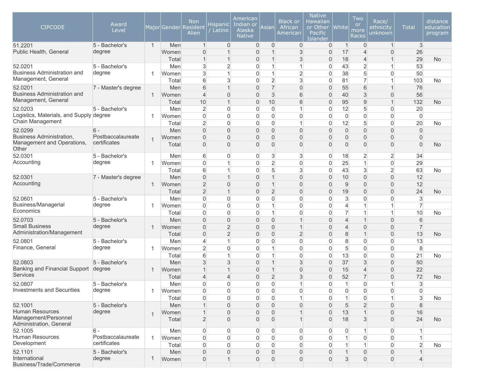| <b>CIPCODE</b>                                  | Award<br>Level           |                |              | <b>Non</b><br>Major Gender Resident<br>Alien | Hispanic <br>Latino              | American<br>Indian or<br>Alaska<br><b>Native</b> | Asian               | <b>Black or</b><br>African<br>American | <b>Native</b><br>Hawaiian<br>or Other<br>Pacific<br>Islander | <b>White</b>             | Two<br><b>or</b><br>more<br>Races | Race/<br>ethnicity<br>unknown | <b>Total</b>        | distance<br>education<br>program |
|-------------------------------------------------|--------------------------|----------------|--------------|----------------------------------------------|----------------------------------|--------------------------------------------------|---------------------|----------------------------------------|--------------------------------------------------------------|--------------------------|-----------------------------------|-------------------------------|---------------------|----------------------------------|
| 51.2201                                         | 5 - Bachelor's           | $\mathbf{1}$   | Men          | $\mathbf{1}$                                 | $\overline{0}$                   | $\overline{0}$                                   | $\overline{0}$      | $\mathbf 0$                            | 0                                                            | $\overline{1}$           | $\mathbf 0$                       | $\mathbf{1}$                  | $\mathbf{3}$        |                                  |
| Public Health, General                          | degree                   |                | Women        | $\overline{0}$                               | 1                                | $\overline{0}$                                   |                     | 3                                      | $\overline{0}$                                               | 17                       | $\overline{4}$                    | $\overline{0}$                | 26                  |                                  |
| 52.0201                                         |                          |                | Total        | $\mathbf{1}$                                 | $\mathbf 1$                      | $\overline{0}$                                   | 1<br>1              | 3<br>$\overline{1}$                    | $\overline{0}$<br>0                                          | 18                       | $\overline{4}$                    | 1                             | 29                  | <b>No</b>                        |
| <b>Business Administration and</b>              | 5 - Bachelor's<br>degree |                | Men<br>Women | 3<br>3                                       | $\overline{c}$<br>1              | $\mathbf 0$<br>$\mathbf 0$                       | 1                   | $\overline{2}$                         | 0                                                            | 43<br>38                 | $\overline{2}$<br>5               | 1<br>0                        | 53<br>50            |                                  |
| Management, General                             |                          |                | Total        | $6\,$                                        | 3                                | $\Omega$                                         | $\overline{2}$      | 3                                      | $\Omega$                                                     | 81                       | $\overline{7}$                    | 1                             | 103                 | No                               |
| 52.0201                                         | 7 - Master's degree      |                | Men          | 6                                            | $\overline{1}$                   | $\Omega$                                         | $\overline{7}$      | $\overline{0}$                         | $\overline{0}$                                               | 55                       | 6                                 | $\mathbf 1$                   | 76                  |                                  |
| <b>Business Administration and</b>              |                          | 1              | Women        | $\overline{4}$                               | $\overline{0}$                   | $\overline{0}$                                   | 3                   | 6                                      | $\overline{0}$                                               | 40                       | 3                                 | 0                             | 56                  |                                  |
| Management, General                             |                          |                | Total        | 10                                           | $\overline{1}$                   | $\overline{0}$                                   | 10                  | 6                                      | $\overline{0}$                                               | 95                       | 9                                 | 1                             | 132                 | <b>No</b>                        |
| 52.0203                                         | 5 - Bachelor's           |                | Men          | $\overline{2}$                               | $\overline{0}$                   | $\overline{0}$                                   | $\overline{0}$      |                                        | 0                                                            | 12                       | 5                                 | 0                             | 20                  |                                  |
| Logistics, Materials, and Supply degree         |                          |                | Women        | 0                                            | $\overline{0}$                   | $\mathbf 0$                                      | 0                   | 0                                      | $\overline{0}$                                               | $\overline{0}$           | $\overline{0}$                    | 0                             | $\overline{0}$      |                                  |
| Chain Management                                |                          |                | Total        | $\overline{2}$                               | $\overline{0}$                   | $\mathbf 0$                                      | 0                   |                                        | 0                                                            | 12                       | 5                                 | 0                             | 20                  | No                               |
| 52.0299                                         | $6 -$                    |                | Men          | $\Omega$                                     | $\overline{0}$                   | $\Omega$                                         | $\overline{0}$      | $\overline{0}$                         | 0                                                            | $\overline{0}$           | 0                                 | $\overline{0}$                | $\overline{0}$      |                                  |
| <b>Business Administration,</b>                 | Postbaccalaureate        |                | Women        | $\mathbf{0}$                                 | $\Omega$                         | $\Omega$                                         | 0                   | $\Omega$                               | $\overline{0}$                                               | $\overline{0}$           | 0                                 | 0                             | $\overline{0}$      |                                  |
| Management and Operations,<br>Other             | certificates             |                | Total        | $\mathbf 0$                                  | $\overline{0}$                   | $\Omega$                                         | 0                   | $\overline{0}$                         | 0                                                            | $\overline{0}$           | 0                                 | 0                             | $\Omega$            | <b>No</b>                        |
| 52.0301                                         | 5 - Bachelor's           |                | Men          | 6                                            | $\overline{0}$                   | $\mathbf 0$                                      | 3                   | 3                                      | 0                                                            | 18                       | 2                                 | $\overline{2}$                | 34                  |                                  |
| Accounting                                      | degree                   | -1             | Women        | $\overline{0}$                               | 1                                | $\overline{0}$                                   | $\overline{2}$      | $\overline{0}$                         | 0                                                            | 25                       | 1                                 | 0                             | 29                  |                                  |
|                                                 |                          |                | Total        | 6                                            | 1                                | $\mathbf 0$                                      | 5                   | 3                                      | 0                                                            | 43                       | 3                                 | $\overline{2}$                | 63                  | <b>No</b>                        |
| 52.0301                                         | 7 - Master's degree      |                | Men          | $\overline{0}$                               | 1                                | $\overline{0}$                                   |                     | $\overline{0}$                         | $\overline{0}$                                               | 10                       | $\overline{0}$                    | $\overline{0}$                | 12                  |                                  |
| Accounting                                      |                          | 1              | Women        | $\overline{2}$                               | $\overline{0}$                   | $\Omega$                                         |                     | $\Omega$                               | $\Omega$                                                     | 9                        | $\overline{0}$                    | $\overline{0}$                | 12                  |                                  |
|                                                 |                          |                | Total        | $\overline{2}$                               | $\overline{1}$                   | $\overline{0}$                                   | $\overline{2}$      | $\overline{0}$                         | $\overline{0}$                                               | 19                       | 0                                 | $\overline{0}$                | 24                  | <b>No</b>                        |
| 52.0601<br>Business/Managerial                  | 5 - Bachelor's           |                | Men          | $\overline{0}$                               | $\overline{0}$                   | $\overline{0}$                                   | 0                   | 0                                      | $\overline{0}$                                               | 3                        | 0                                 | 0                             | 3                   |                                  |
| Economics                                       | degree                   | 1              | Women        | $\overline{0}$                               | $\overline{0}$                   | $\overline{0}$                                   | 1                   | 0                                      | 0                                                            | $\overline{4}$<br>7      | 1                                 | 1                             | $\overline{7}$      |                                  |
| 52.0703                                         | 5 - Bachelor's           |                | Total<br>Men | $\overline{0}$<br>$\overline{0}$             | $\overline{0}$<br>$\overline{0}$ | $\overline{0}$<br>$\overline{0}$                 | 1<br>$\overline{0}$ | 0                                      | $\overline{0}$<br>0                                          | $\overline{4}$           |                                   | 1<br>$\overline{0}$           | 10<br>6             | <b>No</b>                        |
| <b>Small Business</b>                           | degree                   | 1              | Women        | $\overline{0}$                               | $\overline{2}$                   | $\Omega$                                         | $\overline{0}$      |                                        | $\Omega$                                                     | $\overline{\mathcal{A}}$ | $\overline{0}$                    | $\overline{0}$                | $\overline{7}$      |                                  |
| Administration/Management                       |                          |                | Total        | $\overline{0}$                               | $\overline{2}$                   | $\overline{0}$                                   | $\overline{0}$      | $\overline{2}$                         | $\overline{0}$                                               | 8                        |                                   | $\overline{0}$                | 13                  | <b>No</b>                        |
| 52.0801                                         | 5 - Bachelor's           |                | Men          | $\overline{4}$                               | 1                                | 0                                                | 0                   | 0                                      | 0                                                            | 8                        | 0                                 | 0                             | 13                  |                                  |
| Finance, General                                | degree                   | 1              | Women        | $\overline{2}$                               | 0                                | $\mathbf 0$                                      | 1                   | 0                                      | 0                                                            | 5                        | $\overline{0}$                    | 0                             | 8                   |                                  |
|                                                 |                          |                | Total        | 6                                            | 1                                | $\mathbf 0$                                      | 1                   | 0                                      | $\Omega$                                                     | 13                       | $\overline{0}$                    | 0                             | 21                  | <b>No</b>                        |
| 52.0803                                         | 5 - Bachelor's           |                | Men          | 3                                            | 3                                | $\overline{0}$                                   |                     | 3                                      | $\overline{0}$                                               | 37                       | $\mathfrak{S}$                    | $\overline{0}$                | 50                  |                                  |
| Banking and Financial Support degree            |                          |                | Women        | $\mathbf 1$                                  | 1                                | $\Omega$                                         |                     | $\overline{0}$                         | 0                                                            | 15                       | $\overline{4}$                    | 0                             | 22                  |                                  |
| <b>Services</b>                                 |                          |                | Total        | 4                                            | $\overline{4}$                   | $\Omega$                                         | $\overline{2}$      | 3                                      | $\overline{0}$                                               | 52                       | $\overline{7}$                    | 0                             | 72                  | <b>No</b>                        |
| 52.0807                                         | 5 - Bachelor's           |                | Men          | $\overline{0}$                               | $\Omega$                         | $\overline{0}$                                   | 0                   | 1                                      | $\overline{0}$                                               | 1                        | 0                                 | 1                             | $\mathbf{3}$        |                                  |
| Investments and Securities                      | degree                   | $\overline{A}$ | Women        | $\boldsymbol{0}$                             | $\overline{0}$                   | $\boldsymbol{0}$                                 | $\overline{0}$      | $\boldsymbol{0}$                       | 0                                                            | $\overline{0}$           | $\mathsf{O}\xspace$               | $\mathsf{O}\xspace$           | $\mathsf{O}\xspace$ |                                  |
|                                                 |                          |                | Total        | $\overline{0}$                               | $\overline{0}$                   | $\overline{0}$                                   | $\overline{0}$      |                                        | $\overline{0}$                                               | 1                        | $\overline{0}$                    | $\mathbf{1}$                  | 3                   | No                               |
| 52.1001                                         | 5 - Bachelor's           |                | Men          | $\mathbf{1}$                                 | $\Omega$                         | $\overline{0}$                                   | $\overline{0}$      | $\overline{0}$                         | $\Omega$                                                     | 5                        | $\overline{2}$                    | $\overline{0}$                | 8                   |                                  |
| <b>Human Resources</b>                          | degree                   |                | Women        | $\mathbf{1}$                                 | $\mathbf{0}$                     | $\Omega$                                         | $\overline{0}$      |                                        | $\Omega$                                                     | 13                       |                                   | 0                             | 16                  |                                  |
| Management/Personnel<br>Administration, General |                          |                | Total        | $\overline{2}$                               | $\mathbf{0}$                     | $\overline{0}$                                   | $\mathbf{0}$        |                                        | $\overline{0}$                                               | 18                       | 3                                 | 0                             | 24                  | <b>No</b>                        |
| 52.1005                                         | $6 -$                    |                | Men          | $\overline{0}$                               | $\Omega$                         | $\mathbf 0$                                      | $\overline{0}$      | 0                                      | 0                                                            | $\Omega$                 |                                   | 0                             |                     |                                  |
| Human Resources                                 | Postbaccalaureate        |                | Women        | $\overline{0}$                               | $\Omega$                         | $\Omega$                                         | $\overline{0}$      | $\overline{0}$                         | $\overline{0}$                                               |                          | 0                                 | $\overline{0}$                |                     |                                  |
| Development                                     | certificates             |                | Total        | $\overline{0}$                               | $\Omega$                         | $\overline{0}$                                   | $\overline{0}$      | $\overline{0}$                         | $\overline{0}$                                               |                          |                                   | 0                             | $\overline{2}$      | No                               |
| 52.1101                                         | 5 - Bachelor's           |                | Men          | $\overline{0}$                               | $\Omega$                         | $\Omega$                                         | $\overline{0}$      | $\Omega$                               | $\overline{0}$                                               |                          | $\overline{0}$                    | $\overline{0}$                |                     |                                  |
| International<br>Business/Trade/Commerce        | degree                   | 1              | Women        | $\overline{0}$                               | $\mathbf{1}$                     | $\overline{0}$                                   | $\overline{0}$      | $\overline{0}$                         | $\overline{0}$                                               | 3                        | $\boldsymbol{0}$                  | $\boldsymbol{0}$              | 4                   |                                  |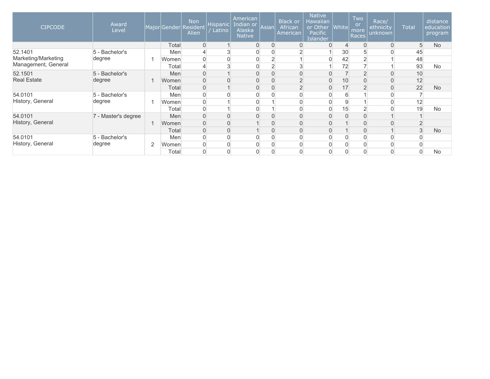| <b>CIPCODE</b>      | Award<br>Level      |   |            | <b>Non</b><br>Major Gender Resident<br>Alien | Hispanic<br>Latino | American<br>Indian or<br>Alaska<br><b>Native</b> | Asian            | <b>Black or</b><br>African<br>American | <b>Native</b><br><b>Hawaiian</b><br>or Other<br>Pacific<br><b>Islander</b> | $ $ White $ $  | Two<br><b>or</b><br>more<br>Races | Race/<br>ethnicity<br>unknown | <b>Total</b> | distance<br>education<br>program |
|---------------------|---------------------|---|------------|----------------------------------------------|--------------------|--------------------------------------------------|------------------|----------------------------------------|----------------------------------------------------------------------------|----------------|-----------------------------------|-------------------------------|--------------|----------------------------------|
|                     |                     |   | Total      | $\mathbf 0$                                  |                    | $\mathbf{0}$                                     | $\overline{0}$   |                                        | $\Omega$                                                                   | $\overline{4}$ | $\overline{0}$                    | $\overline{0}$                | 5            | <b>No</b>                        |
| 52.1401             | 5 - Bachelor's      |   | <b>Men</b> | 4                                            | 3                  |                                                  | $\overline{0}$   |                                        |                                                                            | 30             | 5                                 | 0                             | 45           |                                  |
| Marketing/Marketing | degree              |   | Women      | $\overline{0}$                               | $\mathbf 0$        |                                                  | $\overline{2}$   |                                        |                                                                            | 42             | $\overline{2}$                    |                               | 48           |                                  |
| Management, General |                     |   | Total      | $\overline{4}$                               | 3                  |                                                  | 2                |                                        |                                                                            | 72             |                                   |                               | 93           | <b>No</b>                        |
| 52.1501             | 5 - Bachelor's      |   | Men        | 0                                            |                    | $\Omega$                                         | $\overline{0}$   |                                        | 0                                                                          |                | $\overline{2}$                    | 0                             | 10           |                                  |
| <b>Real Estate</b>  | degree              |   | Women      | 0                                            | $\Omega$           |                                                  | $\overline{0}$   | $\sim$                                 | 0                                                                          | 10             | 0                                 | $\overline{0}$                | 12           |                                  |
|                     |                     |   | Total      | 0                                            |                    |                                                  | $\mathbf 0$      |                                        | 0                                                                          | 17             | $\overline{2}$                    | 0                             | 22           | <b>No</b>                        |
| 54.0101             | 5 - Bachelor's      |   | Men        | 0                                            |                    |                                                  |                  |                                        |                                                                            | 6              |                                   |                               |              |                                  |
| History, General    | degree              |   | Women      | $\overline{0}$                               |                    |                                                  |                  |                                        |                                                                            |                |                                   |                               | 12           |                                  |
|                     |                     |   | Total      | $\overline{0}$                               |                    |                                                  |                  |                                        |                                                                            | 15             | $\overline{2}$                    | $\Omega$                      | 19           | <b>No</b>                        |
| 54.0101             | 7 - Master's degree |   | <b>Men</b> | 0                                            | 0                  |                                                  | 0                |                                        |                                                                            |                |                                   |                               |              |                                  |
| History, General    |                     |   | Women      | 0                                            | $\mathbf 0$        |                                                  | 0                |                                        | 0                                                                          |                | 0                                 | 0                             |              |                                  |
|                     |                     |   | Total      | 0                                            | $\mathbf 0$        |                                                  | $\boldsymbol{0}$ |                                        | 0                                                                          |                | 0                                 |                               | 3            | <b>No</b>                        |
| 54.0101             | 5 - Bachelor's      |   | Men        | 0                                            | 0                  |                                                  | 0                |                                        |                                                                            |                | 0                                 |                               |              |                                  |
| History, General    | degree              | 2 | Women      | 0                                            | 0                  |                                                  | 0                |                                        |                                                                            |                |                                   |                               |              |                                  |
|                     |                     |   | Total      | 0                                            | $\Omega$           |                                                  | 0                |                                        |                                                                            |                |                                   | 0                             |              | <b>No</b>                        |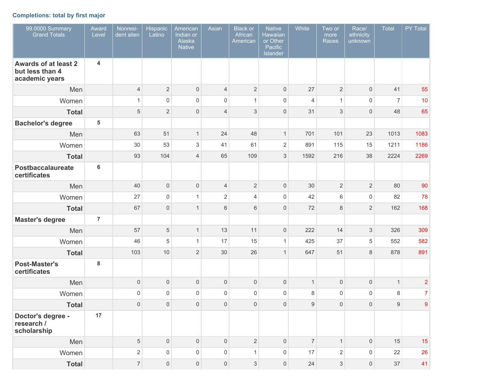# **Completions: total by first major**

| 99.0000 Summary<br><b>Grand Totals</b>                           | Award<br>Level          | Nonresi-<br>dent alien | Hispanic<br>Latino  | American<br>Indian or<br>Alaska<br><b>Native</b> | Asian               | <b>Black</b> or<br>African<br>American | <b>Native</b><br><b>Hawaiian</b><br>or Other<br>Pacific<br>Islander | White            | Two or<br>more<br>Races | Race/<br>ethnicity<br>unknown | Total          | PY Total       |
|------------------------------------------------------------------|-------------------------|------------------------|---------------------|--------------------------------------------------|---------------------|----------------------------------------|---------------------------------------------------------------------|------------------|-------------------------|-------------------------------|----------------|----------------|
| <b>Awards of at least 2</b><br>but less than 4<br>academic years | 4                       |                        |                     |                                                  |                     |                                        |                                                                     |                  |                         |                               |                |                |
| Men                                                              |                         | $\overline{4}$         | $\overline{2}$      | $\mathsf{O}\xspace$                              | $\overline{4}$      | $\sqrt{2}$                             | $\mathbf 0$                                                         | 27               | $\overline{2}$          | $\mathsf{O}\xspace$           | 41             | 55             |
| Women                                                            |                         | $\mathbf{1}$           | $\mathsf 0$         | $\mathsf{O}\xspace$                              | $\mathsf{O}\xspace$ | $\mathbf{1}$                           | $\mathbf 0$                                                         | $\overline{4}$   | $\overline{1}$          | $\mathsf{O}\xspace$           | $\overline{7}$ | 10             |
| <b>Total</b>                                                     |                         | $\sqrt{5}$             | $\overline{2}$      | $\mathsf{O}\xspace$                              | 4                   | 3                                      | $\mathbf 0$                                                         | 31               | 3                       | $\mathsf{O}\xspace$           | 48             | 65             |
| <b>Bachelor's degree</b>                                         | $\overline{\mathbf{5}}$ |                        |                     |                                                  |                     |                                        |                                                                     |                  |                         |                               |                |                |
| Men                                                              |                         | 63                     | 51                  | $\mathbf{1}$                                     | 24                  | 48                                     | $\mathbf{1}$                                                        | 701              | 101                     | 23                            | 1013           | 1083           |
| Women                                                            |                         | 30                     | 53                  | $\sqrt{3}$                                       | 41                  | 61                                     | $\sqrt{2}$                                                          | 891              | 115                     | 15                            | 1211           | 1186           |
| <b>Total</b>                                                     |                         | 93                     | 104                 | $\overline{4}$                                   | 65                  | 109                                    | 3                                                                   | 1592             | 216                     | 38                            | 2224           | 2269           |
| <b>Postbaccalaureate</b><br>certificates                         | $6\phantom{a}$          |                        |                     |                                                  |                     |                                        |                                                                     |                  |                         |                               |                |                |
| Men                                                              |                         | 40                     | $\mathbf 0$         | $\mathsf{O}\xspace$                              | $\overline{4}$      | $\sqrt{2}$                             | $\mathbf 0$                                                         | 30               | $\sqrt{2}$              | $\sqrt{2}$                    | 80             | 90             |
| Women                                                            |                         | 27                     | $\mathsf 0$         | $\mathbf{1}$                                     | $\sqrt{2}$          | $\overline{4}$                         | $\mathbf 0$                                                         | 42               | $6\phantom{1}$          | $\mathsf{O}\xspace$           | 82             | 78             |
| <b>Total</b>                                                     |                         | 67                     | $\mathbf{0}$        | $\mathbf{1}$                                     | $6\,$               | $6\,$                                  | $\mathbf 0$                                                         | 72               | 8                       | $\overline{2}$                | 162            | 168            |
| <b>Master's degree</b>                                           | $\overline{7}$          |                        |                     |                                                  |                     |                                        |                                                                     |                  |                         |                               |                |                |
| Men                                                              |                         | 57                     | 5                   | $\mathbf{1}$                                     | 13                  | 11                                     | $\mathbf 0$                                                         | 222              | 14                      | 3                             | 326            | 309            |
| Women                                                            |                         | 46                     | 5                   | $\mathbf{1}$                                     | 17                  | 15                                     | $\mathbf{1}$                                                        | 425              | 37                      | 5                             | 552            | 582            |
| <b>Total</b>                                                     |                         | 103                    | 10                  | $\overline{2}$                                   | 30                  | 26                                     | $\mathbf{1}$                                                        | 647              | 51                      | 8                             | 878            | 891            |
| <b>Post-Master's</b><br>certificates                             | 8                       |                        |                     |                                                  |                     |                                        |                                                                     |                  |                         |                               |                |                |
| Men                                                              |                         | $\mathsf{O}\xspace$    | $\mathbf 0$         | $\mathsf{O}\xspace$                              | $\mathsf{O}\xspace$ | $\mathsf{O}\xspace$                    | $\mathbf 0$                                                         | $\mathbf{1}$     | $\mathbf 0$             | $\mathsf{O}\xspace$           | $\mathbf{1}$   | $\overline{2}$ |
| Women                                                            |                         | $\mathsf{O}\xspace$    | $\mathbf 0$         | $\mathsf 0$                                      | $\mathsf{O}\xspace$ | $\mathbf 0$                            | $\mathbf 0$                                                         | 8                | $\mathbf 0$             | 0                             | 8              | $\overline{7}$ |
| <b>Total</b>                                                     |                         | $\mathsf{O}\xspace$    | $\mathbf 0$         | $\boldsymbol{0}$                                 | $\mathsf{O}\xspace$ | $\mathbf 0$                            | $\mathbf 0$                                                         | $\boldsymbol{9}$ | $\mathbf 0$             | 0                             | 9              | 9              |
| Doctor's degree -<br>research /<br>scholarship                   | 17                      |                        |                     |                                                  |                     |                                        |                                                                     |                  |                         |                               |                |                |
| Men                                                              |                         | $\,$ 5 $\,$            | $\mathsf{O}\xspace$ | $\mathsf{O}\xspace$                              | $\mathsf{O}\xspace$ | $\overline{2}$                         | $\mathbf 0$                                                         | $\overline{7}$   | $\mathbf{1}$            | $\mathsf{O}\xspace$           | 15             | 15             |
| Women                                                            |                         | $\mathbf{2}$           | $\mathsf{O}\xspace$ | $\mathsf{O}\xspace$                              | $\mathsf{O}\xspace$ | $\mathbf{1}$                           | $\mathsf{O}\xspace$                                                 | 17               | $\sqrt{2}$              | $\mathsf{O}\xspace$           | 22             | 26             |
| <b>Total</b>                                                     |                         | $\overline{7}$         | $\mathsf{O}\xspace$ | $\mathsf{O}\xspace$                              | $\mathsf{O}\xspace$ | $\mathfrak{S}$                         | $\mathsf{O}\xspace$                                                 | 24               | $\sqrt{3}$              | $\overline{0}$                | 37             | 41             |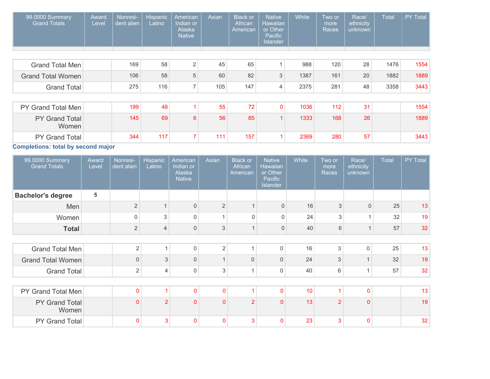| 99.0000 Summary<br><b>Grand Totals</b> | Award<br>Level | Nonresi-<br>dent alien | <b>Hispanic</b><br>Latino | American<br>Indian or<br>Alaska<br><b>Native</b> | Asian | <b>Black or</b><br>African<br>American | <b>Native</b><br><b>Hawaiian</b><br>or Other<br>Pacific<br><b>Islander</b> | White | Two or<br>more<br>Races | Race/<br>ethnicity<br>unknown | Total | <b>PY Total</b> |
|----------------------------------------|----------------|------------------------|---------------------------|--------------------------------------------------|-------|----------------------------------------|----------------------------------------------------------------------------|-------|-------------------------|-------------------------------|-------|-----------------|
|                                        |                |                        |                           |                                                  |       |                                        |                                                                            |       |                         |                               |       |                 |
| Grand Total Men                        |                | 169                    | 58                        | $\overline{2}$                                   | 45    | 65                                     |                                                                            | 988   | 120                     | 28                            | 1476  | 1554            |
| <b>Grand Total Women</b>               |                | 106                    | 58                        | 5                                                | 60    | 82                                     | 3                                                                          | 1387  | 161                     | 20                            | 1882  | 1889            |
| <b>Grand Total</b>                     |                | 275                    | 116                       | $\overline{7}$                                   | 105   | 147                                    | 4                                                                          | 2375  | 281                     | 48                            | 3358  | 3443            |
|                                        |                |                        |                           |                                                  |       |                                        |                                                                            |       |                         |                               |       |                 |
| PY Grand Total Men                     |                | 199                    | 48                        |                                                  | 55    | 72                                     | $\mathbf{0}$                                                               | 1036  | 112                     | 31                            |       | 1554            |
| PY Grand Total<br>Women                |                | 145                    | 69                        | 6                                                | 56    | 85                                     | 1                                                                          | 1333  | 168                     | 26                            |       | 1889            |
| PY Grand Total                         |                | 344                    | 117                       |                                                  | 111   | 157                                    |                                                                            | 2369  | 280                     | 57                            |       | 3443            |
| Completions: total by second major     |                |                        |                           |                                                  |       |                                        |                                                                            |       |                         |                               |       |                 |

the control of the control of the control of the

**Completions: total by second major**

| 99.0000 Summary<br><b>Grand Totals</b> | Award<br>Level | Nonresi-<br>dent alien | <b>Hispanic</b><br>Latino | American<br>Indian or<br>Alaska<br><b>Native</b> | Asian          | <b>Black or</b><br>African<br>American | <b>Native</b><br>Hawaiian<br>or Other<br>Pacific<br><b>Islander</b> | White | Two or<br>more<br>Races | Race/<br>ethnicity<br>unknown | <b>Total</b> | PY Total |
|----------------------------------------|----------------|------------------------|---------------------------|--------------------------------------------------|----------------|----------------------------------------|---------------------------------------------------------------------|-------|-------------------------|-------------------------------|--------------|----------|
| <b>Bachelor's degree</b>               | 5              |                        |                           |                                                  |                |                                        |                                                                     |       |                         |                               |              |          |
| Men                                    |                | $\overline{2}$         |                           | $\overline{0}$                                   | $\overline{2}$ |                                        | $\mathbf{0}$                                                        | 16    | 3                       | $\mathbf{0}$                  | 25           | 13       |
| Women                                  |                | 0                      | 3                         | $\Omega$                                         |                | 0                                      | $\mathsf{O}$                                                        | 24    | 3                       |                               | 32           | 19       |
| <b>Total</b>                           |                | $\overline{2}$         | $\overline{4}$            | $\mathsf{0}$                                     | 3              | $\mathbf 1$                            | $\mathbf 0$                                                         | 40    | $\,6$                   |                               | 57           | 32       |
|                                        |                |                        |                           |                                                  |                |                                        |                                                                     |       |                         |                               |              |          |
| <b>Grand Total Men</b>                 |                | $\overline{2}$         | 1                         | $\mathsf 0$                                      | $\overline{2}$ |                                        | 0                                                                   | 16    | 3                       | $\mathsf 0$                   | 25           | 13       |
| <b>Grand Total Women</b>               |                | $\mathbf{0}$           | 3                         | $\overline{0}$                                   |                | $\Omega$                               | $\mathbf{0}$                                                        | 24    | 3                       |                               | 32           | 19       |
| <b>Grand Total</b>                     |                | $\overline{2}$         | $\overline{4}$            | $\mathbf 0$                                      | 3              |                                        | 0                                                                   | 40    | 6                       | 1                             | 57           | 32       |
|                                        |                |                        |                           |                                                  |                |                                        |                                                                     |       |                         |                               |              |          |
| PY Grand Total Men                     |                | $\pmb{0}$              |                           | $\mathbf 0$                                      | $\overline{0}$ |                                        | $\mathbf 0$                                                         | 10    |                         | $\Omega$                      |              | 13       |
| PY Grand Total<br>Women                |                | $\mathbf{0}$           | $\overline{2}$            | $\mathbf{0}$                                     | $\mathbf{0}$   | $\overline{2}$                         | $\mathbf{0}$                                                        | 13    | $\overline{2}$          | $\Omega$                      |              | 19       |
| PY Grand Total                         |                | $\mathbf 0$            | 3                         | $\mathbf{0}$                                     | $\mathbf{0}$   | 3                                      | $\mathbf{0}$                                                        | 23    | $\overline{3}$          | $\Omega$                      |              | 32       |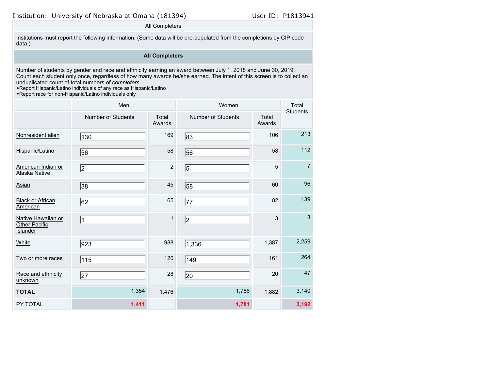All Completers

Institutions must report the following information. (Some data will be pre-populated from the completions by CIP code data.)

# **All Completers**

Number of students by gender and race and ethnicity earning an award between July 1, 2018 and June 30, 2019. Count each student only once, regardless of how many awards he/she earned. The intent of this screen is to collect an unduplicated count of total numbers of *completers*.

•Report Hispanic/Latino individuals of any race as Hispanic/Latino

•Report race for non-Hispanic/Latino individuals only

|                                                        | Men                |                 | Women              |                 | Total<br><b>Students</b> |
|--------------------------------------------------------|--------------------|-----------------|--------------------|-----------------|--------------------------|
|                                                        | Number of Students | Total<br>Awards | Number of Students | Total<br>Awards |                          |
| Nonresident alien                                      | 130                | 169             | 83                 | 106             | 213                      |
| Hispanic/Latino                                        | 56                 | 58              | 56                 | 58              | 112                      |
| American Indian or<br>Alaska Native                    | 2                  | $\sqrt{2}$      | 5                  | 5               | $\overline{7}$           |
| Asian                                                  | 38                 | 45              | 58                 | 60              | 96                       |
| <b>Black or African</b><br>American                    | 62                 | 65              | 77                 | 82              | 139                      |
| Native Hawaiian or<br>Other Pacific<br><b>Islander</b> | $\vert$ 1          | $\mathbf{1}$    | 2                  | 3               | $\mathbf{3}$             |
| White                                                  | 923                | 988             | 1,336              | 1,387           | 2,259                    |
| Two or more races                                      | 115                | 120             | 149                | 161             | 264                      |
| Race and ethnicity<br>unknown                          | 27                 | 28              | 20                 | 20              | 47                       |
| <b>TOTAL</b>                                           | 1,354              | 1,476           | 1,786              | 1,882           | 3,140                    |
| PY TOTAL                                               | 1,411              |                 | 1,781              |                 | 3,192                    |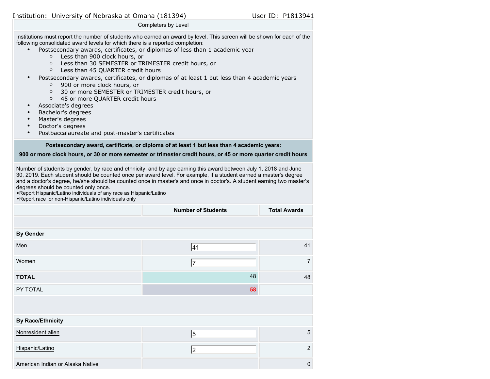#### Completers by Level

Institutions must report the number of students who earned an award by level. This screen will be shown for each of the following consolidated award levels for which there is a reported completion:

- Postsecondary awards, certificates, or diplomas of less than 1 academic year
	- Less than 900 clock hours, or
	- Less than 30 SEMESTER or TRIMESTER credit hours, or
	- Less than 45 QUARTER credit hours
- Postsecondary awards, certificates, or diplomas of at least 1 but less than 4 academic years
	- 900 or more clock hours, or
	- 30 or more SEMESTER or TRIMESTER credit hours, or
	- 45 or more QUARTER credit hours
- Associate's degrees
- Bachelor's degrees
- Master's degrees
- Doctor's degrees
- Postbaccalaureate and post-master's certificates

# **Postsecondary award, certificate, or diploma of at least 1 but less than 4 academic years:**

# **900 or more clock hours, or 30 or more semester or trimester credit hours, or 45 or more quarter credit hours**

Number of students by gender, by race and ethnicity, and by age earning this award between July 1, 2018 and June 30, 2019. Each student should be counted once per award level. For example, if a student earned a master's degree and a doctor's degree, he/she should be counted once in master's and once in doctor's. A student earning two master's degrees should be counted only once.

•Report Hispanic/Latino individuals of any race as Hispanic/Latino

•Report race for non-Hispanic/Latino individuals only

|                                  | <b>Number of Students</b> | <b>Total Awards</b> |
|----------------------------------|---------------------------|---------------------|
|                                  |                           |                     |
| <b>By Gender</b>                 |                           |                     |
| Men                              | 41                        | 41                  |
| Women                            | 17                        | 7                   |
| <b>TOTAL</b>                     | 48                        | 48                  |
| PY TOTAL                         | 58                        |                     |
|                                  |                           |                     |
| <b>By Race/Ethnicity</b>         |                           |                     |
| Nonresident alien                | $\overline{5}$            | 5                   |
| Hispanic/Latino                  | 2                         | $\overline{2}$      |
| American Indian or Alaska Native |                           | 0                   |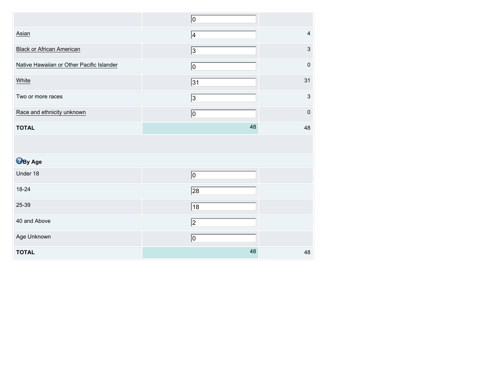|                                           | 10             |                           |
|-------------------------------------------|----------------|---------------------------|
| Asian                                     | $\vert 4$      | $\overline{\mathbf{4}}$   |
| <b>Black or African American</b>          | $\sqrt{3}$     | $\mathsf 3$               |
| Native Hawaiian or Other Pacific Islander | $\overline{0}$ | $\mathbf 0$               |
| White                                     | 31             | 31                        |
| Two or more races                         | $\sqrt{3}$     | $\ensuremath{\mathsf{3}}$ |
| Race and ethnicity unknown                | 10             | $\pmb{0}$                 |
| <b>TOTAL</b>                              | 48             | 48                        |
|                                           |                |                           |
| <b>B</b> By Age                           |                |                           |
| Under 18                                  | $\overline{0}$ |                           |
| 18-24                                     | $\sqrt{28}$    |                           |
| 25-39                                     | $\sqrt{18}$    |                           |
| 40 and Above                              | $\sqrt{2}$     |                           |
| Age Unknown                               | $\overline{0}$ |                           |
|                                           |                |                           |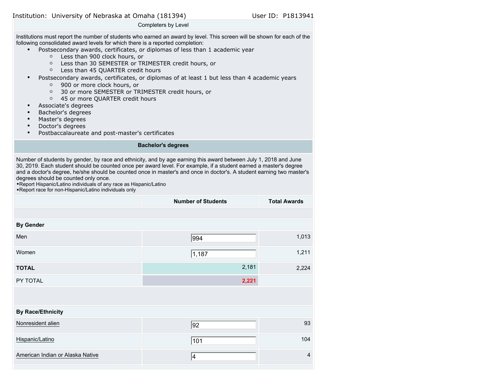### Completers by Level

Institutions must report the number of students who earned an award by level. This screen will be shown for each of the following consolidated award levels for which there is a reported completion:

- Postsecondary awards, certificates, or diplomas of less than 1 academic year
	- Less than 900 clock hours, or
	- Less than 30 SEMESTER or TRIMESTER credit hours, or
	- Less than 45 QUARTER credit hours
- Postsecondary awards, certificates, or diplomas of at least 1 but less than 4 academic years
	- 900 or more clock hours, or
	- 30 or more SEMESTER or TRIMESTER credit hours, or
	- 45 or more QUARTER credit hours
- Associate's degrees
- Bachelor's degrees
- Master's degrees
- Doctor's degrees
- Postbaccalaureate and post-master's certificates

# **Bachelor's degrees**

Number of students by gender, by race and ethnicity, and by age earning this award between July 1, 2018 and June 30, 2019. Each student should be counted once per award level. For example, if a student earned a master's degree and a doctor's degree, he/she should be counted once in master's and once in doctor's. A student earning two master's degrees should be counted only once.

•Report Hispanic/Latino individuals of any race as Hispanic/Latino •Report race for non-Hispanic/Latino individuals only

|                                  | <b>Number of Students</b> | <b>Total Awards</b> |
|----------------------------------|---------------------------|---------------------|
|                                  |                           |                     |
| <b>By Gender</b>                 |                           |                     |
| Men                              | 994                       | 1,013               |
| Women                            | 1,187                     | 1,211               |
| <b>TOTAL</b>                     | 2,181                     | 2,224               |
| PY TOTAL                         | 2,221                     |                     |
|                                  |                           |                     |
| <b>By Race/Ethnicity</b>         |                           |                     |
| Nonresident alien                | $\overline{92}$           | 93                  |
| Hispanic/Latino                  | 101                       | 104                 |
| American Indian or Alaska Native | 4                         | $\overline{4}$      |
|                                  |                           |                     |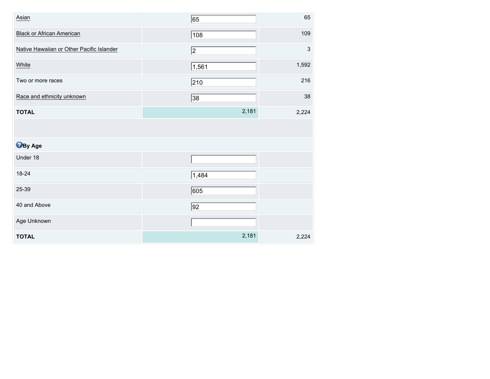| Asian                                     | 65         | 65                        |
|-------------------------------------------|------------|---------------------------|
| <b>Black or African American</b>          | 108        | 109                       |
| Native Hawaiian or Other Pacific Islander | $\sqrt{2}$ | $\ensuremath{\mathsf{3}}$ |
| White                                     | 1,561      | 1,592                     |
| Two or more races                         | 210        | 216                       |
| Race and ethnicity unknown                | 38         | 38                        |
| <b>TOTAL</b>                              | 2,181      | 2,224                     |
|                                           |            |                           |
| <b>B</b> By Age                           |            |                           |
| Under 18                                  |            |                           |
| 18-24                                     | 1,484      |                           |
| 25-39                                     | 605        |                           |
| 40 and Above                              | 92         |                           |
| Age Unknown                               |            |                           |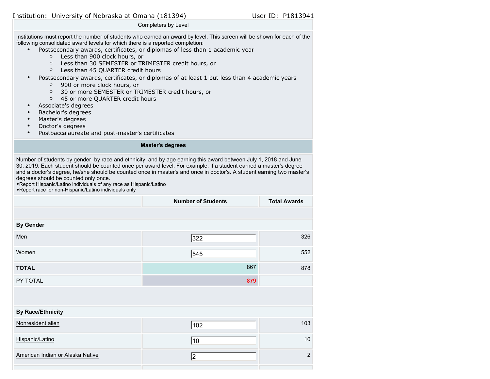### Completers by Level

Institutions must report the number of students who earned an award by level. This screen will be shown for each of the following consolidated award levels for which there is a reported completion:

- Postsecondary awards, certificates, or diplomas of less than 1 academic year
	- Less than 900 clock hours, or
	- Less than 30 SEMESTER or TRIMESTER credit hours, or
	- Less than 45 QUARTER credit hours
- Postsecondary awards, certificates, or diplomas of at least 1 but less than 4 academic years
	- 900 or more clock hours, or
	- 30 or more SEMESTER or TRIMESTER credit hours, or
	- 45 or more QUARTER credit hours
- Associate's degrees
- Bachelor's degrees
- Master's degrees
- Doctor's degrees
- Postbaccalaureate and post-master's certificates

#### **Master's degrees**

Number of students by gender, by race and ethnicity, and by age earning this award between July 1, 2018 and June 30, 2019. Each student should be counted once per award level. For example, if a student earned a master's degree and a doctor's degree, he/she should be counted once in master's and once in doctor's. A student earning two master's degrees should be counted only once.

•Report Hispanic/Latino individuals of any race as Hispanic/Latino •Report race for non-Hispanic/Latino individuals only

|                                  | <b>Number of Students</b> | <b>Total Awards</b> |
|----------------------------------|---------------------------|---------------------|
|                                  |                           |                     |
| <b>By Gender</b>                 |                           |                     |
| Men                              | 322                       | 326                 |
| Women                            | 545                       | 552                 |
| <b>TOTAL</b>                     | 867                       | 878                 |
| PY TOTAL                         | 879                       |                     |
|                                  |                           |                     |
| <b>By Race/Ethnicity</b>         |                           |                     |
| Nonresident alien                | $\sqrt{102}$              | 103                 |
| Hispanic/Latino                  | 10                        | 10                  |
| American Indian or Alaska Native | 2                         | $\overline{2}$      |
|                                  |                           |                     |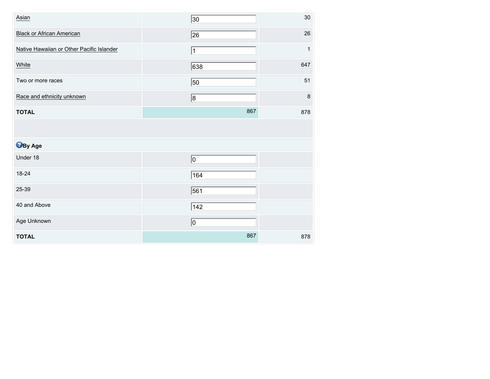| Asian                                     | $\overline{30}$ | 30      |
|-------------------------------------------|-----------------|---------|
| <b>Black or African American</b>          | $\overline{26}$ | 26      |
| Native Hawaiian or Other Pacific Islander | 11              | 1       |
| White                                     | 638             | 647     |
| Two or more races                         | 50              | 51      |
| Race and ethnicity unknown                | 8               | $\bf 8$ |
| <b>TOTAL</b>                              | 867             | 878     |
|                                           |                 |         |
|                                           |                 |         |
| <b>B</b> By Age                           |                 |         |
| Under 18                                  | 0               |         |
| 18-24                                     | 164             |         |
| 25-39                                     | 561             |         |
| 40 and Above                              | 142             |         |
| Age Unknown                               | 0               |         |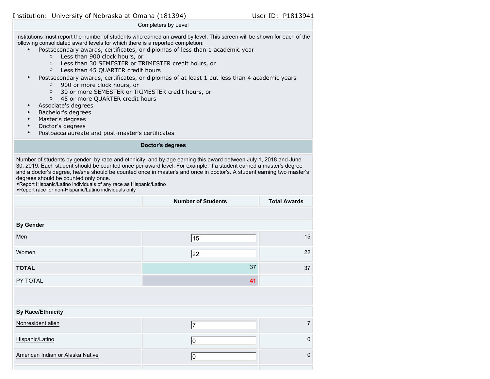### Completers by Level

Institutions must report the number of students who earned an award by level. This screen will be shown for each of the following consolidated award levels for which there is a reported completion:

- Postsecondary awards, certificates, or diplomas of less than 1 academic year
	- Less than 900 clock hours, or
	- Less than 30 SEMESTER or TRIMESTER credit hours, or
	- Less than 45 QUARTER credit hours
- Postsecondary awards, certificates, or diplomas of at least 1 but less than 4 academic years
	- 900 or more clock hours, or
	- 30 or more SEMESTER or TRIMESTER credit hours, or
	- 45 or more QUARTER credit hours
- Associate's degrees
- Bachelor's degrees
- Master's degrees
- Doctor's degrees
- Postbaccalaureate and post-master's certificates

#### **Doctor's degrees**

Number of students by gender, by race and ethnicity, and by age earning this award between July 1, 2018 and June 30, 2019. Each student should be counted once per award level. For example, if a student earned a master's degree and a doctor's degree, he/she should be counted once in master's and once in doctor's. A student earning two master's degrees should be counted only once.

•Report Hispanic/Latino individuals of any race as Hispanic/Latino •Report race for non-Hispanic/Latino individuals only

|                                  | <b>Number of Students</b> | <b>Total Awards</b> |
|----------------------------------|---------------------------|---------------------|
|                                  |                           |                     |
| <b>By Gender</b>                 |                           |                     |
| Men                              | 15                        | 15                  |
| Women                            | 22                        | 22                  |
| <b>TOTAL</b>                     | 37                        | 37                  |
| PY TOTAL                         | 41                        |                     |
|                                  |                           |                     |
| <b>By Race/Ethnicity</b>         |                           |                     |
| Nonresident alien                | 17                        | $\overline{7}$      |
| Hispanic/Latino                  | 10                        | $\mathbf 0$         |
| American Indian or Alaska Native | 10                        | $\mathbf 0$         |
|                                  |                           |                     |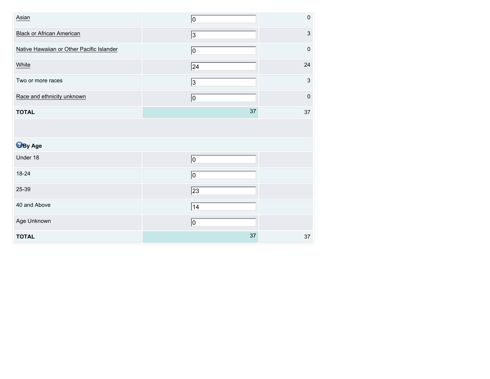| Asian                                     | 0           | $\mathbf 0$               |
|-------------------------------------------|-------------|---------------------------|
| <b>Black or African American</b>          | $\sqrt{3}$  | $\mathsf 3$               |
| Native Hawaiian or Other Pacific Islander | 0           | $\mathbf 0$               |
| White                                     | $\sqrt{24}$ | 24                        |
| Two or more races                         | 3           | $\ensuremath{\mathsf{3}}$ |
| Race and ethnicity unknown                | $ 0\rangle$ | $\pmb{0}$                 |
| <b>TOTAL</b>                              | 37          | $37\,$                    |
|                                           |             |                           |
| <b>B</b> By Age                           |             |                           |
| Under 18                                  | 0           |                           |
| 18-24                                     | 0           |                           |
|                                           |             |                           |
| 25-39                                     | $\sqrt{23}$ |                           |
| 40 and Above                              | 14          |                           |
| Age Unknown                               | 0           |                           |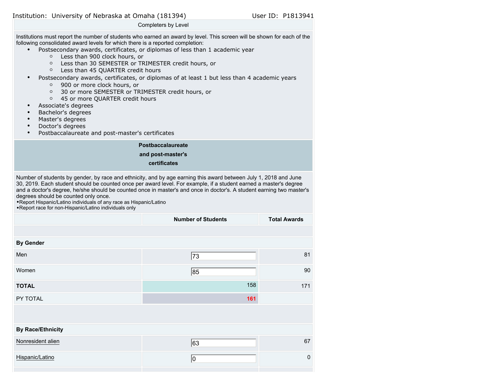#### Completers by Level

Institutions must report the number of students who earned an award by level. This screen will be shown for each of the following consolidated award levels for which there is a reported completion:

- Postsecondary awards, certificates, or diplomas of less than 1 academic year
	- Less than 900 clock hours, or
	- Less than 30 SEMESTER or TRIMESTER credit hours, or
	- Less than 45 QUARTER credit hours
- Postsecondary awards, certificates, or diplomas of at least 1 but less than 4 academic years
	- 900 or more clock hours, or
	- 30 or more SEMESTER or TRIMESTER credit hours, or
	- 45 or more QUARTER credit hours
- Associate's degrees
- Bachelor's degrees
- Master's degrees
- Doctor's degrees
- Postbaccalaureate and post-master's certificates

#### **Postbaccalaureate**

## **and post-master's**

**certificates**

Number of students by gender, by race and ethnicity, and by age earning this award between July 1, 2018 and June 30, 2019. Each student should be counted once per award level. For example, if a student earned a master's degree and a doctor's degree, he/she should be counted once in master's and once in doctor's. A student earning two master's degrees should be counted only once.

•Report Hispanic/Latino individuals of any race as Hispanic/Latino

•Report race for non-Hispanic/Latino individuals only

|                          | <b>Number of Students</b> | <b>Total Awards</b> |  |
|--------------------------|---------------------------|---------------------|--|
|                          |                           |                     |  |
| <b>By Gender</b>         |                           |                     |  |
| Men                      | $\overline{73}$           | 81                  |  |
| Women                    | 85                        | 90                  |  |
| <b>TOTAL</b>             | 158                       | 171                 |  |
| PY TOTAL                 | 161                       |                     |  |
|                          |                           |                     |  |
| <b>By Race/Ethnicity</b> |                           |                     |  |
| Nonresident alien        | 63                        | 67                  |  |
| Hispanic/Latino          | 10                        | $\mathbf 0$         |  |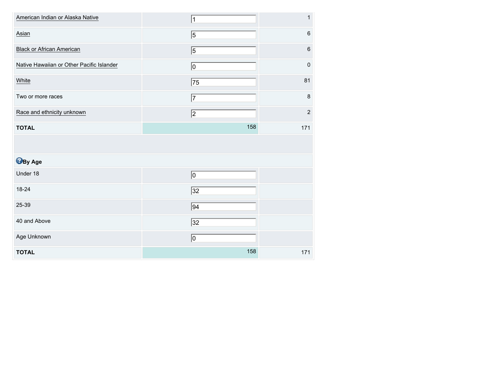| American Indian or Alaska Native          | 1               | $\mathbf{1}$ |
|-------------------------------------------|-----------------|--------------|
| Asian                                     | $\overline{5}$  | $\,6\,$      |
| <b>Black or African American</b>          | $\overline{5}$  | $\,6\,$      |
| Native Hawaiian or Other Pacific Islander | $\overline{0}$  | $\mathbf 0$  |
| White                                     | 75              | 81           |
| Two or more races                         | 7               | $\bf 8$      |
| Race and ethnicity unknown                | 2               | $\mathbf 2$  |
| <b>TOTAL</b>                              | 158             | 171          |
|                                           |                 |              |
|                                           |                 |              |
| <b>B</b> By Age                           |                 |              |
| Under 18                                  | $\overline{0}$  |              |
| 18-24                                     | $\sqrt{32}$     |              |
| 25-39                                     | $\overline{94}$ |              |
| 40 and Above                              | $\sqrt{32}$     |              |
| Age Unknown                               | 0               |              |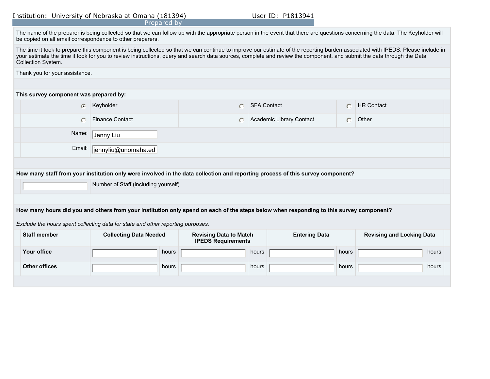|  |  | Institution: University of Nebraska at Omaha (181394) |  |  |
|--|--|-------------------------------------------------------|--|--|
|--|--|-------------------------------------------------------|--|--|

|                                                                                                                                                                                                                                                                                                                                                                                      | Prepared by                   |                                                            |                                                                                                                                |           |                                  |
|--------------------------------------------------------------------------------------------------------------------------------------------------------------------------------------------------------------------------------------------------------------------------------------------------------------------------------------------------------------------------------------|-------------------------------|------------------------------------------------------------|--------------------------------------------------------------------------------------------------------------------------------|-----------|----------------------------------|
| The name of the preparer is being collected so that we can follow up with the appropriate person in the event that there are questions concerning the data. The Keyholder will<br>be copied on all email correspondence to other preparers.                                                                                                                                          |                               |                                                            |                                                                                                                                |           |                                  |
| The time it took to prepare this component is being collected so that we can continue to improve our estimate of the reporting burden associated with IPEDS. Please include in<br>your estimate the time it took for you to review instructions, query and search data sources, complete and review the component, and submit the data through the Data<br><b>Collection System.</b> |                               |                                                            |                                                                                                                                |           |                                  |
| Thank you for your assistance.                                                                                                                                                                                                                                                                                                                                                       |                               |                                                            |                                                                                                                                |           |                                  |
|                                                                                                                                                                                                                                                                                                                                                                                      |                               |                                                            |                                                                                                                                |           |                                  |
| This survey component was prepared by:                                                                                                                                                                                                                                                                                                                                               |                               |                                                            |                                                                                                                                |           |                                  |
| $\bigcap$                                                                                                                                                                                                                                                                                                                                                                            | Keyholder                     | $\bigcap$                                                  | <b>SFA Contact</b>                                                                                                             | $\bigcap$ | <b>HR Contact</b>                |
| O                                                                                                                                                                                                                                                                                                                                                                                    | <b>Finance Contact</b>        | $\cup$                                                     | Academic Library Contact                                                                                                       | $\bigcap$ | Other                            |
| Name:<br>Jenny Liu                                                                                                                                                                                                                                                                                                                                                                   |                               |                                                            |                                                                                                                                |           |                                  |
| Email:                                                                                                                                                                                                                                                                                                                                                                               | jennyliu@unomaha.ed           |                                                            |                                                                                                                                |           |                                  |
|                                                                                                                                                                                                                                                                                                                                                                                      |                               |                                                            |                                                                                                                                |           |                                  |
|                                                                                                                                                                                                                                                                                                                                                                                      |                               |                                                            | How many staff from your institution only were involved in the data collection and reporting process of this survey component? |           |                                  |
| Number of Staff (including yourself)                                                                                                                                                                                                                                                                                                                                                 |                               |                                                            |                                                                                                                                |           |                                  |
|                                                                                                                                                                                                                                                                                                                                                                                      |                               |                                                            |                                                                                                                                |           |                                  |
| How many hours did you and others from your institution only spend on each of the steps below when responding to this survey component?                                                                                                                                                                                                                                              |                               |                                                            |                                                                                                                                |           |                                  |
| Exclude the hours spent collecting data for state and other reporting purposes.                                                                                                                                                                                                                                                                                                      |                               |                                                            |                                                                                                                                |           |                                  |
| <b>Staff member</b>                                                                                                                                                                                                                                                                                                                                                                  | <b>Collecting Data Needed</b> | <b>Revising Data to Match</b><br><b>IPEDS Requirements</b> | <b>Entering Data</b>                                                                                                           |           | <b>Revising and Locking Data</b> |
| Your office                                                                                                                                                                                                                                                                                                                                                                          | hours                         |                                                            | hours                                                                                                                          | hours     | hours                            |
| <b>Other offices</b>                                                                                                                                                                                                                                                                                                                                                                 | hours                         |                                                            | hours                                                                                                                          | hours     | hours                            |
|                                                                                                                                                                                                                                                                                                                                                                                      |                               |                                                            |                                                                                                                                |           |                                  |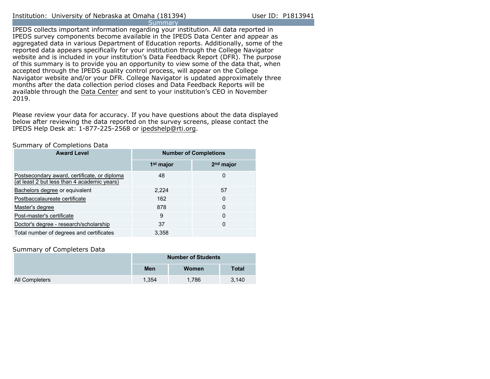IPEDS collects important information regarding your institution. All data reported in IPEDS survey components become available in the IPEDS Data Center and appear as aggregated data in various Department of Education reports. Additionally, some of the reported data appears specifically for your institution through the College Navigator website and is included in your institution's Data Feedback Report (DFR). The purpose of this summary is to provide you an opportunity to view some of the data that, when accepted through the IPEDS quality control process, will appear on the College Navigator website and/or your DFR. College Navigator is updated approximately three months after the data collection period closes and Data Feedback Reports will be available through the [Data Center](https://nces.ed.gov/ipeds/use-the-data) and sent to your institution's CEO in November 2019.

Please review your data for accuracy. If you have questions about the data displayed below after reviewing the data reported on the survey screens, please contact the IPEDS Help Desk at: 1-877-225-2568 or ipedshelp@rti.org.

# Summary of Completions Data

| <b>Award Level</b>                                                                          | <b>Number of Completions</b> |                       |  |
|---------------------------------------------------------------------------------------------|------------------------------|-----------------------|--|
|                                                                                             | 1 <sup>st</sup> major        | 2 <sup>nd</sup> major |  |
| Postsecondary award, certificate, or diploma<br>(at least 2 but less than 4 academic years) | 48                           | 0                     |  |
| Bachelors degree or equivalent                                                              | 2,224                        | 57                    |  |
| Postbaccalaureate certificate                                                               | 162                          | 0                     |  |
| Master's degree                                                                             | 878                          | 0                     |  |
| Post-master's certificate                                                                   | 9                            | 0                     |  |
| Doctor's degree - research/scholarship                                                      | 37                           | 0                     |  |
| Total number of degrees and certificates                                                    | 3.358                        |                       |  |

# Summary of Completers Data

|                       | <b>Number of Students</b> |       |              |  |
|-----------------------|---------------------------|-------|--------------|--|
|                       | Men                       | Women | <b>Total</b> |  |
| <b>All Completers</b> | 1.354                     | 1.786 | 3.140        |  |